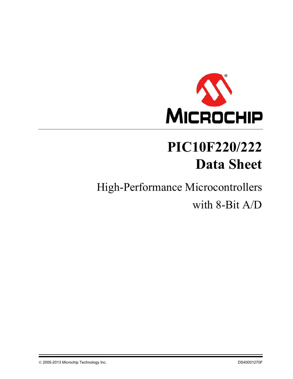

# **PIC10F220/222 Data Sheet**

# High-Performance Microcontrollers with 8-Bit A/D

© 2005-2013 Microchip Technology Inc. 2006-2013 Microchip Technology Inc.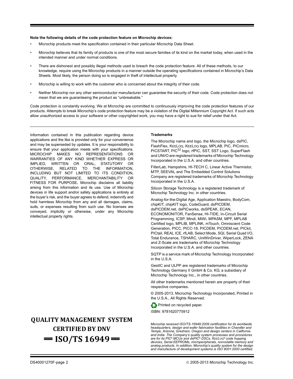#### **Note the following details of the code protection feature on Microchip devices:**

- Microchip products meet the specification contained in their particular Microchip Data Sheet.
- Microchip believes that its family of products is one of the most secure families of its kind on the market today, when used in the intended manner and under normal conditions.
- There are dishonest and possibly illegal methods used to breach the code protection feature. All of these methods, to our knowledge, require using the Microchip products in a manner outside the operating specifications contained in Microchip's Data Sheets. Most likely, the person doing so is engaged in theft of intellectual property.
- Microchip is willing to work with the customer who is concerned about the integrity of their code.
- Neither Microchip nor any other semiconductor manufacturer can guarantee the security of their code. Code protection does not mean that we are guaranteeing the product as "unbreakable."

Code protection is constantly evolving. We at Microchip are committed to continuously improving the code protection features of our products. Attempts to break Microchip's code protection feature may be a violation of the Digital Millennium Copyright Act. If such acts allow unauthorized access to your software or other copyrighted work, you may have a right to sue for relief under that Act.

Information contained in this publication regarding device applications and the like is provided only for your convenience and may be superseded by updates. It is your responsibility to ensure that your application meets with your specifications. MICROCHIP MAKES NO REPRESENTATIONS OR WARRANTIES OF ANY KIND WHETHER EXPRESS OR IMPLIED, WRITTEN OR ORAL, STATUTORY OR OTHERWISE, RELATED TO THE INFORMATION, INCLUDING BUT NOT LIMITED TO ITS CONDITION, QUALITY, PERFORMANCE, MERCHANTABILITY OR FITNESS FOR PURPOSE**.** Microchip disclaims all liability arising from this information and its use. Use of Microchip devices in life support and/or safety applications is entirely at the buyer's risk, and the buyer agrees to defend, indemnify and hold harmless Microchip from any and all damages, claims, suits, or expenses resulting from such use. No licenses are conveyed, implicitly or otherwise, under any Microchip intellectual property rights.

# **QUALITY MANAGEMENT SYSTEM CERTIFIED BY DNV**   $=$  **ISO/TS 16949**  $=$

#### **Trademarks**

The Microchip name and logo, the Microchip logo, dsPIC, FlashFlex, KEELOQ, KEELOQ logo, MPLAB, PIC, PICmicro, PICSTART, PIC<sup>32</sup> logo, rfPIC, SST, SST Logo, SuperFlash and UNI/O are registered trademarks of Microchip Technology Incorporated in the U.S.A. and other countries.

FilterLab, Hampshire, HI-TECH C, Linear Active Thermistor, MTP, SEEVAL and The Embedded Control Solutions Company are registered trademarks of Microchip Technology Incorporated in the U.S.A.

Silicon Storage Technology is a registered trademark of Microchip Technology Inc. in other countries.

Analog-for-the-Digital Age, Application Maestro, BodyCom, chipKIT, chipKIT logo, CodeGuard, dsPICDEM, dsPICDEM.net, dsPICworks, dsSPEAK, ECAN, ECONOMONITOR, FanSense, HI-TIDE, In-Circuit Serial Programming, ICSP, Mindi, MiWi, MPASM, MPF, MPLAB Certified logo, MPLIB, MPLINK, mTouch, Omniscient Code Generation, PICC, PICC-18, PICDEM, PICDEM.net, PICkit, PICtail, REAL ICE, rfLAB, Select Mode, SQI, Serial Quad I/O, Total Endurance, TSHARC, UniWinDriver, WiperLock, ZENA and Z-Scale are trademarks of Microchip Technology Incorporated in the U.S.A. and other countries.

SQTP is a service mark of Microchip Technology Incorporated in the U.S.A.

GestIC and ULPP are registered trademarks of Microchip Technology Germany II GmbH & Co. KG, a subsidiary of Microchip Technology Inc., in other countries.

All other trademarks mentioned herein are property of their respective companies.

© 2005-2013, Microchip Technology Incorporated, Printed in the U.S.A., All Rights Reserved.

Printed on recycled paper.

ISBN: 9781620775912

*Microchip received ISO/TS-16949:2009 certification for its worldwide headquarters, design and wafer fabrication facilities in Chandler and Tempe, Arizona; Gresham, Oregon and design centers in California and India. The Company's quality system processes and procedures are for its PIC® MCUs and dsPIC® DSCs, KEELOQ® code hopping devices, Serial EEPROMs, microperipherals, nonvolatile memory and analog products. In addition, Microchip's quality system for the design and manufacture of development systems is ISO 9001:2000 certified.*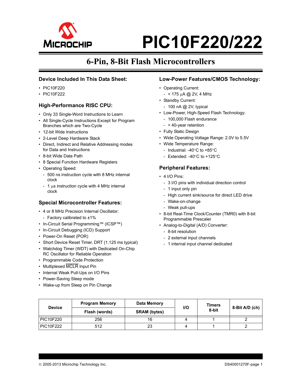

# **6-Pin, 8-Bit Flash Microcontrollers**

#### **Device Included In This Data Sheet:**

- PIC10F220
- PIC10F222

#### **High-Performance RISC CPU:**

- Only 33 Single-Word Instructions to Learn
- All Single-Cycle Instructions Except for Program Branches which are Two-Cycle
- 12-bit Wide Instructions
- 2-Level Deep Hardware Stack
- Direct, Indirect and Relative Addressing modes for Data and Instructions
- 8-bit Wide Data Path
- 8 Special Function Hardware Registers
- Operating Speed:
	- 500 ns instruction cycle with 8 MHz internal clock
	- 1  $\mu$ s instruction cycle with 4 MHz internal clock

#### **Special Microcontroller Features:**

- 4 or 8 MHz Precision Internal Oscillator:
- Factory calibrated to ±1%
- In-Circuit Serial Programming™ (ICSP™)
- In-Circuit Debugging (ICD) Support
- Power-On Reset (POR)
- Short Device Reset Timer, DRT (1.125 ms typical)
- Watchdog Timer (WDT) with Dedicated On-Chip RC Oscillator for Reliable Operation
- Programmable Code Protection
- Multiplexed MCLR Input Pin
- Internal Weak Pull-Ups on I/O Pins
- Power-Saving Sleep mode
- Wake-up from Sleep on Pin Change

#### **Low-Power Features/CMOS Technology:**

- Operating Current:
- $< 175 \mu A \text{ (}2 \text{V}$ , 4 MHz
- Standby Current:
	- 100 nA @ 2V, typical
- Low-Power, High-Speed Flash Technology:
	- 100,000 Flash endurance
	- > 40-year retention
- Fully Static Design
- Wide Operating Voltage Range: 2.0V to 5.5V
- Wide Temperature Range:
	- Industrial: -40 $\degree$ C to +85 $\degree$ C
	- Extended: -40 $^{\circ}$ C to +125 $^{\circ}$ C

#### **Peripheral Features:**

- 4 I/O Pins:
	- 3 I/O pins with individual direction control
	- 1 input only pin
	- High current sink/source for direct LED drive
	- Wake-on-change
	- Weak pull-ups
- 8-bit Real-Time Clock/Counter (TMR0) with 8-bit Programmable Prescaler
- Analog-to-Digital (A/D) Converter:
	- 8-bit resolution
	- 2 external input channels
	- 1 internal input channel dedicated

| <b>Device</b>    | <b>Program Memory</b> | Data Memory         | <b>Timers</b><br>I/O |       |                |  |
|------------------|-----------------------|---------------------|----------------------|-------|----------------|--|
|                  | Flash (words)         | <b>SRAM</b> (bytes) |                      | 8-bit | 8-Bit A/D (ch) |  |
| <b>PIC10F220</b> | 256                   | 16                  |                      |       |                |  |
| <b>PIC10F222</b> | 512                   | 23                  |                      |       |                |  |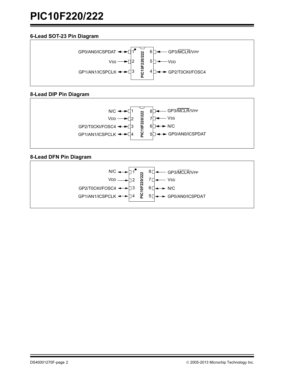### **6-Lead SOT-23 Pin Diagram**



### **8-Lead DIP Pin Diagram**



### **8-Lead DFN Pin Diagram**

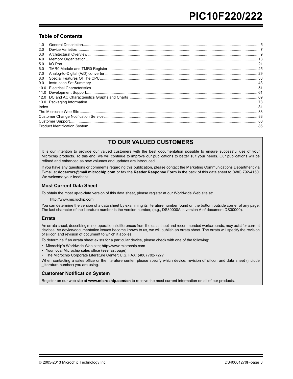#### **Table of Contents**

| 1.0  |  |
|------|--|
| 2.0  |  |
| 3.0  |  |
| 4.0  |  |
| 5.0  |  |
| 6.0  |  |
| 7.0  |  |
| 8.0  |  |
| 9.0  |  |
| 10.0 |  |
| 11.0 |  |
| 12.0 |  |
|      |  |
|      |  |
|      |  |
|      |  |
|      |  |
|      |  |

# **TO OUR VALUED CUSTOMERS**

It is our intention to provide our valued customers with the best documentation possible to ensure successful use of your Microchip products. To this end, we will continue to improve our publications to better suit your needs. Our publications will be refined and enhanced as new volumes and updates are introduced.

If you have any questions or comments regarding this publication, please contact the Marketing Communications Department via E-mail at **docerrors@mail.microchip.com** or fax the **Reader Response Form** in the back of this data sheet to (480) 792-4150. We welcome your feedback.

#### **Most Current Data Sheet**

To obtain the most up-to-date version of this data sheet, please register at our Worldwide Web site at:

http://www.microchip.com

You can determine the version of a data sheet by examining its literature number found on the bottom outside corner of any page. The last character of the literature number is the version number, (e.g., DS30000A is version A of document DS30000).

#### **Errata**

An errata sheet, describing minor operational differences from the data sheet and recommended workarounds, may exist for current devices. As device/documentation issues become known to us, we will publish an errata sheet. The errata will specify the revision of silicon and revision of document to which it applies.

To determine if an errata sheet exists for a particular device, please check with one of the following:

- Microchip's Worldwide Web site; http://www.microchip.com
- Your local Microchip sales office (see last page)
- The Microchip Corporate Literature Center; U.S. FAX: (480) 792-7277

When contacting a sales office or the literature center, please specify which device, revision of silicon and data sheet (include \_literature number) you are using.

#### **Customer Notification System**

Register on our web site at **www.microchip.com/cn** to receive the most current information on all of our products.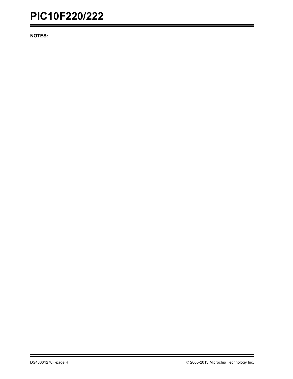**NOTES:**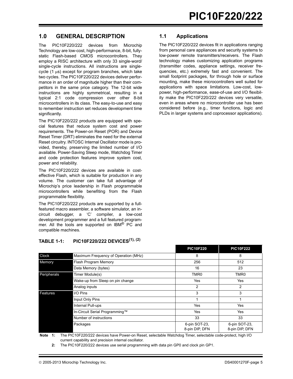## <span id="page-6-0"></span>**1.0 GENERAL DESCRIPTION**

The PIC10F220/222 devices from Microchip Technology are low-cost, high-performance, 8-bit, fullystatic Flash-based CMOS microcontrollers. They employ a RISC architecture with only 33 single-word/ single-cycle instructions. All instructions are singlecycle  $(1 \mu s)$  except for program branches, which take two cycles. The PIC10F220/222 devices deliver performance in an order of magnitude higher than their competitors in the same price category. The 12-bit wide instructions are highly symmetrical, resulting in a typical 2:1 code compression over other 8-bit microcontrollers in its class. The easy-to-use and easy to remember instruction set reduces development time significantly.

The PIC10F220/222 products are equipped with special features that reduce system cost and power requirements. The Power-on Reset (POR) and Device Reset Timer (DRT) eliminates the need for the external Reset circuitry. INTOSC Internal Oscillator mode is provided, thereby, preserving the limited number of I/O available. Power-Saving Sleep mode, Watchdog Timer and code protection features improve system cost, power and reliability.

The PIC10F220/222 devices are available in costeffective Flash, which is suitable for production in any volume. The customer can take full advantage of Microchip's price leadership in Flash programmable microcontrollers while benefiting from the Flash programmable flexibility.

The PIC10F220/222 products are supported by a fullfeatured macro assembler, a software simulator, an incircuit debugger, a 'C' compiler, a low-cost development programmer and a full featured programmer. All the tools are supported on IBM<sup>®</sup> PC and compatible machines.

|             |                                      | .                               | .                               |
|-------------|--------------------------------------|---------------------------------|---------------------------------|
| Clock       | Maximum Frequency of Operation (MHz) | 8                               | 8                               |
| Memory      | Flash Program Memory                 | 256                             | 512                             |
|             | Data Memory (bytes)                  | 16                              | 23                              |
| Peripherals | Timer Module(s)                      | TMR <sub>0</sub>                | TMR <sub>0</sub>                |
|             | Wake-up from Sleep on pin change     | Yes                             | Yes                             |
|             | Analog inputs                        | 2                               | 2                               |
| Features    | I/O Pins                             | 3                               | 3                               |
|             | Input Only Pins                      |                                 |                                 |
|             | Internal Pull-ups                    | Yes                             | Yes                             |
|             | In-Circuit Serial Programming™       | Yes                             | Yes                             |
|             | Number of instructions               | 33                              | 33                              |
|             | Packages                             | 6-pin SOT-23,<br>8-pin DIP, DFN | 6-pin SOT-23,<br>8-pin DIP, DFN |

#### **TABLE 1-1: PIC10F220/222 DEVICES(1), (2)**

**Note 1:** The PIC10F220/222 devices have Power-on Reset, selectable Watchdog Timer, selectable code-protect, high I/O current capability and precision internal oscillator.

**2:** The PIC10F220/222 devices use serial programming with data pin GP0 and clock pin GP1.

#### **1.1 Applications**

The PIC10F220/222 devices fit in applications ranging from personal care appliances and security systems to low-power remote transmitters/receivers. The Flash technology makes customizing application programs (transmitter codes, appliance settings, receiver frequencies, etc.) extremely fast and convenient. The small footprint packages, for through hole or surface mounting, make these microcontrollers well suited for applications with space limitations. Low-cost, lowpower, high-performance, ease-of-use and I/O flexibility make the PIC10F220/222 devices very versatile, even in areas where no microcontroller use has been considered before (e.g., timer functions, logic and PLDs in larger systems and coprocessor applications).

**PIC10F220 PIC10F222**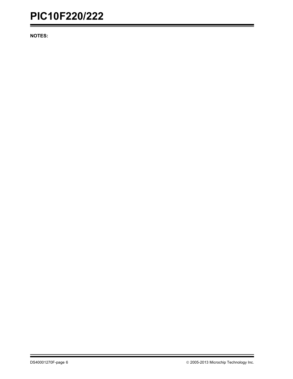**NOTES:**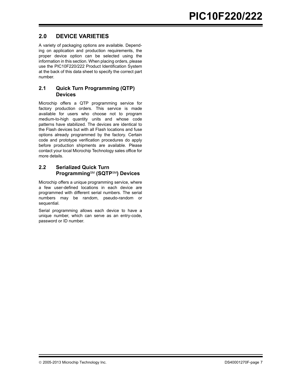# <span id="page-8-0"></span>**2.0 DEVICE VARIETIES**

A variety of packaging options are available. Depending on application and production requirements, the proper device option can be selected using the information in this section. When placing orders, please use the PIC10F220/222 Product Identification System at the back of this data sheet to specify the correct part number.

#### **2.1 Quick Turn Programming (QTP) Devices**

Microchip offers a QTP programming service for factory production orders. This service is made available for users who choose not to program medium-to-high quantity units and whose code patterns have stabilized. The devices are identical to the Flash devices but with all Flash locations and fuse options already programmed by the factory. Certain code and prototype verification procedures do apply before production shipments are available. Please contact your local Microchip Technology sales office for more details.

#### **2.2 Serialized Quick Turn Programming**SM **(SQTP**SM**) Devices**

Microchip offers a unique programming service, where a few user-defined locations in each device are programmed with different serial numbers. The serial numbers may be random, pseudo-random or sequential.

Serial programming allows each device to have a unique number, which can serve as an entry-code, password or ID number.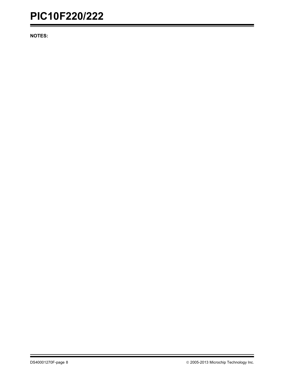**NOTES:**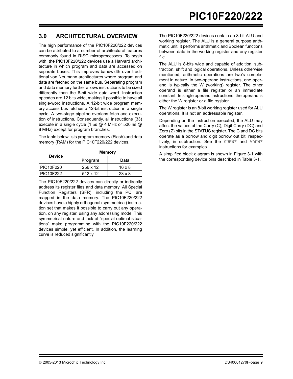# <span id="page-10-0"></span>**3.0 ARCHITECTURAL OVERVIEW**

The high performance of the PIC10F220/222 devices can be attributed to a number of architectural features commonly found in RISC microprocessors. To begin with, the PIC10F220/222 devices use a Harvard architecture in which program and data are accessed on separate buses. This improves bandwidth over traditional von Neumann architectures where program and data are fetched on the same bus. Separating program and data memory further allows instructions to be sized differently than the 8-bit wide data word. Instruction opcodes are 12 bits wide, making it possible to have all single-word instructions. A 12-bit wide program memory access bus fetches a 12-bit instruction in a single cycle. A two-stage pipeline overlaps fetch and execution of instructions. Consequently, all instructions (33) execute in a single cycle (1  $\mu$ s @ 4 MHz or 500 ns @ 8 MHz) except for program branches.

The table below lists program memory (Flash) and data memory (RAM) for the PIC10F220/222 devices.

| <b>Device</b>    | <b>Memory</b>   |               |  |  |  |
|------------------|-----------------|---------------|--|--|--|
|                  | Program         | Data          |  |  |  |
| <b>PIC10F220</b> | $256 \times 12$ | $16 \times 8$ |  |  |  |
| PIC10F222        | $512 \times 12$ | $23 \times 8$ |  |  |  |

The PIC10F220/222 devices can directly or indirectly address its register files and data memory. All Special Function Registers (SFR), including the PC, are mapped in the data memory. The PIC10F220/222 devices have a highly orthogonal (symmetrical) instruction set that makes it possible to carry out any operation, on any register, using any addressing mode. This symmetrical nature and lack of "special optimal situations" make programming with the PIC10F220/222 devices simple, yet efficient. In addition, the learning curve is reduced significantly.

The PIC10F220/222 devices contain an 8-bit ALU and working register. The ALU is a general purpose arithmetic unit. It performs arithmetic and Boolean functions between data in the working register and any register file.

The ALU is 8-bits wide and capable of addition, subtraction, shift and logical operations. Unless otherwise mentioned, arithmetic operations are two's complement in nature. In two-operand instructions, one operand is typically the W (working) register. The other operand is either a file register or an immediate constant. In single operand instructions, the operand is either the W register or a file register.

The W register is an 8-bit working register used for ALU operations. It is not an addressable register.

Depending on the instruction executed, the ALU may affect the values of the Carry (C), Digit Carry (DC) and Zero (Z) bits in the STATUS register. The C and DC bits operate as a borrow and digit borrow out bit, respectively, in subtraction. See the SUBWF and ADDWF instructions for examples.

A simplified block diagram is shown in [Figure 3-1](#page-11-0) with the corresponding device pins described in [Table 3-1.](#page-11-1)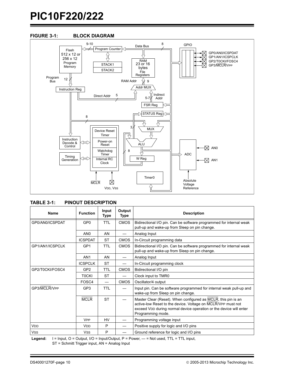

#### <span id="page-11-0"></span>**FIGURE 3-1: BLOCK DIAGRAM**

#### <span id="page-11-2"></span><span id="page-11-1"></span>**TABLE 3-1: PINOUT DESCRIPTION**

| Name            | <b>Function</b>       | Input<br>Type            | Output<br>Type | <b>Description</b>                                                                                                                                                                                                       |
|-----------------|-----------------------|--------------------------|----------------|--------------------------------------------------------------------------------------------------------------------------------------------------------------------------------------------------------------------------|
| GP0/AN0/ICSPDAT | GP <sub>0</sub>       | <b>TTL</b>               | <b>CMOS</b>    | Bidirectional I/O pin. Can be software programmed for internal weak<br>pull-up and wake-up from Sleep on pin change.                                                                                                     |
|                 | AN <sub>0</sub>       | AN                       |                | Analog Input                                                                                                                                                                                                             |
|                 | <b>ICSPDAT</b>        | <b>ST</b>                | <b>CMOS</b>    | In-Circuit programming data                                                                                                                                                                                              |
| GP1/AN1/ICSPCLK | GP <sub>1</sub>       | <b>TTL</b>               | CMOS           | Bidirectional I/O pin. Can be software programmed for internal weak<br>pull-up and wake-up from Sleep on pin change.                                                                                                     |
|                 | AN <sub>1</sub>       | AN                       |                | Analog Input                                                                                                                                                                                                             |
|                 | <b>ICSPCLK</b>        | <b>ST</b>                |                | In-Circuit programming clock                                                                                                                                                                                             |
| GP2/T0CKI/FOSC4 | GP <sub>2</sub>       | <b>TTL</b>               | <b>CMOS</b>    | Bidirectional I/O pin                                                                                                                                                                                                    |
|                 | <b>TOCKI</b>          | <b>ST</b>                |                | Clock input to TMR0                                                                                                                                                                                                      |
|                 | FOSC4                 | $\overline{\phantom{0}}$ | <b>CMOS</b>    | Oscillator/4 output                                                                                                                                                                                                      |
| GP3/MCLR/VPP    | GP <sub>3</sub>       | <b>TTL</b>               |                | Input pin. Can be software programmed for internal weak pull-up and<br>wake-up from Sleep on pin change.                                                                                                                 |
|                 | <b>MCLR</b>           | <b>ST</b>                |                | Master Clear (Reset). When configured as MCLR, this pin is an<br>active-low Reset to the device. Voltage on MCLR/VPP must not<br>exceed VDD during normal device operation or the device will enter<br>Programming mode. |
|                 | <b>V<sub>PP</sub></b> | HV                       |                | Programming voltage input                                                                                                                                                                                                |
| VDD             | <b>V<sub>DD</sub></b> | P                        |                | Positive supply for logic and I/O pins                                                                                                                                                                                   |
| <b>VSS</b>      | <b>Vss</b>            | P                        |                | Ground reference for logic and I/O pins                                                                                                                                                                                  |

Legend: I = Input, O = Output, I/O = Input/Output, P = Power, - = Not used, TTL = TTL input, ST = Schmitt Trigger input, AN = Analog Input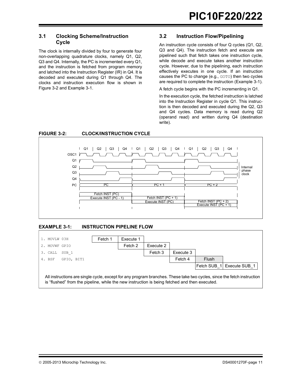#### **3.1 Clocking Scheme/Instruction Cycle**

The clock is internally divided by four to generate four non-overlapping quadrature clocks, namely Q1, Q2, Q3 and Q4. Internally, the PC is incremented every Q1, and the instruction is fetched from program memory and latched into the Instruction Register (IR) in Q4. It is decoded and executed during Q1 through Q4. The clocks and instruction execution flow is shown in [Figure 3-2](#page-12-0) and [Example 3-1](#page-12-1).

#### **3.2 Instruction Flow/Pipelining**

An instruction cycle consists of four Q cycles (Q1, Q2, Q3 and Q4). The instruction fetch and execute are pipelined such that fetch takes one instruction cycle, while decode and execute takes another instruction cycle. However, due to the pipelining, each instruction effectively executes in one cycle. If an instruction causes the PC to change (e.g., GOTO) then two cycles are required to complete the instruction [\(Example 3-1](#page-12-1)).

A fetch cycle begins with the PC incrementing in Q1.

In the execution cycle, the fetched instruction is latched into the Instruction Register in cycle Q1. This instruction is then decoded and executed during the Q2, Q3 and Q4 cycles. Data memory is read during Q2 (operand read) and written during Q4 (destination write).



<span id="page-12-0"></span>**FIGURE 3-2: CLOCK/INSTRUCTION CYCLE**

#### <span id="page-12-1"></span>**EXAMPLE 3-1: INSTRUCTION PIPELINE FLOW**

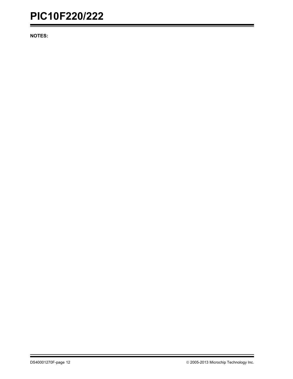**NOTES:**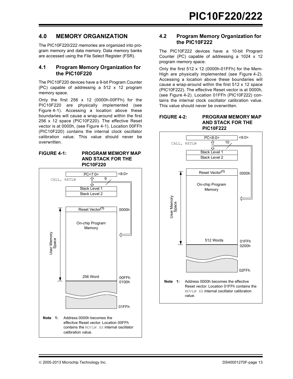### **4.0 MEMORY ORGANIZATION**

The PIC10F220/222 memories are organized into program memory and data memory. Data memory banks are accessed using the File Select Register (FSR).

#### **4.1 Program Memory Organization for the PIC10F220**

The PIC10F220 devices have a 9-bit Program Counter (PC) capable of addressing a 512 x 12 program memory space.

Only the first 256 x 12 (0000h-00FFh) for the PIC10F220 are physically implemented (see [Figure 4-1\)](#page-14-0). Accessing a location above these boundaries will cause a wrap-around within the first 256 x 12 space (PIC10F220). The effective Reset vector is at 0000h, (see [Figure 4-1\)](#page-14-0). Location 00FFh (PIC10F220) contains the internal clock oscillator calibration value. This value should never be overwritten.

#### <span id="page-14-0"></span>**FIGURE 4-1: PROGRAM MEMORY MAP AND STACK FOR THE PIC10F220**



#### **4.2 Program Memory Organization for the PIC10F222**

The PIC10F222 devices have a 10-bit Program Counter (PC) capable of addressing a 1024  $\times$  12 program memory space.

Only the first 512 x 12 (0000h-01FFh) for the Mem-High are physically implemented (see [Figure 4-2](#page-14-1)). Accessing a location above these boundaries will cause a wrap-around within the first 512 x 12 space (PIC10F222). The effective Reset vector is at 0000h, (see [Figure 4-2](#page-14-1)). Location 01FFh (PIC10F222) contains the internal clock oscillator calibration value. This value should never be overwritten.

#### <span id="page-14-1"></span>**FIGURE 4-2: PROGRAM MEMORY MAP AND STACK FOR THE PIC10F222**

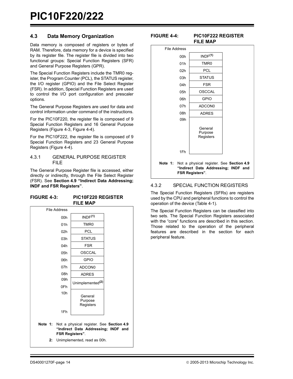#### <span id="page-15-2"></span>**4.3 Data Memory Organization**

Data memory is composed of registers or bytes of RAM. Therefore, data memory for a device is specified by its register file. The register file is divided into two functional groups: Special Function Registers (SFR) and General Purpose Registers (GPR).

The Special Function Registers include the TMR0 register, the Program Counter (PCL), the STATUS register, the I/O register (GPIO) and the File Select Register (FSR). In addition, Special Function Registers are used to control the I/O port configuration and prescaler options.

The General Purpose Registers are used for data and control information under command of the instructions.

For the PIC10F220, the register file is composed of 9 Special Function Registers and 16 General Purpose Registers [\(Figure 4-3](#page-15-0), [Figure 4-4](#page-15-1)).

For the PIC10F222, the register file is composed of 9 Special Function Registers and 23 General Purpose Registers [\(Figure 4-4](#page-15-1)).

#### 4.3.1 GENERAL PURPOSE REGISTER FILE

The General Purpose Register file is accessed, either directly or indirectly, through the File Select Register (FSR). See **[Section 4.9 "Indirect Data Addressing;](#page-21-0) [INDF and FSR Registers"](#page-21-0)**.

#### <span id="page-15-0"></span>**FIGURE 4-3: PIC10F220 REGISTER FILE MAP**

|         | File Address    |                                                                                                           |  |
|---------|-----------------|-----------------------------------------------------------------------------------------------------------|--|
|         | 00h             | INDF <sup>(1)</sup>                                                                                       |  |
|         | 01h             | TMR0                                                                                                      |  |
|         | 02h             | PCL                                                                                                       |  |
|         | 03h             | <b>STATUS</b>                                                                                             |  |
|         | 04h             | <b>FSR</b>                                                                                                |  |
|         | 05h             | <b>OSCCAL</b>                                                                                             |  |
|         | 06h             | <b>GPIO</b>                                                                                               |  |
|         | 07h             | ADCON0                                                                                                    |  |
|         | 08h             | <b>ADRES</b>                                                                                              |  |
|         | 09h             | Unimplemented <sup>(2)</sup>                                                                              |  |
|         | 0Fh             |                                                                                                           |  |
|         | 10 <sub>h</sub> | General                                                                                                   |  |
|         |                 | Purpose<br>Registers                                                                                      |  |
|         | 1Fh             |                                                                                                           |  |
|         |                 |                                                                                                           |  |
| Note 1: |                 | Not a physical register. See Section 4.9<br>"Indirect Data Addressing; INDF and<br><b>FSR Registers".</b> |  |
| 2:      |                 | Unimplemented, read as 00h.                                                                               |  |

#### <span id="page-15-1"></span>**FIGURE 4-4: PIC10F222 REGISTER FILE MAP**

| <b>File Address</b> |                                                                                                           |  |
|---------------------|-----------------------------------------------------------------------------------------------------------|--|
| 00h                 | INDF <sup>(1)</sup>                                                                                       |  |
| 01h                 | TMR <sub>0</sub>                                                                                          |  |
| 02 <sub>h</sub>     | <b>PCL</b>                                                                                                |  |
| 03h                 | <b>STATUS</b>                                                                                             |  |
| 04h                 | <b>FSR</b>                                                                                                |  |
| 05h                 | <b>OSCCAL</b>                                                                                             |  |
| 06h                 | GPIO                                                                                                      |  |
| 07h                 | ADCON <sub>0</sub>                                                                                        |  |
| 08h                 | <b>ADRES</b>                                                                                              |  |
| 09h                 |                                                                                                           |  |
|                     | General<br>Purpose<br>Registers                                                                           |  |
| 1Fh                 |                                                                                                           |  |
| Note 1:             | Not a physical register. See Section 4.9<br>"Indirect Data Addressing; INDF and<br><b>FSR Registers".</b> |  |

#### 4.3.2 SPECIAL FUNCTION REGISTERS

The Special Function Registers (SFRs) are registers used by the CPU and peripheral functions to control the operation of the device [\(Table 4-1](#page-16-0)).

The Special Function Registers can be classified into two sets. The Special Function Registers associated with the "core" functions are described in this section. Those related to the operation of the peripheral features are described in the section for each peripheral feature.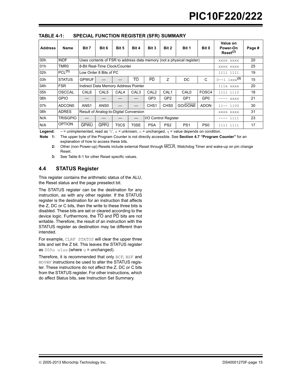| <b>Address</b> | Name               | Bit 7                                  | Bit 6                                | Bit 5            | Bit 4            | Bit 3            | Bit 2                | Bit 1                                                                 | Bit 0           | Value on<br>Power-On<br>Reset <sup>(2)</sup> | Page # |
|----------------|--------------------|----------------------------------------|--------------------------------------|------------------|------------------|------------------|----------------------|-----------------------------------------------------------------------|-----------------|----------------------------------------------|--------|
| 00h            | <b>INDF</b>        |                                        |                                      |                  |                  |                  |                      | Uses contents of FSR to address data memory (not a physical register) |                 | XXXX XXXX                                    | 20     |
| 01h            | TMR <sub>0</sub>   |                                        | 8-Bit Real-Time Clock/Counter        |                  |                  |                  |                      |                                                                       |                 | XXXX XXXX                                    | 25     |
| 02h            | PCL <sup>(1)</sup> |                                        | Low Order 8 Bits of PC               |                  |                  |                  |                      |                                                                       |                 | 1111 1111                                    | 19     |
| 03h            | <b>STATUS</b>      | <b>GPWUF</b>                           |                                      |                  | <b>TO</b>        | <b>PD</b>        | Z                    | DC.                                                                   | C               | $0 - -1$ 1xxx <sup>(3)</sup>                 | 15     |
| 04h            | <b>FSR</b>         |                                        | Indirect Data Memory Address Pointer |                  |                  |                  |                      |                                                                       |                 | 111x xxxx                                    | 20     |
| 05h            | <b>OSCCAL</b>      | CAL <sub>6</sub>                       | CAL <sub>5</sub>                     | CAL <sub>4</sub> | CAL <sub>3</sub> | CAL <sub>2</sub> | CAL <sub>1</sub>     | CAL <sub>0</sub>                                                      | FOSC4           | 1111 1110                                    | 18     |
| 06h            | <b>GPIO</b>        |                                        |                                      |                  |                  | GP3              | GP <sub>2</sub>      | GP <sub>1</sub>                                                       | GP <sub>0</sub> | XXXX                                         | 21     |
| 07h            | ADCON <sub>0</sub> | ANS <sub>1</sub>                       | ANS <sub>0</sub>                     |                  |                  | CHS <sub>1</sub> | CH <sub>S0</sub>     | GO/DONE                                                               | <b>ADON</b>     | $11--1100$                                   | 30     |
| 08h            | <b>ADRES</b>       | Result of Analog-to-Digital Conversion |                                      |                  |                  |                  |                      | XXXX XXXX                                                             | 31              |                                              |        |
| N/A            | <b>TRISGPIO</b>    |                                        |                                      |                  |                  |                  | I/O Control Register |                                                                       |                 | 1111                                         | 23     |
| N/A            | <b>OPTION</b>      | <b>GPWU</b>                            | GPPU                                 | T0CS             | T0SE             | <b>PSA</b>       | PS <sub>2</sub>      | PS <sub>1</sub>                                                       | PS <sub>0</sub> | 1111 1111                                    | 17     |

<span id="page-16-0"></span>**TABLE 4-1: SPECIAL FUNCTION REGISTER (SFR) SUMMARY**

**Legend:**  $-$  = unimplemented, read as '0',  $x$  = unknown,  $u$  = unchanged,  $q$  = value depends on condition.

**Note 1:** The upper byte of the Program Counter is not directly accessible. See **[Section 4.7 "Program Counter"](#page-20-0)** for an explanation of how to access these bits.

**2:** Other (non Power-up) Resets include external Reset through MCLR, Watchdog Timer and wake-up on pin change Reset.

**3:** See [Table 8-1](#page-35-0) for other Reset specific values.

### <span id="page-16-1"></span>**4.4 STATUS Register**

This register contains the arithmetic status of the ALU, the Reset status and the page preselect bit.

The STATUS register can be the destination for any instruction, as with any other register. If the STATUS register is the destination for an instruction that affects the Z, DC or C bits, then the write to these three bits is disabled. These bits are set or cleared according to the device logic. Furthermore, the TO and PD bits are not writable. Therefore, the result of an instruction with the STATUS register as destination may be different than intended.

For example, CLRF STATUS will clear the upper three bits and set the Z bit. This leaves the STATUS register as  $000u$  u1uu (where  $u =$  unchanged).

Therefore, it is recommended that only BCF, BSF and MOVWF instructions be used to alter the STATUS register. These instructions do not affect the Z, DC or C bits from the STATUS register. For other instructions, which do affect Status bits, see Instruction Set Summary.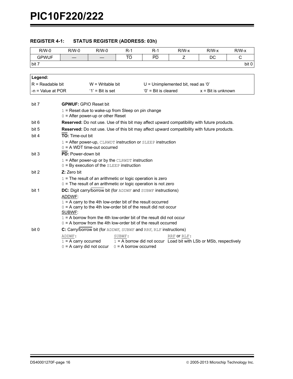| <b>REGISTER 4-1:</b> | <b>STATUS REGISTER (ADDRESS: 03h)</b> |
|----------------------|---------------------------------------|
|----------------------|---------------------------------------|

| $R/W-0$             | $R/W-0$                                                         | $R/W-0$                                                                                                                                                                                                                                                                          | $R-1$                             | $R-1$                  | $R/W-x$                                                                                     | $R/W-x$                     | $R/W-x$      |
|---------------------|-----------------------------------------------------------------|----------------------------------------------------------------------------------------------------------------------------------------------------------------------------------------------------------------------------------------------------------------------------------|-----------------------------------|------------------------|---------------------------------------------------------------------------------------------|-----------------------------|--------------|
| <b>GPWUF</b>        |                                                                 |                                                                                                                                                                                                                                                                                  | ΤŌ                                | PD                     | Z                                                                                           | DC                          | $\mathsf{C}$ |
| bit 7               |                                                                 |                                                                                                                                                                                                                                                                                  |                                   |                        |                                                                                             |                             | bit 0        |
|                     |                                                                 |                                                                                                                                                                                                                                                                                  |                                   |                        |                                                                                             |                             |              |
| Legend:             |                                                                 |                                                                                                                                                                                                                                                                                  |                                   |                        |                                                                                             |                             |              |
| $R = Readable bit$  |                                                                 | $W = W$ ritable bit                                                                                                                                                                                                                                                              |                                   |                        | $U =$ Unimplemented bit, read as '0'                                                        |                             |              |
| $-n =$ Value at POR |                                                                 | $'1'$ = Bit is set                                                                                                                                                                                                                                                               |                                   | $'0'$ = Bit is cleared |                                                                                             | $x = \text{Bit}$ is unknown |              |
| bit 7               | <b>GPWUF: GPIO Reset bit</b>                                    |                                                                                                                                                                                                                                                                                  |                                   |                        |                                                                                             |                             |              |
|                     |                                                                 | $1 =$ Reset due to wake-up from Sleep on pin change<br>$0 =$ After power-up or other Reset                                                                                                                                                                                       |                                   |                        |                                                                                             |                             |              |
| bit 6               |                                                                 |                                                                                                                                                                                                                                                                                  |                                   |                        | Reserved: Do not use. Use of this bit may affect upward compatibility with future products. |                             |              |
| bit 5               |                                                                 |                                                                                                                                                                                                                                                                                  |                                   |                        | Reserved: Do not use. Use of this bit may affect upward compatibility with future products. |                             |              |
| bit 4               | TO: Time-out bit                                                |                                                                                                                                                                                                                                                                                  |                                   |                        |                                                                                             |                             |              |
|                     |                                                                 | $1 =$ After power-up, CLRWDT instruction or SLEEP instruction<br>$0 = A WDT$ time-out occurred                                                                                                                                                                                   |                                   |                        |                                                                                             |                             |              |
| bit 3               | PD: Power-down bit                                              |                                                                                                                                                                                                                                                                                  |                                   |                        |                                                                                             |                             |              |
|                     |                                                                 | $1 =$ After power-up or by the CLRWDT instruction<br>$0 = By$ execution of the SLEEP instruction                                                                                                                                                                                 |                                   |                        |                                                                                             |                             |              |
| bit 2               | Z: Zero bit                                                     |                                                                                                                                                                                                                                                                                  |                                   |                        |                                                                                             |                             |              |
|                     |                                                                 | $1 =$ The result of an arithmetic or logic operation is zero<br>$0 =$ The result of an arithmetic or logic operation is not zero                                                                                                                                                 |                                   |                        |                                                                                             |                             |              |
| bit 1               | ADDWF:                                                          | DC: Digit carry/borrow bit (for ADDWE and SUBWE instructions)                                                                                                                                                                                                                    |                                   |                        |                                                                                             |                             |              |
|                     | SUBWF:                                                          | $1 = A$ carry to the 4th low-order bit of the result occurred<br>$0 = A$ carry to the 4th low-order bit of the result did not occur<br>$1 = A$ borrow from the 4th low-order bit of the result did not occur<br>$0 = A$ borrow from the 4th low-order bit of the result occurred |                                   |                        |                                                                                             |                             |              |
| bit 0               |                                                                 | C: Carry/borrow bit (for ADDWE, SUBWE and RRE, RLE instructions)                                                                                                                                                                                                                 |                                   |                        |                                                                                             |                             |              |
|                     | ADDWF:<br>$1 = A$ carry occurred<br>$0 = A$ carry did not occur |                                                                                                                                                                                                                                                                                  | SUBWF:<br>$0 = A$ borrow occurred |                        | RRF Or RLF:<br>$1 = A$ borrow did not occur Load bit with LSb or MSb, respectively          |                             |              |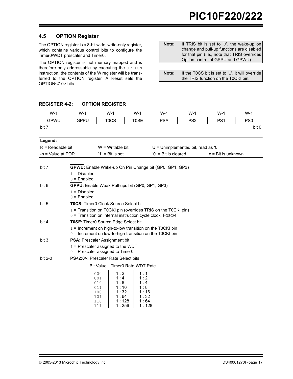#### <span id="page-18-0"></span>**4.5 OPTION Register**

The OPTION register is a 8-bit wide, write-only register, which contains various control bits to configure the Timer0/WDT prescaler and Timer0.

The OPTION register is not memory mapped and is therefore only addressable by executing the OPTION instruction, the contents of the W register will be transferred to the OPTION register. A Reset sets the OPTION<7:0> bits.

| Note: | If TRIS bit is set to '0', the wake-up on             |
|-------|-------------------------------------------------------|
|       | change and pull-up functions are disabled             |
|       | for that pin ( <i>i.e.</i> , note that TRIS overrides |
|       | Option control of GPPU and GPWU).                     |

| Note: | If the TOCS bit is set to '1', it will override |
|-------|-------------------------------------------------|
|       | the TRIS function on the TOCKI pin.             |

#### **REGISTER 4-2: OPTION REGISTER**

| $W-1$       | $W-1$       | $W-1$       | $W-1$       | $W-1$      | $W-1$           | $W-1$           | $W-1$           |
|-------------|-------------|-------------|-------------|------------|-----------------|-----------------|-----------------|
| <b>GPWU</b> | <b>GPPU</b> | <b>TOCS</b> | <b>T0SE</b> | <b>PSA</b> | PS <sub>2</sub> | PS <sub>1</sub> | PS <sub>0</sub> |
| bit 7       |             |             |             |            |                 |                 | bit 0           |
|             |             |             |             |            |                 |                 |                 |
| Legend:     |             |             |             |            |                 |                 |                 |

| $IR = Readable bit$    | $W = W$ ritable bit | $U =$ Unimplemented bit, read as '0' |                             |
|------------------------|---------------------|--------------------------------------|-----------------------------|
| $l - n =$ Value at POR | $'1'$ = Bit is set  | $0'$ = Bit is cleared                | $x = \text{Bit}$ is unknown |

| bit 7   | <b>GPWU:</b> Enable Wake-up On Pin Change bit (GP0, GP1, GP3) |                      |                                                                 |  |  |
|---------|---------------------------------------------------------------|----------------------|-----------------------------------------------------------------|--|--|
|         | $1 = Disabled$                                                |                      |                                                                 |  |  |
|         | $0 =$ Enabled                                                 |                      |                                                                 |  |  |
| bit 6   | <b>GPPU:</b> Enable Weak Pull-ups bit (GP0, GP1, GP3)         |                      |                                                                 |  |  |
|         | $1 = Disabled$                                                |                      |                                                                 |  |  |
|         | $0 =$ Enabled                                                 |                      |                                                                 |  |  |
| bit 5   | <b>T0CS:</b> Timer0 Clock Source Select bit                   |                      |                                                                 |  |  |
|         |                                                               |                      | $1 =$ Transition on T0CKI pin (overrides TRIS on the T0CKI pin) |  |  |
|         |                                                               |                      | $0 =$ Transition on internal instruction cycle clock, Fosc/4    |  |  |
| bit 4   | <b>T0SE:</b> Timer0 Source Edge Select bit                    |                      |                                                                 |  |  |
|         |                                                               |                      | $1 =$ Increment on high-to-low transition on the T0CKI pin      |  |  |
|         |                                                               |                      | $0 =$ Increment on low-to-high transition on the TOCKI pin      |  |  |
| bit 3   | <b>PSA:</b> Prescaler Assignment bit                          |                      |                                                                 |  |  |
|         | $1$ = Prescaler assigned to the WDT                           |                      |                                                                 |  |  |
|         | $0 =$ Prescaler assigned to Timer0                            |                      |                                                                 |  |  |
| bit 2-0 | <b>PS&lt;2:0&gt;:</b> Prescaler Rate Select bits              |                      |                                                                 |  |  |
|         | <b>Bit Value</b>                                              | Timer0 Rate WDT Rate |                                                                 |  |  |
|         | 000                                                           | 1:2                  | 1 : 1                                                           |  |  |
|         | 001                                                           | 1:4                  | 1:2                                                             |  |  |
|         | 010                                                           | 1:8                  | 1:4                                                             |  |  |
|         | 011                                                           | 1 : 16               | 1:8                                                             |  |  |
|         | 100                                                           | 1 : 32               | 1:16                                                            |  |  |
|         | 101                                                           | 1:64                 | 1 : 32                                                          |  |  |

1 : 128 1 : 256

1 : 64 1 : 128

110 111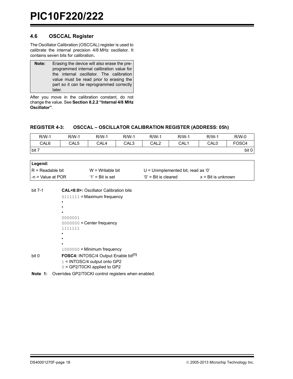#### <span id="page-19-0"></span>**4.6 OSCCAL Register**

The Oscillator Calibration (OSCCAL) register is used to calibrate the internal precision 4/8 MHz oscillator. It contains seven bits for calibration.

| Note: | Erasing the device will also erase the pre- |  |  |  |  |  |  |
|-------|---------------------------------------------|--|--|--|--|--|--|
|       | programmed internal calibration value for   |  |  |  |  |  |  |
|       | the internal oscillator. The calibration    |  |  |  |  |  |  |
|       | value must be read prior to erasing the     |  |  |  |  |  |  |
|       | part so it can be reprogrammed correctly    |  |  |  |  |  |  |
|       | later.                                      |  |  |  |  |  |  |

After you move in the calibration constant, do not change the value. See **[Section 8.2.2 "Internal 4/8 MHz](#page-35-1) [Oscillator"](#page-35-1)**.

| $R/W-1$ | $R/M-1$ | R/W-1 | $R/M-1$ | $R/W-1$ | <b>R/W-1</b> | R/W-1 | $R/W-0$           |
|---------|---------|-------|---------|---------|--------------|-------|-------------------|
|         |         |       |         |         |              |       |                   |
| CAL6    | CAL5    | CAL4  | CAL3    | CAL2    | CAL1         | CAL0  | FOSC <sub>4</sub> |
| bit 7   |         |       |         |         |              |       | bit 0             |

| $\cap$ $\Lambda$ $\Gamma$ $\Omega$<br>CAL6 | CAL5 | <b>CAL</b><br>Δ | CAL3 | CAL <sub>2</sub> | CAL. | CAL <sub>0</sub> | C<br>יטט |
|--------------------------------------------|------|-----------------|------|------------------|------|------------------|----------|
|                                            |      |                 |      |                  |      |                  |          |

**REGISTER 4-3: OSCCAL – OSCILLATOR CALIBRATION REGISTER (ADDRESS: 05h)**

| Legend:                   |                     |                                    |                             |
|---------------------------|---------------------|------------------------------------|-----------------------------|
| IR = Readable bit         | $W = W$ ritable bit | U = Unimplemented bit, read as '0' |                             |
| $\vert$ -n = Value at POR | $'1'$ = Bit is set  | $'0'$ = Bit is cleared             | $x = \text{Bit}$ is unknown |
|                           |                     |                                    |                             |

```
bit 7-1 CAL<6:0>: Oscillator Calibration bits
              0111111 = Maximum frequency
              •
              •
              •
              0000001
              0000000 = Center frequency
              1111111
              •
              •
              •
              1000000 = Minimum frequency
bit 0 FOSC4: INTOSC/4 Output Enable bit(1)
              1 = INTOSC/4 output onto GP2
              0 = GP2/T0CKI applied to GP2
```
**Note 1:** Overrides GP2/T0CKI control registers when enabled.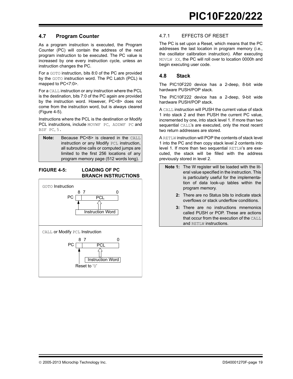#### <span id="page-20-0"></span>**4.7 Program Counter**

As a program instruction is executed, the Program Counter (PC) will contain the address of the next program instruction to be executed. The PC value is increased by one every instruction cycle, unless an instruction changes the PC.

For a GOTO instruction, bits 8:0 of the PC are provided by the GOTO instruction word. The PC Latch (PCL) is mapped to PC<7:0>.

For a CALL instruction or any instruction where the PCL is the destination, bits 7:0 of the PC again are provided by the instruction word. However, PC<8> does not come from the instruction word, but is always cleared ([Figure 4-5\)](#page-20-1).

Instructions where the PCL is the destination or Modify PCL instructions, include MOVWF PC, ADDWF PC and BSF PC, 5.

| Note: | Because PC<8> is cleared in the CALL       |
|-------|--------------------------------------------|
|       | instruction or any Modify PCL instruction, |
|       | all subroutine calls or computed jumps are |
|       | limited to the first 256 locations of any  |
|       | program memory page (512 words long).      |

#### <span id="page-20-1"></span>**FIGURE 4-5: LOADING OF PC BRANCH INSTRUCTIONS**



#### 4.7.1 EFFECTS OF RESET

The PC is set upon a Reset, which means that the PC addresses the last location in program memory (i.e., the oscillator calibration instruction). After executing MOVLW XX, the PC will roll over to location 0000h and begin executing user code.

### **4.8 Stack**

The PIC10F220 device has a 2-deep, 8-bit wide hardware PUSH/POP stack.

The PIC10F222 device has a 2-deep, 9-bit wide hardware PUSH/POP stack.

A CALL instruction will PUSH the current value of stack 1 into stack 2 and then PUSH the current PC value, incremented by one, into stack level 1. If more than two sequential CALL's are executed, only the most recent two return addresses are stored.

A RETLW instruction will POP the contents of stack level 1 into the PC and then copy stack level 2 contents into level 1. If more than two sequential RETLW's are executed, the stack will be filled with the address previously stored in level 2.

- **Note 1:** The W register will be loaded with the literal value specified in the instruction. This is particularly useful for the implementation of data look-up tables within the program memory.
	- **2:** There are no Status bits to indicate stack overflows or stack underflow conditions.
	- **3:** There are no instructions mnemonics called PUSH or POP. These are actions that occur from the execution of the CALL and RETLW instructions.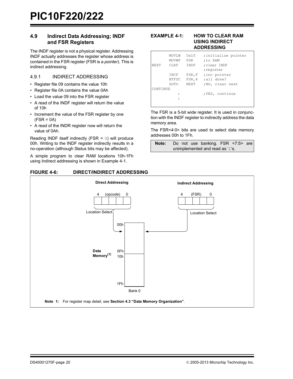#### <span id="page-21-0"></span>**4.9 Indirect Data Addressing; INDF and FSR Registers**

The INDF register is not a physical register. Addressing INDF actually addresses the register whose address is contained in the FSR register (FSR is a *pointer*). This is indirect addressing.

#### 4.9.1 INDIRECT ADDRESSING

- Register file 09 contains the value 10h
- Register file 0A contains the value 0Ah
- Load the value 09 into the FSR register
- A read of the INDF register will return the value of 10h
- Increment the value of the FSR register by one  $(FSR = 0A)$
- A read of the INDR register now will return the value of 0Ah.

Reading INDF itself indirectly (FSR = 0) will produce 00h. Writing to the INDF register indirectly results in a no-operation (although Status bits may be affected).

A simple program to clear RAM locations 10h-1Fh using Indirect addressing is shown in [Example 4-1.](#page-21-1)

#### **FIGURE 4-6: DIRECT/INDIRECT ADDRESSING**

<span id="page-21-1"></span>

| NEXT     | MOVT <sub>W</sub><br>MOVWF<br>CLRF<br>INCF<br><b>BTFSC</b><br>GOTO | $0 \times 10$<br><b>FSR</b><br><b>TNDF</b><br>FSR, F<br>FSR, 4<br><b>NEXT</b> | ; initialize pointer<br>:to RAM<br>:clear INDF<br>; reqister<br>; inc pointer<br>all done?<br>;NO, clear next |
|----------|--------------------------------------------------------------------|-------------------------------------------------------------------------------|---------------------------------------------------------------------------------------------------------------|
| CONTINUE |                                                                    |                                                                               |                                                                                                               |
|          |                                                                    |                                                                               | ; YES, continue                                                                                               |
|          |                                                                    |                                                                               |                                                                                                               |
|          |                                                                    |                                                                               |                                                                                                               |

The FSR is a 5-bit wide register. It is used in conjunction with the INDF register to indirectly address the data memory area.

The FSR<4:0> bits are used to select data memory addresses 00h to 1Fh.

**Note:** Do not use banking. FSR <7:5> are unimplemented and read as '1's.

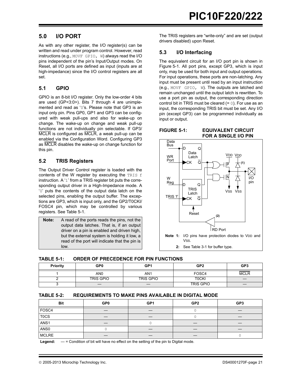### <span id="page-22-0"></span>**5.0 I/O PORT**

As with any other register, the I/O register(s) can be written and read under program control. However, read instructions (e.g., MOVF GPIO, W) always read the I/O pins independent of the pin's Input/Output modes. On Reset, all I/O ports are defined as input (inputs are at high-impedance) since the I/O control registers are all set.

#### <span id="page-22-1"></span>**5.1 GPIO**

GPIO is an 8-bit I/O register. Only the low-order 4 bits are used (GP<3:0>). Bits 7 through 4 are unimplemented and read as '0's. Please note that GP3 is an input only pin. Pins GP0, GP1 and GP3 can be configured with weak pull-ups and also for wake-up on change. The wake-up on change and weak pull-up functions are not individually pin selectable. If GP3/ MCLR is configured as MCLR, a weak pull-up can be enabled via the Configuration Word. Configuring GP3 as MCLR disables the wake-up on change function for this pin.

#### **5.2 TRIS Registers**

The Output Driver Control register is loaded with the contents of the W register by executing the TRIS  $f$ instruction. A '1' from a TRIS register bit puts the corresponding output driver in a High-Impedance mode. A '0' puts the contents of the output data latch on the selected pins, enabling the output buffer. The exceptions are GP3, which is input only, and the GP2/T0CKI/ FOSC4 pin, which may be controlled by various registers. See [Table 5-1.](#page-22-2)

| Note: | A read of the ports reads the pins, not the    |
|-------|------------------------------------------------|
|       | output data latches. That is, if an output     |
|       | driver on a pin is enabled and driven high,    |
|       | but the external system is holding it low, a   |
|       | read of the port will indicate that the pin is |
|       | low.                                           |

The TRIS registers are "write-only" and are set (output drivers disabled) upon Reset.

### **5.3 I/O Interfacing**

The equivalent circuit for an I/O port pin is shown in [Figure 5-1.](#page-22-3) All port pins, except GP3, which is input only, may be used for both input and output operations. For input operations, these ports are non-latching. Any input must be present until read by an input instruction (e.g., MOVF GPIO, W). The outputs are latched and remain unchanged until the output latch is rewritten. To use a port pin as output, the corresponding direction control bit in TRIS must be cleared  $(= 0)$ . For use as an input, the corresponding TRIS bit must be set. Any I/O pin (except GP3) can be programmed individually as input or output.

<span id="page-22-3"></span>**FIGURE 5-1: EQUIVALENT CIRCUIT FOR A SINGLE I/O PIN**



<span id="page-22-2"></span>

| <b>TABLE 5-1:</b> | ORDER OF PRECEDENCE FOR PIN FUNCTIONS |
|-------------------|---------------------------------------|
|                   |                                       |

| <b>Priority</b> | GP <sub>0</sub>  | GP <sub>1</sub> | GP <sub>2</sub>  | GP <sub>3</sub> |
|-----------------|------------------|-----------------|------------------|-----------------|
|                 | AN0              | AN <sub>1</sub> | FOSC4            | <b>MCLR</b>     |
|                 | <b>TRIS GPIO</b> | TRIS GPIO       | <b>TOCKI</b>     |                 |
|                 |                  |                 | <b>TRIS GPIO</b> | –               |

#### **TABLE 5-2: REQUIREMENTS TO MAKE PINS AVAILABLE IN DIGITAL MODE**

| <b>Bit</b>   | GP <sub>0</sub> | GP <sub>1</sub> | GP <sub>2</sub> | GP <sub>3</sub> |
|--------------|-----------------|-----------------|-----------------|-----------------|
| FOSC4        |                 |                 |                 |                 |
| T0CS         |                 |                 |                 |                 |
| ANS1         |                 |                 |                 |                 |
| ANS0         |                 |                 | –               |                 |
| <b>MCLRE</b> |                 |                 |                 |                 |

**Legend:** — = Condition of bit will have no effect on the setting of the pin to Digital mode.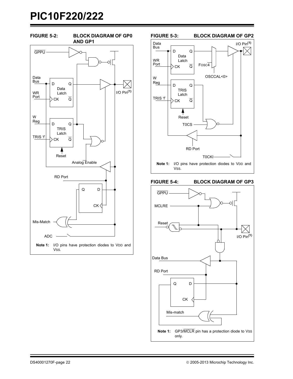





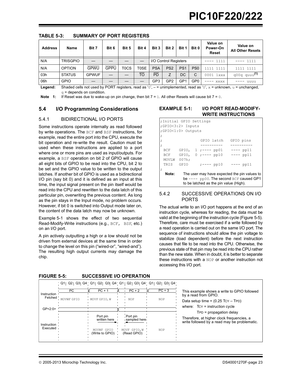| <b>Address</b> | <b>Name</b>     | Bit 7        | Bit 6 | Bit 5 | Bit 4     | Bit 3                 | Bit 2           | Bit 1           | Bit 0           | Value on<br>Power-On<br>Reset | Value on<br><b>All Other Resets</b> |
|----------------|-----------------|--------------|-------|-------|-----------|-----------------------|-----------------|-----------------|-----------------|-------------------------------|-------------------------------------|
| N/A            | <b>TRISGPIO</b> |              |       |       |           | I/O Control Registers |                 |                 |                 | 1111                          | 1111<br>----                        |
| N/A            | <b>OPTION</b>   | <b>GPWU</b>  | GPPU  | T0CS  | T0SE      | <b>PSA</b>            | PS <sub>2</sub> | PS <sub>1</sub> | PS <sub>0</sub> | 1111 1111                     | 1111 1111                           |
| 03h            | <b>STATUS</b>   | <b>GPWUF</b> |       |       | <b>TO</b> | <b>PD</b>             | Ζ               | DC              | $\mathcal{C}$   | 0001 1xxx                     | q00q quuu <sup>(1)</sup>            |
| 06h            | <b>GPIO</b>     |              |       |       |           | GP <sub>3</sub>       | GP <sub>2</sub> | GP1             | GP <sub>0</sub> | XXXX                          | uuuu                                |

**TABLE 5-3: SUMMARY OF PORT REGISTERS**

Legend: Shaded cells not used by PORT registers, read as '0', - = unimplemented, read as '0', x = unknown, u = unchanged,  $q =$  depends on condition.

**Note 1:** If Reset was due to wake-up on pin change, then bit  $7 = 1$ . All other Resets will cause bit  $7 = 0$ .

#### **5.4 I/O Programming Considerations**

#### 5.4.1 BIDIRECTIONAL I/O PORTS

Some instructions operate internally as read followed by write operations. The BCF and BSF instructions, for example, read the entire port into the CPU, execute the bit operation and re-write the result. Caution must be used when these instructions are applied to a port where one or more pins are used as input/outputs. For example, a BSF operation on bit 2 of GPIO will cause all eight bits of GPIO to be read into the CPU, bit 2 to be set and the GPIO value to be written to the output latches. If another bit of GPIO is used as a bidirectional I/O pin (say bit 0) and it is defined as an input at this time, the input signal present on the pin itself would be read into the CPU and rewritten to the data latch of this particular pin, overwriting the previous content. As long as the pin stays in the Input mode, no problem occurs. However, if bit 0 is switched into Output mode later on, the content of the data latch may now be unknown.

[Example 5-1](#page-24-1) shows the effect of two sequential Read-Modify-Write instructions (e.g., BCF, BSF, etc.) on an I/O port.

A pin actively outputting a high or a low should not be driven from external devices at the same time in order to change the level on this pin ("wired-or", "wired-and"). The resulting high output currents may damage the chip.

#### <span id="page-24-1"></span>**EXAMPLE 5-1: I/O PORT READ-MODIFY-WRITE INSTRUCTIONS**

| ; Initial GPIO Settings                               |                                          |            |  |  |  |  |  |  |
|-------------------------------------------------------|------------------------------------------|------------|--|--|--|--|--|--|
| ;GPIO<3:2> Inputs                                     |                                          |            |  |  |  |  |  |  |
| ;GPIO<1:0> Outputs                                    |                                          |            |  |  |  |  |  |  |
|                                                       |                                          |            |  |  |  |  |  |  |
|                                                       | GPIO latch                               | GPIO pins  |  |  |  |  |  |  |
|                                                       | -----                                    |            |  |  |  |  |  |  |
| BCF                                                   | GPIO, $1; --- pp01$                      | $---$ pp11 |  |  |  |  |  |  |
| BCF                                                   | GPIO, $0$ ;---- pp10                     | $---$ pp11 |  |  |  |  |  |  |
| MOVLW<br>$007h$ ;                                     |                                          |            |  |  |  |  |  |  |
| TRIS<br>GPTO                                          | $:---$ pp10                              | $---$ pp11 |  |  |  |  |  |  |
|                                                       |                                          |            |  |  |  |  |  |  |
| Note:<br>The user may have expected the pin values to |                                          |            |  |  |  |  |  |  |
|                                                       | be $---$ pp00. The second BCF caused GP1 |            |  |  |  |  |  |  |
|                                                       | to be latched as the pin value (High).   |            |  |  |  |  |  |  |

#### 5.4.2 SUCCESSIVE OPERATIONS ON I/O PORTS

The actual write to an I/O port happens at the end of an instruction cycle, whereas for reading, the data must be valid at the beginning of the instruction cycle [\(Figure 5-5\)](#page-24-2). Therefore, care must be exercised if a write followed by a read operation is carried out on the same I/O port. The sequence of instructions should allow the pin voltage to stabilize (load dependent) before the next instruction causes that file to be read into the CPU. Otherwise, the previous state of that pin may be read into the CPU rather than the new state. When in doubt, it is better to separate these instructions with a NOP or another instruction not accessing this I/O port.

|                          |                  |                               |                             | Q1  Q2  Q3  Q4   Q1  Q2  Q3  Q4   Q1  Q2  Q3  Q4   Q1  Q2  Q3  Q4 |                                                                                                                        |
|--------------------------|------------------|-------------------------------|-----------------------------|-------------------------------------------------------------------|------------------------------------------------------------------------------------------------------------------------|
| Instruction<br>Fetched ' | PC<br>MOVWF GPIO | $PC + 1$<br>MOVF GPIO, W      | $PC + 2$<br><b>NOP</b>      | $PC + 3$<br><b>NOP</b>                                            | This example shows a write to GPIO followed<br>by a read from GPIO.<br>Data setup time = $(0.25$ TCY - TPD)            |
| GP < 2:0                 |                  |                               |                             |                                                                   | where: $TCY =$ instruction cycle                                                                                       |
| Instruction              |                  | Port pin<br>written here      | Port pin<br>sampled here    |                                                                   | $TPD = propagation$ delay<br>Therefore, at higher clock frequencies, a<br>write followed by a read may be problematic. |
| Executed                 |                  | MOVWF GPIO<br>(Write to GPIO) | MOVF GPIO, W<br>(Read GPIO) | <b>NOP</b>                                                        |                                                                                                                        |
|                          |                  |                               |                             |                                                                   |                                                                                                                        |

<span id="page-24-2"></span><span id="page-24-0"></span>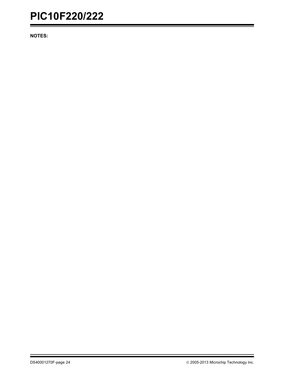**NOTES:**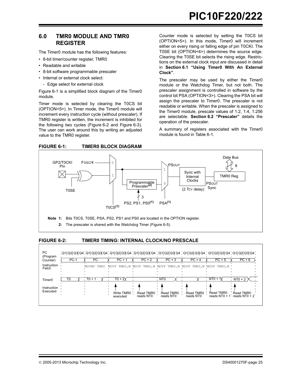#### <span id="page-26-1"></span><span id="page-26-0"></span>**6.0 TMR0 MODULE AND TMR0 REGISTER**

The Timer0 module has the following features:

- 8-bit timer/counter register, TMR0
- Readable and writable
- 8-bit software programmable prescaler
- Internal or external clock select:
- Edge select for external clock

[Figure 6-1](#page-26-2) is a simplified block diagram of the Timer0 module.

Timer mode is selected by clearing the T0CS bit (OPTION<5>). In Timer mode, the Timer0 module will increment every instruction cycle (without prescaler). If TMR0 register is written, the increment is inhibited for the following two cycles [\(Figure 6-2](#page-26-3) and [Figure 6-3](#page-27-0)). The user can work around this by writing an adjusted value to the TMR0 register.

<span id="page-26-2"></span>

Counter mode is selected by setting the T0CS bit (OPTION<5>). In this mode, Timer0 will increment either on every rising or falling edge of pin T0CKI. The T0SE bit (OPTION<4>) determines the source edge. Clearing the T0SE bit selects the rising edge. Restrictions on the external clock input are discussed in detail in **[Section 6.1 "Using Timer0 With An External](#page-27-1) [Clock"](#page-27-1)**.

The prescaler may be used by either the Timer0 module or the Watchdog Timer, but not both. The prescaler assignment is controlled in software by the control bit PSA (OPTION<3>). Clearing the PSA bit will assign the prescaler to Timer0. The prescaler is not readable or writable. When the prescaler is assigned to the Timer0 module, prescale values of 1:2, 1:4, 1:256 are selectable. **[Section 6.2 "Prescaler"](#page-28-0)** details the operation of the prescaler.

A summary of registers associated with the Timer0 module is found in [Table 6-1](#page-27-2).



#### <span id="page-26-3"></span>**FIGURE 6-2: TIMER0 TIMING: INTERNAL CLOCK/NO PRESCALE**

| PC<br>(Program<br>Counter)<br>Instruction<br>Fetch | $PC-1$ | РC<br>MOVWF TMR0 | , 01 02 03 04 , 01 02 03 04 , 01 02 03 04 , 01 02 03 04 , 01 02 03 04 , 01 02 03 04 , 01 02 03 04 , 01 02 03 04<br>$PC + 1$<br>MOVF TMR0, W MOVF TMR0, W MOVF TMR0, W MOVF TMR0, W MOVF TMR0, W | $PC + 2$               | $PC + 3$                                  | $PC + 4$               | $PC + 5$                                  | $PC + 6$                                  |
|----------------------------------------------------|--------|------------------|-------------------------------------------------------------------------------------------------------------------------------------------------------------------------------------------------|------------------------|-------------------------------------------|------------------------|-------------------------------------------|-------------------------------------------|
| Timer <sub>0</sub><br>Instruction<br>Executed      | T0     | $T0 + 1$         | Write TMR0<br>executed                                                                                                                                                                          | Read TMR0<br>reads NT0 | NT <sub>0</sub><br>Read TMR0<br>reads NT0 | Read TMR0<br>reads NT0 | $NT0 + 1$<br>Read TMR0<br>reads $NT0 + 1$ | $NT0 + 2$<br>Read TMR0<br>reads $NT0 + 2$ |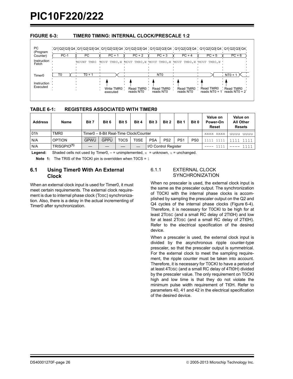#### <span id="page-27-0"></span>**FIGURE 6-3: TIMER0 TIMING: INTERNAL CLOCK/PRESCALE 1:2**



#### <span id="page-27-2"></span>**TABLE 6-1: REGISTERS ASSOCIATED WITH TIMER0**

| <b>Address</b> | Name                    | Bit 7       | Bit 6                                  | Bit 5             | Bit 4 | Bit 3                | Bit 2           | Bit 1           | Bit 0           | Value on<br>Power-On<br>Reset | Value on<br><b>All Other</b><br><b>Resets</b> |
|----------------|-------------------------|-------------|----------------------------------------|-------------------|-------|----------------------|-----------------|-----------------|-----------------|-------------------------------|-----------------------------------------------|
| 01h            | TMR <sub>0</sub>        |             | Timer0 - 8-Bit Real-Time Clock/Counter |                   |       |                      |                 |                 |                 | XXXX XXXX                     | uuuu<br>uuuu                                  |
| N/A            | <b>OPTION</b>           | <b>GPWU</b> | <b>GPPU</b>                            | T <sub>0</sub> CS | T0SE  | <b>PSA</b>           | PS <sub>2</sub> | PS <sub>1</sub> | PS <sub>0</sub> |                               | 1111                                          |
| N/A            | TRISGPIO <sup>(1)</sup> |             |                                        |                   |       | I/O Control Register |                 |                 | 1111            | 111                           |                                               |

**Legend:** Shaded cells not used by Timer0,  $-$  = unimplemented,  $x =$  unknown,  $u =$  unchanged.

**Note 1:** The TRIS of the T0CKI pin is overridden when T0CS = 1

#### <span id="page-27-1"></span>**6.1 Using Timer0 With An External Clock**

When an external clock input is used for Timer0, it must meet certain requirements. The external clock requirement is due to internal phase clock (TOSC) synchronization. Also, there is a delay in the actual incrementing of Timer0 after synchronization.

#### 6.1.1 EXTERNAL CLOCK **SYNCHRONIZATION**

When no prescaler is used, the external clock input is the same as the prescaler output. The synchronization of T0CKI with the internal phase clocks is accomplished by sampling the prescaler output on the Q2 and Q4 cycles of the internal phase clocks ([Figure 6-4](#page-28-1)). Therefore, it is necessary for T0CKI to be high for at least 2TOSC (and a small RC delay of 2Tt0H) and low for at least 2TOSC (and a small RC delay of 2Tt0H). Refer to the electrical specification of the desired device.

When a prescaler is used, the external clock input is divided by the asynchronous ripple counter-type prescaler, so that the prescaler output is symmetrical. For the external clock to meet the sampling requirement, the ripple counter must be taken into account. Therefore, it is necessary for T0CKI to have a period of at least 4TOSC (and a small RC delay of 4Tt0H) divided by the prescaler value. The only requirement on T0CKI high and low time is that they do not violate the minimum pulse width requirement of Tt0H. Refer to parameters 40, 41 and 42 in the electrical specification of the desired device.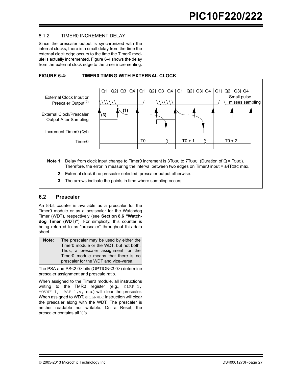#### 6.1.2 TIMER0 INCREMENT DELAY

Since the prescaler output is synchronized with the internal clocks, there is a small delay from the time the external clock edge occurs to the time the Timer0 module is actually incremented. [Figure 6-4](#page-28-1) shows the delay from the external clock edge to the timer incrementing.

<span id="page-28-1"></span>



#### <span id="page-28-0"></span>**6.2 Prescaler**

An 8-bit counter is available as a prescaler for the Timer0 module or as a postscaler for the Watchdog Timer (WDT), respectively (see **[Section 8.6 "Watch](#page-39-0)[dog Timer \(WDT\)"](#page-39-0)**). For simplicity, this counter is being referred to as "prescaler" throughout this data sheet.

| Note: | The prescaler may be used by either the |
|-------|-----------------------------------------|
|       | Timer0 module or the WDT, but not both. |
|       | Thus, a prescaler assignment for the    |
|       | Timer0 module means that there is no    |
|       | prescaler for the WDT and vice-versa.   |

The PSA and PS<2:0> bits (OPTION<3:0>) determine prescaler assignment and prescale ratio.

When assigned to the Timer0 module, all instructions writing to the TMR0 register (e.g.,  $CLRF 1$ , MOVWF 1, BSF  $1, x$ , etc.) will clear the prescaler. When assigned to WDT, a CLRWDT instruction will clear the prescaler along with the WDT. The prescaler is neither readable nor writable. On a Reset, the prescaler contains all '0's.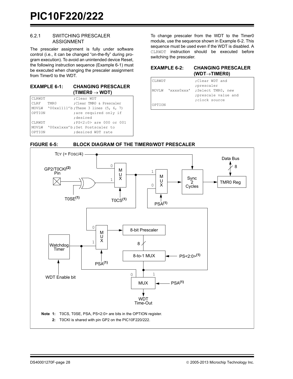#### 6.2.1 SWITCHING PRESCALER ASSIGNMENT

The prescaler assignment is fully under software control (i.e., it can be changed "on-the-fly" during program execution). To avoid an unintended device Reset, the following instruction sequence ([Example 6-1](#page-29-1)) must be executed when changing the prescaler assignment from Timer0 to the WDT.

#### <span id="page-29-1"></span>**EXAMPLE 6-1: CHANGING PRESCALER**   $(TIMER0 \rightarrow WDT)$

| CLRWDT        |      | ;Clear WDT                                   |
|---------------|------|----------------------------------------------|
| CLRF          | TMR0 | :Clear TMRO & Prescaler                      |
|               |      | MOVLW '00xx1111'b; These 3 lines $(5, 6, 7)$ |
| OPTION        |      | ; are required only if                       |
|               |      | :desired                                     |
| <b>CLRWDT</b> |      | ;PS<2:0> are 000 or 001                      |
|               |      | MOVLW '00xx1xxx'b; Set Postscaler to         |
| OPTION        |      | :desired WDT rate                            |

To change prescaler from the WDT to the Timer0 module, use the sequence shown in [Example 6-2](#page-29-2). This sequence must be used even if the WDT is disabled. A CLRWDT instruction should be executed before switching the prescaler.

<span id="page-29-2"></span>

| <b>EXAMPLE 6-2:</b> | <b>CHANGING PRESCALER</b> |
|---------------------|---------------------------|
|                     | $(WDT\rightarrow TIMER0)$ |

| <b>CLRWDT</b> | ;Clear WDT and                      |
|---------------|-------------------------------------|
|               | ;prescaler                          |
|               | MOVLW 'XXXXOXXX' ; Select TMRO, new |
|               | ; prescale value and                |
|               | ; clock source                      |
| OPTION        |                                     |

<span id="page-29-0"></span>

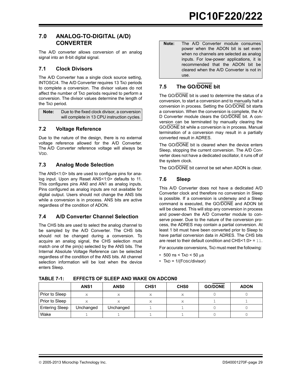### <span id="page-30-0"></span>**7.0 ANALOG-TO-DIGITAL (A/D) CONVERTER**

The A/D converter allows conversion of an analog signal into an 8-bit digital signal.

#### **7.1 Clock Divisors**

The A/D Converter has a single clock source setting, INTOSC/4. The A/D Converter requires 13 TAD periods to complete a conversion. The divisor values do not affect the number of TAD periods required to perform a conversion. The divisor values determine the length of the TAD period.

**Note:** Due to the fixed clock divisor, a conversion will complete in 13 CPU instruction cycles.

### **7.2 Voltage Reference**

Due to the nature of the design, there is no external voltage reference allowed for the A/D Converter. The A/D Converter reference voltage will always be VDD.

### **7.3 Analog Mode Selection**

The ANS<1:0> bits are used to configure pins for analog input. Upon any Reset ANS<1:0> defaults to 11. This configures pins AN0 and AN1 as analog inputs. Pins configured as analog inputs are not available for digital output. Users should not change the ANS bits while a conversion is in process. ANS bits are active regardless of the condition of ADON.

### **7.4 A/D Converter Channel Selection**

The CHS bits are used to select the analog channel to be sampled by the A/D Converter. The CHS bits should not be changed during a conversion. To acquire an analog signal, the CHS selection must match one of the pin(s) selected by the ANS bits. The Internal Absolute Voltage Reference can be selected regardless of the condition of the ANS bits. All channel selection information will be lost when the device enters Sleep.

**Note:** The A/D Converter module consumes power when the ADON bit is set even when no channels are selected as analog inputs. For low-power applications, it is recommended that the ADON bit be cleared when the A/D Converter is not in use.

# **7.5 The GO/DONE bit**

The GO/DONE bit is used to determine the status of a conversion, to start a conversion and to manually halt a conversion in process. Setting the GO/DONE bit starts a conversion. When the conversion is complete, the A/ D Converter module clears the GO/DONE bit. A conversion can be terminated by manually clearing the GO/DONE bit while a conversion is in process. Manual termination of a conversion may result in a partially converted result in ADRES.

The GO/DONE bit is cleared when the device enters Sleep, stopping the current conversion. The A/D Converter does not have a dedicated oscillator, it runs off of the system clock.

The GO/DONE bit cannot be set when ADON is clear.

## **7.6 Sleep**

This A/D Converter does not have a dedicated A/D Converter clock and therefore no conversion in Sleep is possible. If a conversion is underway and a Sleep command is executed, the GO/DONE and ADON bit will be cleared. This will stop any conversion in process and power-down the A/D Converter module to conserve power. Due to the nature of the conversion process, the ADRES may contain a partial conversion. At least 1 bit must have been converted prior to Sleep to have partial conversion data in ADRES. The CHS bits are reset to their default condition and CHS<1:0> = 11.

For accurate conversions, TAD must meet the following:

- 500 ns < TAD <  $50 \mu s$
- TAD = 1/(FOSC/divisor)

|                       | ANS <sub>1</sub> | ANS <sub>0</sub> | CH <sub>S1</sub> | CH <sub>S0</sub> | <b>GO/DONE</b> | <b>ADON</b> |
|-----------------------|------------------|------------------|------------------|------------------|----------------|-------------|
| Prior to Sleep        | X                | X                |                  | x                |                |             |
| Prior to Sleep        | X                | X                |                  | X                |                |             |
| <b>Entering Sleep</b> | Unchanged        | Unchanged        |                  |                  |                |             |
| Wake                  |                  |                  |                  |                  |                |             |

**TABLE 7-1: EFFECTS OF SLEEP AND WAKE ON ADCON0**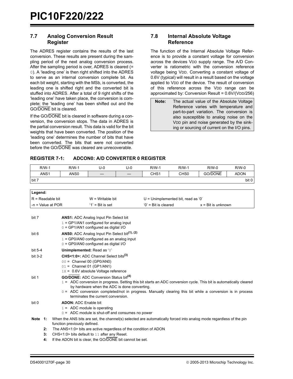#### **7.7 Analog Conversion Result Register**

The ADRES register contains the results of the last conversion. These results are present during the sampling period of the next analog conversion process. After the sampling period is over, ADRES is cleared (= 0). A 'leading one' is then right shifted into the ADRES to serve as an internal conversion complete bit. As each bit weight, starting with the MSb, is converted, the leading one is shifted right and the converted bit is stuffed into ADRES. After a total of 9 right shifts of the 'leading one' have taken place, the conversion is complete; the 'leading one' has been shifted out and the GO/DONE bit is cleared.

If the GO/DONE bit is cleared in software during a conversion, the conversion stops. The data in ADRES is the partial conversion result. This data is valid for the bit weights that have been converted. The position of the 'leading one' determines the number of bits that have been converted. The bits that were not converted before the GO/DONE was cleared are unrecoverable.

#### **7.8 Internal Absolute Voltage Reference**

The function of the Internal Absolute Voltage Reference is to provide a constant voltage for conversion across the devices VDD supply range. The A/D Converter is ratiometric with the conversion reference voltage being VDD. Converting a constant voltage of 0.6V (typical) will result in a result based on the voltage applied to VDD of the device. The result of conversion of this reference across the VDD range can be approximated by: Conversion Result = 0.6V/(VDD/256)

**Note:** The actual value of the Absolute Voltage Reference varies with temperature and part-to-part variation. The conversion is also susceptible to analog noise on the VDD pin and noise generated by the sinking or sourcing of current on the I/O pins.

#### <span id="page-31-0"></span>**REGISTER 7-1: ADCON0: A/D CONVERTER 0 REGISTER**

| $R/W-1$             | $R/W-1$                    | U-0                                                                                             | $U-0$ | $R/W-1$                | R/W-1                                | $R/W-0$                     | $R/W-0$     |
|---------------------|----------------------------|-------------------------------------------------------------------------------------------------|-------|------------------------|--------------------------------------|-----------------------------|-------------|
| ANS <sub>1</sub>    | ANS <sub>0</sub>           |                                                                                                 |       | CHS <sub>1</sub>       | CH <sub>S0</sub>                     | GO/DONE                     | <b>ADON</b> |
| bit 7               |                            |                                                                                                 |       |                        |                                      |                             | bit 0       |
|                     |                            |                                                                                                 |       |                        |                                      |                             |             |
| Legend:             |                            |                                                                                                 |       |                        |                                      |                             |             |
| $R =$ Readable bit  |                            | $W = W$ ritable bit                                                                             |       |                        | $U =$ Unimplemented bit, read as '0' |                             |             |
| $-n = Value$ at POR |                            | $'1'$ = Bit is set                                                                              |       | $'0'$ = Bit is cleared |                                      | $x = \text{Bit}$ is unknown |             |
|                     |                            |                                                                                                 |       |                        |                                      |                             |             |
| bit 7               |                            | <b>ANS1:</b> ADC Analog Input Pin Select bit                                                    |       |                        |                                      |                             |             |
|                     |                            | $1 = GP1/AN1$ configured for analog input                                                       |       |                        |                                      |                             |             |
|                     |                            | $0 = GP1/AN1$ configured as digital I/O                                                         |       |                        |                                      |                             |             |
| bit 6               |                            | <b>ANS0:</b> ADC Analog Input Pin Select bit <sup>(1), (2)</sup>                                |       |                        |                                      |                             |             |
|                     |                            | $1 = GP0/ANO$ configured as an analog input                                                     |       |                        |                                      |                             |             |
|                     |                            | $0 = GP0/ANO$ configured as digital I/O                                                         |       |                        |                                      |                             |             |
| bit 5-4             | Unimplemented: Read as '0' |                                                                                                 |       |                        |                                      |                             |             |
| hit 2.2             |                            | $CUC1$ $O2$ , $O2$ , $O3$ , $O4$ , $O5$ , $O6$ , $O7$ , $O8$ , $O9$ , $O1$ , $O1$ , $O1$ , $O1$ |       |                        |                                      |                             |             |

| DIL J-Z   |    | CH3N.UZ. ADU URIHER SEIEU DIIST.                                                                                                                                   |
|-----------|----|--------------------------------------------------------------------------------------------------------------------------------------------------------------------|
|           |    | $00 =$ Channel 00 (GP0/AN0)                                                                                                                                        |
|           |    | $01 =$ Channel 01 (GP1/AN1)                                                                                                                                        |
|           |    | $1x = 0.6V$ absolute Voltage reference                                                                                                                             |
| bit 1     |    | <b>GO/DONE:</b> ADC Conversion Status bit <sup>(4)</sup>                                                                                                           |
|           |    | 1 = ADC conversion in progress. Setting this bit starts an ADC conversion cycle. This bit is automatically cleared<br>by hardware when the ADC is done converting. |
|           |    | $0 = ADC$ conversion completed/not in progress. Manually clearing this bit while a conversion is in process<br>terminates the current conversion.                  |
| bit 0     |    | <b>ADON: ADC Enable bit</b>                                                                                                                                        |
|           |    | $1 = ADC$ module is operating                                                                                                                                      |
|           |    | $0 = ADC$ module is shut-off and consumes no power                                                                                                                 |
| Note $1:$ |    | When the ANS bits are set, the channel(s) selected are automatically forced into analog mode regardless of the pin<br>function previously defined.                 |
|           | 2: | The ANS<1:0> bits are active regardless of the condition of ADON                                                                                                   |
|           | З. | CHS<1:0> bits default to 11 after any Reset.                                                                                                                       |
|           |    |                                                                                                                                                                    |

**4:** If the ADON bit is clear, the GO/DONE bit cannot be set.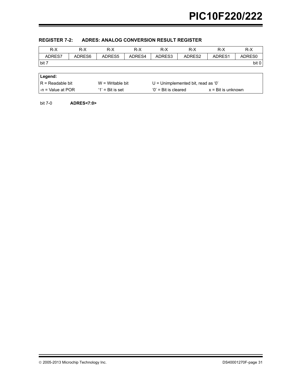| $R-X$               | $R-X$  | R-X                 | $R-X$  | R-X                                  | $R-X$  | $R-X$                       | $R-X$  |  |
|---------------------|--------|---------------------|--------|--------------------------------------|--------|-----------------------------|--------|--|
| ADRES7              | ADRES6 | ADRES5              | ADRES4 | ADRES3                               | ADRES2 | ADRES1                      | ADRES0 |  |
| bit 7               |        |                     |        |                                      |        |                             | bit 0  |  |
|                     |        |                     |        |                                      |        |                             |        |  |
| Legend:             |        |                     |        |                                      |        |                             |        |  |
| $R = Readable bit$  |        | $W = Writeable bit$ |        | $U =$ Unimplemented bit, read as '0' |        |                             |        |  |
| l -n = Value at POR |        | $'1'$ = Bit is set  |        | $'0'$ = Bit is cleared               |        | $x = \text{Bit}$ is unknown |        |  |

#### <span id="page-32-0"></span>**REGISTER 7-2: ADRES: ANALOG CONVERSION RESULT REGISTER**

bit 7-0 **ADRES<7:0>**

2005-2013 Microchip Technology Inc. DS40001270F-page 31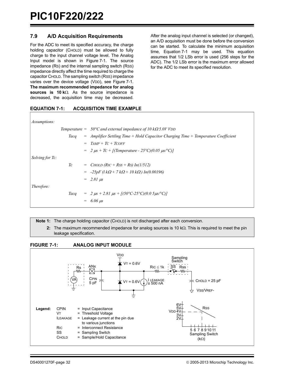#### **7.9 A/D Acquisition Requirements**

For the ADC to meet its specified accuracy, the charge holding capacitor (CHOLD) must be allowed to fully charge to the input channel voltage level. The Analog Input model is shown in [Figure 7-1.](#page-33-0) The source impedance (RS) and the internal sampling switch (RSS) impedance directly affect the time required to charge the capacitor CHOLD. The sampling switch (RSS) impedance varies over the device voltage (VDD), see [Figure 7-1.](#page-33-0) **The maximum recommended impedance for analog sources is 10 k** $\Omega$ **. As the source impedance is** decreased, the acquisition time may be decreased.

After the analog input channel is selected (or changed), an A/D acquisition must be done before the conversion can be started. To calculate the minimum acquisition time, [Equation 7-1](#page-33-1) may be used. This equation assumes that 1/2 LSb error is used (256 steps for the ADC). The 1/2 LSb error is the maximum error allowed for the ADC to meet its specified resolution.

#### <span id="page-33-1"></span>**EQUATION 7-1: ACQUISITION TIME EXAMPLE**

| <i>Assumptions:</i>    |      |                                                                                      |
|------------------------|------|--------------------------------------------------------------------------------------|
|                        |      | Temperature = $50^{\circ}$ C and external impedance of 10 k $\Omega$ 5.0V VDD        |
|                        | Taca | $=$ Amplifier Settling Time + Hold Capacitor Charging Time + Temperature Coefficient |
|                        | $=$  | $TAMP + TC + TCOFF$                                                                  |
|                        |      | $= 2 \mu s + T C + [(Temperature - 25^{\circ}C)(0.05 \mu s^{\circ}C)]$               |
| <i>Solving for Tc:</i> |      |                                                                                      |
|                        | Тc   | $=$ <i>CHOLD (RIC + RSS + RS) In(1/512)</i>                                          |
|                        |      | $= -25pF$ (l k $\Omega$ + 7 k $\Omega$ + 10 k $\Omega$ ) In(0.00196)                 |
|                        |      | $= 2.81 \text{ }\mu s$                                                               |
| Therefore:             |      |                                                                                      |
|                        | Taca | $= 2 \mu s + 2.81 \mu s + [(50^{\circ}C - 25^{\circ}C)(0.05 \mu s/\text{°C})]$       |
|                        | $=$  | $6.06 \text{ }\mu\text{s}$                                                           |
|                        |      |                                                                                      |

**Note 1:** The charge holding capacitor (CHOLD) is not discharged after each conversion.

**2:** The maximum recommended impedance for analog sources is 10  $k\Omega$ . This is required to meet the pin leakage specification.

<span id="page-33-0"></span>

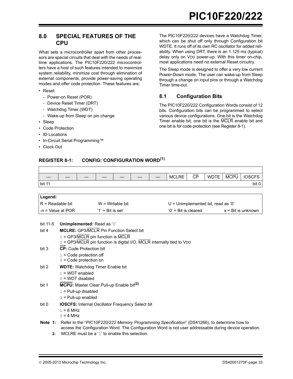#### <span id="page-34-0"></span>**8.0 SPECIAL FEATURES OF THE CPU**

What sets a microcontroller apart from other processors are special circuits that deal with the needs of realtime applications. The PIC10F220/222 microcontrollers have a host of such features intended to maximize system reliability, minimize cost through elimination of external components, provide power-saving operating modes and offer code protection. These features are:

- Reset:
	- Power-on Reset (POR)
	- Device Reset Timer (DRT)
	- Watchdog Timer (WDT)
	- Wake-up from Sleep on pin change
- Sleep
- Code Protection
- ID Locations
- In-Circuit Serial Programming™
- Clock Out

The PIC10F220/222 devices have a Watchdog Timer, which can be shut off only through Configuration bit WDTE. It runs off of its own RC oscillator for added reliability. When using DRT, there is an 1.125 ms (typical) delay only on VDD power-up. With this timer on-chip, most applications need no external Reset circuitry.

The Sleep mode is designed to offer a very low current Power-Down mode. The user can wake-up from Sleep through a change on input pins or through a Watchdog Timer time-out.

### **8.1 Configuration Bits**

The PIC10F220/222 Configuration Words consist of 12 bits. Configuration bits can be programmed to select various device configurations. One bit is the Watchdog Timer enable bit, one bit is the MCLR enable bit and one bit is for code protection (see [Register 8-1](#page-34-1)).

### <span id="page-34-1"></span>**REGISTER 8-1: CONFIG: CONFIGURATION WORD(1)**

|        |  |  | $\overline{\phantom{a}}$ | <b>MCLRE</b> | $\overline{\mathsf{CD}}$<br>◡ | <b>WDTE</b> | <b>MCPU</b> | $\sim$<br>IUSCFS |
|--------|--|--|--------------------------|--------------|-------------------------------|-------------|-------------|------------------|
| bit 11 |  |  |                          |              |                               |             |             | bit 0            |

| Legend:            |                     |                                    |                    |
|--------------------|---------------------|------------------------------------|--------------------|
| IR = Readable bit  | $W = W$ ritable bit | U = Unimplemented bit, read as '0' |                    |
| I-n = Value at POR | $'1'$ = Bit is set  | $'0'$ = Bit is cleared             | x = Bit is unknown |

| bit 11-5 | <b>Unimplemented: Read as '0'</b> |
|----------|-----------------------------------|
|----------|-----------------------------------|

| bit 4 | <b>MCLRE: GP3/MCLR Pin Function Select bit</b>                                                                                                                                                                 |
|-------|----------------------------------------------------------------------------------------------------------------------------------------------------------------------------------------------------------------|
|       | $1 = GP3/MCLR$ pin function is MCLR                                                                                                                                                                            |
|       | 0 = GP3/MCLR pin function is digital I/O, MCLR internally tied to VDD                                                                                                                                          |
| bit 3 | <b>CP:</b> Code Protection bit                                                                                                                                                                                 |
|       | $1 = \text{Code protection off}$                                                                                                                                                                               |
|       | $0 = Code$ protection on                                                                                                                                                                                       |
| bit 2 | <b>WDTE:</b> Watchdog Timer Enable bit                                                                                                                                                                         |
|       | $1 = WDT$ enabled                                                                                                                                                                                              |
|       | $0 = WDT$ disabled                                                                                                                                                                                             |
| bit 1 | MCPU: Master Clear Pull-up Enable bit <sup>(2)</sup>                                                                                                                                                           |
|       | $1 =$ Pull-up disabled                                                                                                                                                                                         |
|       | $0 =$ Pull-up enabled                                                                                                                                                                                          |
| bit 0 | <b>IOSCFS: Internal Oscillator Frequency Select bit</b>                                                                                                                                                        |
|       | $1 = 8$ MHz                                                                                                                                                                                                    |
|       | $0 = 4$ MHz                                                                                                                                                                                                    |
|       | Note 1: Refer to the "PIC10F220/222 Memory Programming Specification" (DS41266), to determine how to<br>access the Configuration Word. The Configuration Word is not user addressable during device operation. |

**2:** MCLRE must be a '1' to enable this selection.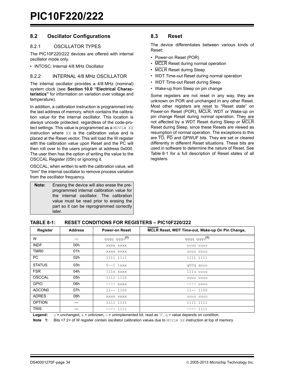#### **8.2 Oscillator Configurations**

#### 8.2.1 OSCILLATOR TYPES

The PIC10F220/222 devices are offered with internal oscillator mode only.

• INTOSC: Internal 4/8 MHz Oscillator

#### <span id="page-35-1"></span>8.2.2 INTERNAL 4/8 MHz OSCILLATOR

The internal oscillator provides a 4/8 MHz (nominal) system clock (see **[Section 10.0 "Electrical Charac](#page-52-1)[teristics"](#page-52-1)** for information on variation over voltage and temperature).

In addition, a calibration instruction is programmed into the last address of memory, which contains the calibration value for the internal oscillator. This location is always uncode protected, regardless of the code-protect settings. This value is programmed as a MOVLW XX instruction where XX is the calibration value and is placed at the Reset vector. This will load the W register with the calibration value upon Reset and the PC will then roll over to the users program at address 0x000. The user then has the option of writing the value to the OSCCAL Register (05h) or ignoring it.

OSCCAL, when written to with the calibration value, will "trim" the internal oscillator to remove process variation from the oscillator frequency.

| Note: | Erasing the device will also erase the pre- |  |  |  |  |  |
|-------|---------------------------------------------|--|--|--|--|--|
|       | programmed internal calibration value for   |  |  |  |  |  |
|       | the internal oscillator. The calibration    |  |  |  |  |  |
|       | value must be read prior to erasing the     |  |  |  |  |  |
|       | part so it can be reprogrammed correctly    |  |  |  |  |  |
|       | later.                                      |  |  |  |  |  |

#### **8.3 Reset**

The device differentiates between various kinds of Reset:

- Power-on Reset (POR)
- MCLR Reset during normal operation
- MCLR Reset during Sleep
- WDT Time-out Reset during normal operation
- WDT Time-out Reset during Sleep
- Wake-up from Sleep on pin change

Some registers are not reset in any way, they are unknown on POR and unchanged in any other Reset. Most other registers are reset to "Reset state" on Power-on Reset (POR), MCLR, WDT or Wake-up on pin change Reset during normal operation. They are not affected by a WDT Reset during Sleep or MCLR Reset during Sleep, since these Resets are viewed as resumption of normal operation. The exceptions to this are TO, PD and GPWUF bits. They are set or cleared differently in different Reset situations. These bits are used in software to determine the nature of Reset. See [Table 8-1](#page-35-2) for a full description of Reset states of all registers.

#### <span id="page-35-2"></span><span id="page-35-0"></span>**TABLE 8-1: RESET CONDITIONS FOR REGISTERS – PIC10F220/222**

| Register           | <b>Address</b> | <b>Power-on Reset</b> | MCLR Reset, WDT Time-out, Wake-up On Pin Change, |
|--------------------|----------------|-----------------------|--------------------------------------------------|
| W                  |                | qqqq q qqu(1)         | qqqq q qqu(1)                                    |
| <b>INDF</b>        | 00h            | XXXX XXXX             | uuuu uuuu                                        |
| TMR <sub>0</sub>   | 01h            | XXXX XXXX             | uuuu uuuu                                        |
| PC                 | 02h            | 1111 1111             | 1111 1111                                        |
| <b>STATUS</b>      | 03h            | $0--1$ $1xxx$         | q00q quuu                                        |
| <b>FSR</b>         | 04h            | 111x xxxx             | 111u uuuu                                        |
| <b>OSCCAL</b>      | 05h            | 1111 1110             | uuuu uuuu                                        |
| <b>GPIO</b>        | 06h            | XXXX<br>----          | -- uuuu                                          |
| ADCON <sub>0</sub> | 07h            | $11--1100$            | $11--1100$                                       |
| <b>ADRES</b>       | 08h            | XXXX XXXX             | uuuu uuuu                                        |
| <b>OPTION</b>      |                | 1111 1111             | 1111 1111                                        |
| <b>TRIS</b>        |                | 1111<br>----          | $-- 1111$                                        |

**Legend:**  $u =$  unchanged,  $x =$  unknown,  $-$  = unimplemented bit, read as '0',  $q =$  value depends on condition.

**Note 1:** Bits <7:2> of W register contain oscillator calibration values due to MOVLW XX instruction at top of memory.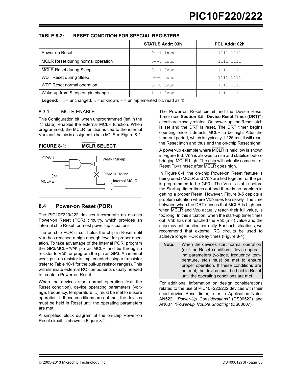| <b>TABLE 8-2:</b> | <b>RESET CONDITION FOR SPECIAL REGISTERS</b> |
|-------------------|----------------------------------------------|
|-------------------|----------------------------------------------|

|                                    | <b>STATUS Addr: 03h</b> | PCL Addr: 02h |
|------------------------------------|-------------------------|---------------|
| Power-on Reset                     | $0--1$ $1xxx$           | 1111 1111     |
| MCLR Reset during normal operation | 0--u uuuu               | 1111 1111     |
| <b>MCLR Reset during Sleep</b>     | $0--1$ Ouuu             | 1111 1111     |
| <b>WDT Reset during Sleep</b>      | $0--0$ $0$ uuu          | 1111 1111     |
| WDT Reset normal operation         | $0--0$ uuuu             | 1111 1111     |
| Wake-up from Sleep on pin change   | $1 - -1$ $0$ uuu        | 1111          |

**Legend:**  $u =$  unchanged,  $x =$  unknown,  $v =$  unimplemented bit, read as '0'.

## 8.3.1 MCLR ENABLE

This Configuration bit, when unprogrammed (left in the '1' state), enables the external MCLR function. When programmed, the MCLR function is tied to the internal VDD and the pin is assigned to be a I/O. See [Figure 8-1](#page-36-0).

<span id="page-36-0"></span>

#### **8.4 Power-on Reset (POR)**

The PIC10F220/222 devices incorporate an on-chip Power-on Reset (POR) circuitry, which provides an internal chip Reset for most power-up situations.

The on-chip POR circuit holds the chip in Reset until VDD has reached a high enough level for proper operation. To take advantage of the internal POR, program the GP3/MCLR/VPP pin as MCLR and tie through a resistor to VDD, or program the pin as GP3. An internal weak pull-up resistor is implemented using a transistor (refer to [Table 10-1](#page-57-0) for the pull-up resistor ranges). This will eliminate external RC components usually needed to create a Power-on Reset.

When the devices start normal operation (exit the Reset condition), device operating parameters (voltage, frequency, temperature,...) must be met to ensure operation. If these conditions are not met, the devices must be held in Reset until the operating parameters are met.

A simplified block diagram of the on-chip Power-on Reset circuit is shown in [Figure 8-2.](#page-37-0)

The Power-on Reset circuit and the Device Reset Timer (see **[Section 8.5 "Device Reset Timer \(DRT\)"](#page-39-0)**) circuit are closely related. On power-up, the Reset latch is set and the DRT is reset. The DRT timer begins counting once it detects MCLR to be high. After the time-out period, which is typically 1.125 ms, it will reset the Reset latch and thus end the on-chip Reset signal.

A power-up example where MCLR is held low is shown in [Figure 8-3.](#page-37-1) VDD is allowed to rise and stabilize before bringing MCLR high. The chip will actually come out of Reset TDRT msec after MCLR goes high.

In [Figure 8-4](#page-37-2), the on-chip Power-on Reset feature is being used (MCLR and V<sub>DD</sub> are tied together or the pin is programmed to be GP3). The VDD is stable before the Start-up timer times out and there is no problem in getting a proper Reset. However, [Figure 8-5](#page-38-0) depicts a problem situation where VDD rises too slowly. The time between when the DRT senses that  $\overline{MCLR}$  is high and when MCLR and VDD actually reach their full value, is too long. In this situation, when the start-up timer times out, VDD has not reached the VDD (min) value and the chip may not function correctly. For such situations, we recommend that external RC circuits be used to achieve longer POR delay times ([Figure 8-4\)](#page-37-2).

| Note: | When the devices start normal operation    |  |  |  |  |  |  |  |
|-------|--------------------------------------------|--|--|--|--|--|--|--|
|       | (exit the Reset condition), device operat- |  |  |  |  |  |  |  |
|       | ing parameters (voltage, frequency, tem-   |  |  |  |  |  |  |  |
|       | perature, etc.) must be met to ensure      |  |  |  |  |  |  |  |
|       | proper operation. If these conditions are  |  |  |  |  |  |  |  |
|       | not met, the device must be held in Reset  |  |  |  |  |  |  |  |
|       | until the operating conditions are met.    |  |  |  |  |  |  |  |

For additional information on design considerations related to the use of PIC10F220/222 devices with their short device Reset timer, refer to Application Notes AN522, *"Power-Up Considerations"* (DS00522) and AN607, *"Power-up Trouble Shooting"* (DS00607).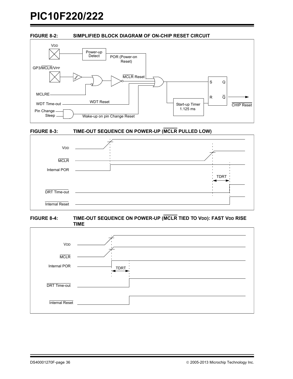### <span id="page-37-0"></span>**FIGURE 8-2: SIMPLIFIED BLOCK DIAGRAM OF ON-CHIP RESET CIRCUIT**



## <span id="page-37-1"></span>**FIGURE 8-3: TIME-OUT SEQUENCE ON POWER-UP (MCLR PULLED LOW)**



<span id="page-37-2"></span>

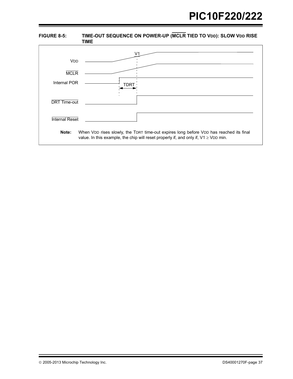<span id="page-38-0"></span>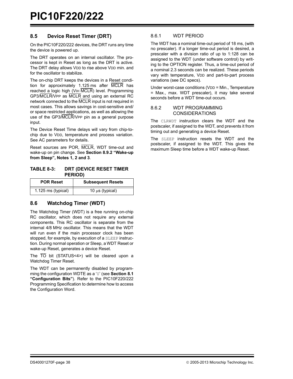## <span id="page-39-0"></span>**8.5 Device Reset Timer (DRT)**

On the PIC10F220/222 devices, the DRT runs any time the device is powered up.

The DRT operates on an internal oscillator. The processor is kept in Reset as long as the DRT is active. The DRT delay allows VDD to rise above VDD min. and for the oscillator to stabilize.

The on-chip DRT keeps the devices in a Reset condition for approximately 1.125 ms after MCLR has reached a logic high (VIH MCLR) level. Programming GP3/MCLR/VPP as MCLR and using an external RC network connected to the MCLR input is not required in most cases. This allows savings in cost-sensitive and/ or space restricted applications, as well as allowing the use of the GP3/MCLR/VPP pin as a general purpose input.

The Device Reset Time delays will vary from chip-tochip due to VDD, temperature and process variation. See AC parameters for details.

Reset sources are POR, MCLR, WDT time-out and wake-up on pin change. See **[Section 8.9.2 "Wake-up](#page-42-0) [from Sleep",](#page-42-0) Notes 1, 2 and 3**.

### **TABLE 8-3: DRT (DEVICE RESET TIMER PERIOD)**

| <b>POR Reset</b>   | <b>Subsequent Resets</b> |
|--------------------|--------------------------|
| 1.125 ms (typical) | 10 $\mu$ s (typical)     |

## **8.6 Watchdog Timer (WDT)**

The Watchdog Timer (WDT) is a free running on-chip RC oscillator, which does not require any external components. This RC oscillator is separate from the internal 4/8 MHz oscillator. This means that the WDT will run even if the main processor clock has been stopped, for example, by execution of a SLEEP instruction. During normal operation or Sleep, a WDT Reset or wake-up Reset, generates a device Reset.

The TO bit (STATUS<4>) will be cleared upon a Watchdog Timer Reset.

The WDT can be permanently disabled by programming the configuration WDTE as a '0' (see **[Section 8.1](#page-34-0) ["Configuration Bits"](#page-34-0)**). Refer to the PIC10F220/222 Programming Specification to determine how to access the Configuration Word.

## 8.6.1 WDT PERIOD

The WDT has a nominal time-out period of 18 ms, (with no prescaler). If a longer time-out period is desired, a prescaler with a division ratio of up to 1:128 can be assigned to the WDT (under software control) by writing to the OPTION register. Thus, a time-out period of a nominal 2.3 seconds can be realized. These periods vary with temperature, VDD and part-to-part process variations (see DC specs).

Under worst-case conditions (VDD = Min., Temperature = Max., max. WDT prescaler), it may take several seconds before a WDT time-out occurs.

### 8.6.2 WDT PROGRAMMING CONSIDERATIONS

The CLRWDT instruction clears the WDT and the postscaler, if assigned to the WDT, and prevents it from timing out and generating a device Reset.

The SLEEP instruction resets the WDT and the postscaler, if assigned to the WDT. This gives the maximum Sleep time before a WDT wake-up Reset.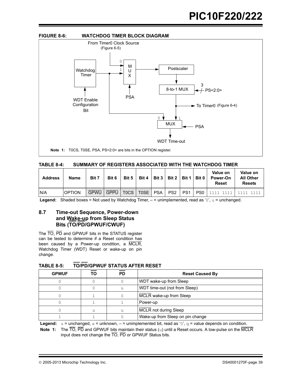

| SUMMARY OF REGISTERS ASSOCIATED WITH THE WATCHDOG TIMER<br>TABLE 8-4: |
|-----------------------------------------------------------------------|
|-----------------------------------------------------------------------|

| <b>Address</b> | <b>Name</b>   | Bit 7       | Bit 6       | Bit 5 | Bit 4             | Bit 3      | Bit 2           |                 | Bit 1   Bit 0   | Value on<br><b>Power-On</b><br><b>Reset</b> | Value on<br><b>All Other</b><br><b>Resets</b> |  |
|----------------|---------------|-------------|-------------|-------|-------------------|------------|-----------------|-----------------|-----------------|---------------------------------------------|-----------------------------------------------|--|
| IN/A           | <b>OPTION</b> | <b>GPWU</b> | <b>GPPU</b> | TOCS. | T <sub>0</sub> SE | <b>PSA</b> | PS <sub>2</sub> | PS <sub>1</sub> | PS <sub>0</sub> |                                             |                                               |  |

**Legend:** Shaded boxes = Not used by Watchdog Timer,  $-$  = unimplemented, read as '0',  $u$  = unchanged.

## **8.7 Time-out Sequence, Power-down and Wake-up from Sleep Status Bits (TO/PD/GPWUF/CWUF)**

The TO, PD and GPWUF bits in the STATUS register can be tested to determine if a Reset condition has been caused by a Power-up condition, a MCLR, Watchdog Timer (WDT) Reset or wake-up on pin change.

| <b>GPWUF</b> | ТΟ | PD | <b>Reset Caused By</b>           |
|--------------|----|----|----------------------------------|
|              |    |    | WDT wake-up from Sleep           |
|              |    |    | WDT time-out (not from Sleep)    |
|              |    |    | MCLR wake-up from Sleep          |
|              |    |    | Power-up                         |
|              | u  | u  | <b>MCLR</b> not during Sleep     |
|              |    |    | Wake-up from Sleep on pin change |

**TABLE 8-5: TO/PD/GPWUF STATUS AFTER RESET**

**Legend:**  $u =$  unchanged,  $x =$  unknown,  $- =$  unimplemented bit, read as '0',  $q =$  value depends on condition.

**Note 1:** The TO, PD and GPWUF bits maintain their status (u) until a Reset occurs. A low-pulse on the MCLR input does not change the  $\overline{TO}$ ,  $\overline{PD}$  or GPWUF Status bits.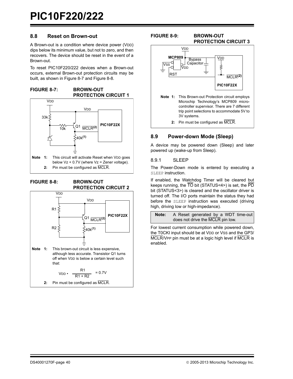## **8.8 Reset on Brown-out**

A Brown-out is a condition where device power (VDD) dips below its minimum value, but not to zero, and then recovers. The device should be reset in the event of a Brown-out.

To reset PIC10F220/222 devices when a Brown-out occurs, external Brown-out protection circuits may be built, as shown in [Figure 8-7](#page-41-0) and [Figure 8-8](#page-41-1).

<span id="page-41-0"></span>**FIGURE 8-7: BROWN-OUT PROTECTION CIRCUIT 1** 



<span id="page-41-1"></span>

**PROTECTION CIRCUIT 2** 



**2:** Pin must be configured as MCLR.

### **FIGURE 8-9: BROWN-OUT PROTECTION CIRCUIT 3**



## **8.9 Power-down Mode (Sleep)**

A device may be powered down (Sleep) and later powered up (wake-up from Sleep).

### 8.9.1 SLEEP

The Power-Down mode is entered by executing a SLEEP instruction.

If enabled, the Watchdog Timer will be cleared but keeps running, the TO bit (STATUS<4>) is set, the PD bit (STATUS<3>) is cleared and the oscillator driver is turned off. The I/O ports maintain the status they had before the SLEEP instruction was executed (driving high, driving low or high-impedance).



For lowest current consumption while powered down, the T0CKI input should be at VDD or VSS and the GP3/ MCLR/VPP pin must be at a logic high level if MCLR is enabled.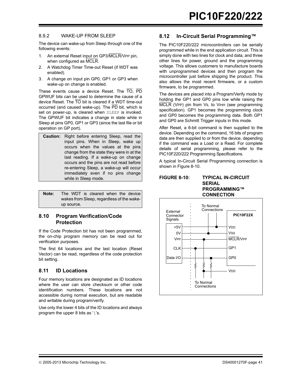### <span id="page-42-0"></span>8.9.2 WAKE-UP FROM SLEEP

The device can wake-up from Sleep through one of the following events:

- 1. An external Reset input on GP3/MCLR/VPP pin, when configured as MCLR.
- 2. A Watchdog Timer Time-out Reset (if WDT was enabled).
- 3. A change on input pin GP0, GP1 or GP3 when wake-up on change is enabled.

These events cause a device Reset. The TO, PD GPWUF bits can be used to determine the cause of a device Reset. The  $\overline{TO}$  bit is cleared if a WDT time-out occurred (and caused wake-up). The PD bit, which is set on power-up, is cleared when SLEEP is invoked. The GPWUF bit indicates a change in state while in Sleep at pins GP0, GP1 or GP3 (since the last file or bit operation on GP port).

**Caution:** Right before entering Sleep, read the input pins. When in Sleep, wake up occurs when the values at the pins change from the state they were in at the last reading. If a wake-up on change occurs and the pins are not read before re-entering Sleep, a wake-up will occur immediately even if no pins change while in Sleep mode.

| Note: |            | The WDT is cleared when the device        |  |  |
|-------|------------|-------------------------------------------|--|--|
|       |            | wakes from Sleep, regardless of the wake- |  |  |
|       | up source. |                                           |  |  |

## **8.10 Program Verification/Code Protection**

If the Code Protection bit has not been programmed, the on-chip program memory can be read out for verification purposes.

The first 64 locations and the last location (Reset Vector) can be read, regardless of the code protection bit setting.

## **8.11 ID Locations**

Four memory locations are designated as ID locations where the user can store checksum or other code identification numbers. These locations are not accessible during normal execution, but are readable and writable during program/verify.

Use only the lower 4 bits of the ID locations and always program the upper 8 bits as '1's.

## **8.12 In-Circuit Serial Programming™**

The PIC10F220/222 microcontrollers can be serially programmed while in the end application circuit. This is simply done with two lines for clock and data, and three other lines for power, ground and the programming voltage. This allows customers to manufacture boards with unprogrammed devices and then program the microcontroller just before shipping the product. This also allows the most recent firmware, or a custom firmware, to be programmed.

The devices are placed into a Program/Verify mode by holding the GP1 and GP0 pins low while raising the **MCLR** (VPP) pin from VIL to VIHH (see programming specification). GP1 becomes the programming clock and GP0 becomes the programming data. Both GP1 and GP0 are Schmitt Trigger inputs in this mode.

After Reset, a 6-bit command is then supplied to the device. Depending on the command, 16 bits of program data are then supplied to or from the device, depending if the command was a Load or a Read. For complete details of serial programming, please refer to the PIC10F220/222 Programming Specifications.

A typical In-Circuit Serial Programming connection is shown in [Figure 8-10.](#page-42-1)

#### <span id="page-42-1"></span>**FIGURE 8-10: TYPICAL IN-CIRCUIT SERIAL PROGRAMMING™ CONNECTION**

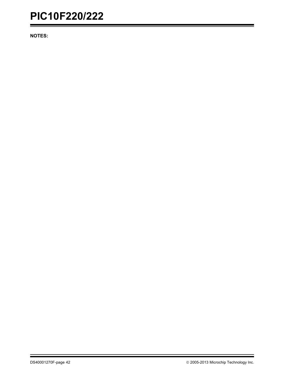**NOTES:**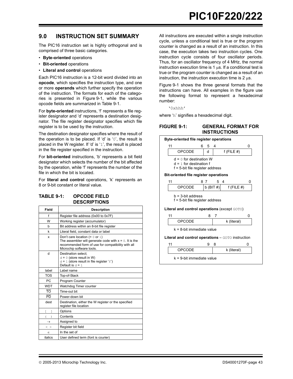## **9.0 INSTRUCTION SET SUMMARY**

The PIC16 instruction set is highly orthogonal and is comprised of three basic categories.

- **Byte-oriented** operations
- **Bit-oriented** operations
- **Literal and control** operations

Each PIC16 instruction is a 12-bit word divided into an **opcode**, which specifies the instruction type, and one or more **operands** which further specify the operation of the instruction. The formats for each of the categories is presented in [Figure 9-1](#page-44-0), while the various opcode fields are summarized in [Table 9-1.](#page-44-1)

For **byte-oriented** instructions, 'f' represents a file register designator and 'd' represents a destination designator. The file register designator specifies which file register is to be used by the instruction.

The destination designator specifies where the result of the operation is to be placed. If 'd' is '0', the result is placed in the W register. If 'd' is '1', the result is placed in the file register specified in the instruction.

For **bit-oriented** instructions, 'b' represents a bit field designator which selects the number of the bit affected by the operation, while 'f' represents the number of the file in which the bit is located.

For **literal and control** operations, 'k' represents an 8 or 9-bit constant or literal value.

## <span id="page-44-1"></span>**TABLE 9-1: OPCODE FIELD DESCRIPTIONS**

| Field           | <b>Description</b>                                                                                                                                                               |
|-----------------|----------------------------------------------------------------------------------------------------------------------------------------------------------------------------------|
| f               | Register file address (0x00 to 0x7F)                                                                                                                                             |
| W               | Working register (accumulator)                                                                                                                                                   |
| h               | Bit address within an 8-bit file register                                                                                                                                        |
| k               | Literal field, constant data or label                                                                                                                                            |
| x               | Don't care location $(= 0$ or 1)<br>The assembler will generate code with $x = 0$ . It is the<br>recommended form of use for compatibility with all<br>Microchip software tools. |
| d               | Destination select:<br>$d = 0$ (store result in W)<br>$d = 1$ (store result in file register 'f')<br>Default is $d = 1$                                                          |
| label           | Label name                                                                                                                                                                       |
| <b>TOS</b>      | Top-of-Stack                                                                                                                                                                     |
| <b>PC</b>       | Program Counter                                                                                                                                                                  |
| <b>WDT</b>      | Watchdog Timer counter                                                                                                                                                           |
| $\overline{10}$ | Time-out bit                                                                                                                                                                     |
| $\overline{PD}$ | Power-down bit                                                                                                                                                                   |
| dest            | Destination, either the W register or the specified<br>register file location                                                                                                    |
| r 1             | Options                                                                                                                                                                          |
|                 | Contents                                                                                                                                                                         |
| $\rightarrow$   | Assigned to                                                                                                                                                                      |
| $\langle$ $>$   | Register bit field                                                                                                                                                               |
| $\in$           | In the set of                                                                                                                                                                    |
| italics         | User defined term (font is courier)                                                                                                                                              |

All instructions are executed within a single instruction cycle, unless a conditional test is true or the program counter is changed as a result of an instruction. In this case, the execution takes two instruction cycles. One instruction cycle consists of four oscillator periods. Thus, for an oscillator frequency of 4 MHz, the normal instruction execution time is 1  $\mu$ s. If a conditional test is true or the program counter is changed as a result of an instruction, the instruction execution time is  $2 \mu s$ .

[Figure 9-1](#page-44-0) shows the three general formats that the instructions can have. All examples in the figure use the following format to represent a hexadecimal number:

'0xhhh'

where 'h' signifies a hexadecimal digit.

#### <span id="page-44-0"></span>**FIGURE 9-1: GENERAL FORMAT FOR INSTRUCTIONS**

|                                                                                           | <b>Byte-oriented file register operations</b>                                                                  |             |   |              |                 |   |  |  |  |
|-------------------------------------------------------------------------------------------|----------------------------------------------------------------------------------------------------------------|-------------|---|--------------|-----------------|---|--|--|--|
| 11                                                                                        | 6                                                                                                              | 5           | 4 |              |                 | 0 |  |  |  |
|                                                                                           | <b>OPCODE</b>                                                                                                  | q           |   | $f$ (FILE #) |                 |   |  |  |  |
| $d = 0$ for destination W<br>$d = 1$ for destination f<br>f = 5-bit file register address |                                                                                                                |             |   |              |                 |   |  |  |  |
|                                                                                           | <b>Bit-oriented file register operations</b>                                                                   |             |   |              |                 |   |  |  |  |
| 11                                                                                        | 8                                                                                                              | -7          | 5 | 4            |                 | ი |  |  |  |
|                                                                                           | OPCODE                                                                                                         | $b$ (BIT #) |   |              | $f$ (FILE $#$ ) |   |  |  |  |
|                                                                                           | $b = 3$ -bit address<br>f = 5-bit file register address<br><b>Literal and control operations (except GOTO)</b> |             |   |              |                 |   |  |  |  |
| 11                                                                                        |                                                                                                                | 8           | 7 |              |                 | 0 |  |  |  |
|                                                                                           | OPCODE                                                                                                         |             |   |              | k (literal)     |   |  |  |  |
| $k = 8$ -bit immediate value                                                              |                                                                                                                |             |   |              |                 |   |  |  |  |
| <b>Literal and control operations</b> $-$ GOTO instruction                                |                                                                                                                |             |   |              |                 |   |  |  |  |
| 11                                                                                        |                                                                                                                | 9           | 8 |              |                 | 0 |  |  |  |
|                                                                                           | OPCODE                                                                                                         |             |   |              | k (literal)     |   |  |  |  |
| $k = 9$ -bit immediate value                                                              |                                                                                                                |             |   |              |                 |   |  |  |  |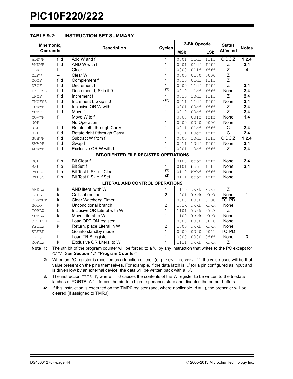| <b>TABLE 9-2:</b> | <b>INSTRUCTION SET SUMMARY</b> |
|-------------------|--------------------------------|
|-------------------|--------------------------------|

| <b>Affected</b><br><b>Operands</b><br><b>MSb</b><br><b>LSb</b><br>Add W and f<br>f, d<br>C,DC, Z<br>1<br>0001<br>11df<br>ffff<br>1,2,4<br>ADDWF<br>AND W with f<br>f, d<br>1<br>0001<br>01df<br>ffff<br>2,4<br>ANDWF<br>Ζ<br>Z<br>f<br>Clear f<br>1<br>ffff<br>4<br>0000<br>011f<br><b>CLRF</b><br>Z<br>Clear W<br>1<br>0000<br>0000<br>0100<br>CLRW<br>$-$<br>Z<br>f, d<br>Complement f<br>1<br>ffff<br>0010<br>01df<br>COMF<br>Z<br>Decrement f<br>f, d<br>1<br>0000<br>11df<br>ffff<br>2,4<br>DECF<br>1(2)<br>2,4<br>f, d<br>Decrement f, Skip if 0<br>ffff<br>None<br>0010<br>11df<br>DECFSZ<br>Z<br>f, d<br>Increment f<br>2,4<br>$\mathbf{1}$<br>0010<br>10df<br>INCF<br>ffff<br>1(2)<br>f, d<br>Increment f, Skip if 0<br>None<br>2,4<br>0011<br>11df<br>ffff<br>INCFSZ<br>Inclusive OR W with f<br>2,4<br>f, d<br>1<br>0001<br>00df<br>ffff<br>Ζ<br><b>IORWF</b><br>Z<br>f, d<br>Move f<br>1<br>2,4<br>ffff<br>MOVF<br>0010<br>00df<br>f<br>1<br>Move W to f<br>None<br>1,4<br>0000<br>001f<br>ffff<br>MOVWF<br>1<br>No Operation<br>0000<br>None<br>0000<br>0000<br><b>NOP</b><br>$\overline{\phantom{0}}$<br>Rotate left f through Carry<br>1<br>f, d<br>ffff<br>C<br>2,4<br>0011<br>01df<br><b>RLF</b><br>C<br>f, d<br>Rotate right f through Carry<br>1<br>2,4<br>00df<br>ffff<br><b>RRF</b><br>0011<br>Subtract W from f<br>f, d<br>1<br>0000<br>$C$ , $DC$ , $Z$<br>1, 2, 4<br>10df<br>ffff<br>SUBWF<br>f, d<br>Swap f<br>1<br>None<br>2,4<br>0011<br>10df<br>ffff<br>SWAPF<br>Exclusive OR W with f<br>1<br>f, d<br>0001<br>10df<br>ffff<br>Ζ<br>2,4<br><b>XORWF</b><br>BIT-ORIENTED FILE REGISTER OPERATIONS<br>f, b<br><b>Bit Clear f</b><br>1<br>None<br>2,4<br>0100<br>bbbf<br>ffff<br><b>BCF</b><br>f, b<br><b>Bit Set f</b><br>2,4<br>1<br>ffff<br>None<br><b>BSF</b><br>0101<br>bbbf<br>1(2)<br>Bit Test f, Skip if Clear<br>f, b<br>None<br>0110<br>bbbf<br>ffff<br><b>BTFSC</b><br>1(2)<br>f, b<br>Bit Test f, Skip if Set<br>None<br>0111<br>bbbf<br>ffff<br><b>BTFSS</b><br><b>LITERAL AND CONTROL OPERATIONS</b><br>Z<br>k<br>AND literal with W<br>1<br>1110<br>kkkk<br>ANDLW<br>kkkk<br>2<br>k<br>Call subroutine<br>None<br>1<br>CALL<br>1001<br>kkkk<br>kkkk<br>$\overline{TO}$ , $\overline{PD}$<br>1<br>k<br>Clear Watchdog Timer<br>0000<br>0000<br>0100<br>CLRWDT<br>2<br>Unconditional branch<br>None<br>k<br>GOTO<br>101k<br>kkkk<br>kkkk<br>k<br>Inclusive OR Literal with W<br>1<br>Z<br>IORLW<br>1101<br>kkkk<br>kkkk<br>1<br>k<br>Move Literal to W<br>None<br>1100<br>kkkk<br>kkkk<br>MOVLW<br>Load OPTION register<br>1<br>None<br>0000<br>0000<br>0010<br>OPTION<br>$\overline{\phantom{0}}$<br>2<br>k<br>Return, place Literal in W<br>None<br>1000<br>kkkk<br>kkkk<br><b>RETLW</b><br>$\overline{TO}$ , $\overline{PD}$<br>Go into standby mode<br>1<br>0000<br>0000<br>0011<br>SLEEP<br>f<br>Load TRIS register<br>1<br>Offf<br>None<br>3<br>0000<br>0000<br>TRIS<br>1<br>k<br>Exclusive OR Literal to W<br>Z<br>1111<br>XORLW<br>kkkk kkkk | Mnemonic, |  |                    |               | 12-Bit Opcode | <b>Status</b> | <b>Notes</b> |  |
|--------------------------------------------------------------------------------------------------------------------------------------------------------------------------------------------------------------------------------------------------------------------------------------------------------------------------------------------------------------------------------------------------------------------------------------------------------------------------------------------------------------------------------------------------------------------------------------------------------------------------------------------------------------------------------------------------------------------------------------------------------------------------------------------------------------------------------------------------------------------------------------------------------------------------------------------------------------------------------------------------------------------------------------------------------------------------------------------------------------------------------------------------------------------------------------------------------------------------------------------------------------------------------------------------------------------------------------------------------------------------------------------------------------------------------------------------------------------------------------------------------------------------------------------------------------------------------------------------------------------------------------------------------------------------------------------------------------------------------------------------------------------------------------------------------------------------------------------------------------------------------------------------------------------------------------------------------------------------------------------------------------------------------------------------------------------------------------------------------------------------------------------------------------------------------------------------------------------------------------------------------------------------------------------------------------------------------------------------------------------------------------------------------------------------------------------------------------------------------------------------------------------------------------------------------------------------------------------------------------------------------------------------------------------------------------------------------------------------------------------------------------------------------------------------------------------------------------------------------------------------------------------------------------------------------------------------------------------------------------------|-----------|--|--------------------|---------------|---------------|---------------|--------------|--|
|                                                                                                                                                                                                                                                                                                                                                                                                                                                                                                                                                                                                                                                                                                                                                                                                                                                                                                                                                                                                                                                                                                                                                                                                                                                                                                                                                                                                                                                                                                                                                                                                                                                                                                                                                                                                                                                                                                                                                                                                                                                                                                                                                                                                                                                                                                                                                                                                                                                                                                                                                                                                                                                                                                                                                                                                                                                                                                                                                                                            |           |  | <b>Description</b> | <b>Cycles</b> |               |               |              |  |
|                                                                                                                                                                                                                                                                                                                                                                                                                                                                                                                                                                                                                                                                                                                                                                                                                                                                                                                                                                                                                                                                                                                                                                                                                                                                                                                                                                                                                                                                                                                                                                                                                                                                                                                                                                                                                                                                                                                                                                                                                                                                                                                                                                                                                                                                                                                                                                                                                                                                                                                                                                                                                                                                                                                                                                                                                                                                                                                                                                                            |           |  |                    |               |               |               |              |  |
|                                                                                                                                                                                                                                                                                                                                                                                                                                                                                                                                                                                                                                                                                                                                                                                                                                                                                                                                                                                                                                                                                                                                                                                                                                                                                                                                                                                                                                                                                                                                                                                                                                                                                                                                                                                                                                                                                                                                                                                                                                                                                                                                                                                                                                                                                                                                                                                                                                                                                                                                                                                                                                                                                                                                                                                                                                                                                                                                                                                            |           |  |                    |               |               |               |              |  |
|                                                                                                                                                                                                                                                                                                                                                                                                                                                                                                                                                                                                                                                                                                                                                                                                                                                                                                                                                                                                                                                                                                                                                                                                                                                                                                                                                                                                                                                                                                                                                                                                                                                                                                                                                                                                                                                                                                                                                                                                                                                                                                                                                                                                                                                                                                                                                                                                                                                                                                                                                                                                                                                                                                                                                                                                                                                                                                                                                                                            |           |  |                    |               |               |               |              |  |
|                                                                                                                                                                                                                                                                                                                                                                                                                                                                                                                                                                                                                                                                                                                                                                                                                                                                                                                                                                                                                                                                                                                                                                                                                                                                                                                                                                                                                                                                                                                                                                                                                                                                                                                                                                                                                                                                                                                                                                                                                                                                                                                                                                                                                                                                                                                                                                                                                                                                                                                                                                                                                                                                                                                                                                                                                                                                                                                                                                                            |           |  |                    |               |               |               |              |  |
|                                                                                                                                                                                                                                                                                                                                                                                                                                                                                                                                                                                                                                                                                                                                                                                                                                                                                                                                                                                                                                                                                                                                                                                                                                                                                                                                                                                                                                                                                                                                                                                                                                                                                                                                                                                                                                                                                                                                                                                                                                                                                                                                                                                                                                                                                                                                                                                                                                                                                                                                                                                                                                                                                                                                                                                                                                                                                                                                                                                            |           |  |                    |               |               |               |              |  |
|                                                                                                                                                                                                                                                                                                                                                                                                                                                                                                                                                                                                                                                                                                                                                                                                                                                                                                                                                                                                                                                                                                                                                                                                                                                                                                                                                                                                                                                                                                                                                                                                                                                                                                                                                                                                                                                                                                                                                                                                                                                                                                                                                                                                                                                                                                                                                                                                                                                                                                                                                                                                                                                                                                                                                                                                                                                                                                                                                                                            |           |  |                    |               |               |               |              |  |
|                                                                                                                                                                                                                                                                                                                                                                                                                                                                                                                                                                                                                                                                                                                                                                                                                                                                                                                                                                                                                                                                                                                                                                                                                                                                                                                                                                                                                                                                                                                                                                                                                                                                                                                                                                                                                                                                                                                                                                                                                                                                                                                                                                                                                                                                                                                                                                                                                                                                                                                                                                                                                                                                                                                                                                                                                                                                                                                                                                                            |           |  |                    |               |               |               |              |  |
|                                                                                                                                                                                                                                                                                                                                                                                                                                                                                                                                                                                                                                                                                                                                                                                                                                                                                                                                                                                                                                                                                                                                                                                                                                                                                                                                                                                                                                                                                                                                                                                                                                                                                                                                                                                                                                                                                                                                                                                                                                                                                                                                                                                                                                                                                                                                                                                                                                                                                                                                                                                                                                                                                                                                                                                                                                                                                                                                                                                            |           |  |                    |               |               |               |              |  |
|                                                                                                                                                                                                                                                                                                                                                                                                                                                                                                                                                                                                                                                                                                                                                                                                                                                                                                                                                                                                                                                                                                                                                                                                                                                                                                                                                                                                                                                                                                                                                                                                                                                                                                                                                                                                                                                                                                                                                                                                                                                                                                                                                                                                                                                                                                                                                                                                                                                                                                                                                                                                                                                                                                                                                                                                                                                                                                                                                                                            |           |  |                    |               |               |               |              |  |
|                                                                                                                                                                                                                                                                                                                                                                                                                                                                                                                                                                                                                                                                                                                                                                                                                                                                                                                                                                                                                                                                                                                                                                                                                                                                                                                                                                                                                                                                                                                                                                                                                                                                                                                                                                                                                                                                                                                                                                                                                                                                                                                                                                                                                                                                                                                                                                                                                                                                                                                                                                                                                                                                                                                                                                                                                                                                                                                                                                                            |           |  |                    |               |               |               |              |  |
|                                                                                                                                                                                                                                                                                                                                                                                                                                                                                                                                                                                                                                                                                                                                                                                                                                                                                                                                                                                                                                                                                                                                                                                                                                                                                                                                                                                                                                                                                                                                                                                                                                                                                                                                                                                                                                                                                                                                                                                                                                                                                                                                                                                                                                                                                                                                                                                                                                                                                                                                                                                                                                                                                                                                                                                                                                                                                                                                                                                            |           |  |                    |               |               |               |              |  |
|                                                                                                                                                                                                                                                                                                                                                                                                                                                                                                                                                                                                                                                                                                                                                                                                                                                                                                                                                                                                                                                                                                                                                                                                                                                                                                                                                                                                                                                                                                                                                                                                                                                                                                                                                                                                                                                                                                                                                                                                                                                                                                                                                                                                                                                                                                                                                                                                                                                                                                                                                                                                                                                                                                                                                                                                                                                                                                                                                                                            |           |  |                    |               |               |               |              |  |
|                                                                                                                                                                                                                                                                                                                                                                                                                                                                                                                                                                                                                                                                                                                                                                                                                                                                                                                                                                                                                                                                                                                                                                                                                                                                                                                                                                                                                                                                                                                                                                                                                                                                                                                                                                                                                                                                                                                                                                                                                                                                                                                                                                                                                                                                                                                                                                                                                                                                                                                                                                                                                                                                                                                                                                                                                                                                                                                                                                                            |           |  |                    |               |               |               |              |  |
|                                                                                                                                                                                                                                                                                                                                                                                                                                                                                                                                                                                                                                                                                                                                                                                                                                                                                                                                                                                                                                                                                                                                                                                                                                                                                                                                                                                                                                                                                                                                                                                                                                                                                                                                                                                                                                                                                                                                                                                                                                                                                                                                                                                                                                                                                                                                                                                                                                                                                                                                                                                                                                                                                                                                                                                                                                                                                                                                                                                            |           |  |                    |               |               |               |              |  |
|                                                                                                                                                                                                                                                                                                                                                                                                                                                                                                                                                                                                                                                                                                                                                                                                                                                                                                                                                                                                                                                                                                                                                                                                                                                                                                                                                                                                                                                                                                                                                                                                                                                                                                                                                                                                                                                                                                                                                                                                                                                                                                                                                                                                                                                                                                                                                                                                                                                                                                                                                                                                                                                                                                                                                                                                                                                                                                                                                                                            |           |  |                    |               |               |               |              |  |
|                                                                                                                                                                                                                                                                                                                                                                                                                                                                                                                                                                                                                                                                                                                                                                                                                                                                                                                                                                                                                                                                                                                                                                                                                                                                                                                                                                                                                                                                                                                                                                                                                                                                                                                                                                                                                                                                                                                                                                                                                                                                                                                                                                                                                                                                                                                                                                                                                                                                                                                                                                                                                                                                                                                                                                                                                                                                                                                                                                                            |           |  |                    |               |               |               |              |  |
|                                                                                                                                                                                                                                                                                                                                                                                                                                                                                                                                                                                                                                                                                                                                                                                                                                                                                                                                                                                                                                                                                                                                                                                                                                                                                                                                                                                                                                                                                                                                                                                                                                                                                                                                                                                                                                                                                                                                                                                                                                                                                                                                                                                                                                                                                                                                                                                                                                                                                                                                                                                                                                                                                                                                                                                                                                                                                                                                                                                            |           |  |                    |               |               |               |              |  |
|                                                                                                                                                                                                                                                                                                                                                                                                                                                                                                                                                                                                                                                                                                                                                                                                                                                                                                                                                                                                                                                                                                                                                                                                                                                                                                                                                                                                                                                                                                                                                                                                                                                                                                                                                                                                                                                                                                                                                                                                                                                                                                                                                                                                                                                                                                                                                                                                                                                                                                                                                                                                                                                                                                                                                                                                                                                                                                                                                                                            |           |  |                    |               |               |               |              |  |
|                                                                                                                                                                                                                                                                                                                                                                                                                                                                                                                                                                                                                                                                                                                                                                                                                                                                                                                                                                                                                                                                                                                                                                                                                                                                                                                                                                                                                                                                                                                                                                                                                                                                                                                                                                                                                                                                                                                                                                                                                                                                                                                                                                                                                                                                                                                                                                                                                                                                                                                                                                                                                                                                                                                                                                                                                                                                                                                                                                                            |           |  |                    |               |               |               |              |  |
|                                                                                                                                                                                                                                                                                                                                                                                                                                                                                                                                                                                                                                                                                                                                                                                                                                                                                                                                                                                                                                                                                                                                                                                                                                                                                                                                                                                                                                                                                                                                                                                                                                                                                                                                                                                                                                                                                                                                                                                                                                                                                                                                                                                                                                                                                                                                                                                                                                                                                                                                                                                                                                                                                                                                                                                                                                                                                                                                                                                            |           |  |                    |               |               |               |              |  |
|                                                                                                                                                                                                                                                                                                                                                                                                                                                                                                                                                                                                                                                                                                                                                                                                                                                                                                                                                                                                                                                                                                                                                                                                                                                                                                                                                                                                                                                                                                                                                                                                                                                                                                                                                                                                                                                                                                                                                                                                                                                                                                                                                                                                                                                                                                                                                                                                                                                                                                                                                                                                                                                                                                                                                                                                                                                                                                                                                                                            |           |  |                    |               |               |               |              |  |
|                                                                                                                                                                                                                                                                                                                                                                                                                                                                                                                                                                                                                                                                                                                                                                                                                                                                                                                                                                                                                                                                                                                                                                                                                                                                                                                                                                                                                                                                                                                                                                                                                                                                                                                                                                                                                                                                                                                                                                                                                                                                                                                                                                                                                                                                                                                                                                                                                                                                                                                                                                                                                                                                                                                                                                                                                                                                                                                                                                                            |           |  |                    |               |               |               |              |  |
|                                                                                                                                                                                                                                                                                                                                                                                                                                                                                                                                                                                                                                                                                                                                                                                                                                                                                                                                                                                                                                                                                                                                                                                                                                                                                                                                                                                                                                                                                                                                                                                                                                                                                                                                                                                                                                                                                                                                                                                                                                                                                                                                                                                                                                                                                                                                                                                                                                                                                                                                                                                                                                                                                                                                                                                                                                                                                                                                                                                            |           |  |                    |               |               |               |              |  |
|                                                                                                                                                                                                                                                                                                                                                                                                                                                                                                                                                                                                                                                                                                                                                                                                                                                                                                                                                                                                                                                                                                                                                                                                                                                                                                                                                                                                                                                                                                                                                                                                                                                                                                                                                                                                                                                                                                                                                                                                                                                                                                                                                                                                                                                                                                                                                                                                                                                                                                                                                                                                                                                                                                                                                                                                                                                                                                                                                                                            |           |  |                    |               |               |               |              |  |
|                                                                                                                                                                                                                                                                                                                                                                                                                                                                                                                                                                                                                                                                                                                                                                                                                                                                                                                                                                                                                                                                                                                                                                                                                                                                                                                                                                                                                                                                                                                                                                                                                                                                                                                                                                                                                                                                                                                                                                                                                                                                                                                                                                                                                                                                                                                                                                                                                                                                                                                                                                                                                                                                                                                                                                                                                                                                                                                                                                                            |           |  |                    |               |               |               |              |  |
|                                                                                                                                                                                                                                                                                                                                                                                                                                                                                                                                                                                                                                                                                                                                                                                                                                                                                                                                                                                                                                                                                                                                                                                                                                                                                                                                                                                                                                                                                                                                                                                                                                                                                                                                                                                                                                                                                                                                                                                                                                                                                                                                                                                                                                                                                                                                                                                                                                                                                                                                                                                                                                                                                                                                                                                                                                                                                                                                                                                            |           |  |                    |               |               |               |              |  |
|                                                                                                                                                                                                                                                                                                                                                                                                                                                                                                                                                                                                                                                                                                                                                                                                                                                                                                                                                                                                                                                                                                                                                                                                                                                                                                                                                                                                                                                                                                                                                                                                                                                                                                                                                                                                                                                                                                                                                                                                                                                                                                                                                                                                                                                                                                                                                                                                                                                                                                                                                                                                                                                                                                                                                                                                                                                                                                                                                                                            |           |  |                    |               |               |               |              |  |
|                                                                                                                                                                                                                                                                                                                                                                                                                                                                                                                                                                                                                                                                                                                                                                                                                                                                                                                                                                                                                                                                                                                                                                                                                                                                                                                                                                                                                                                                                                                                                                                                                                                                                                                                                                                                                                                                                                                                                                                                                                                                                                                                                                                                                                                                                                                                                                                                                                                                                                                                                                                                                                                                                                                                                                                                                                                                                                                                                                                            |           |  |                    |               |               |               |              |  |
|                                                                                                                                                                                                                                                                                                                                                                                                                                                                                                                                                                                                                                                                                                                                                                                                                                                                                                                                                                                                                                                                                                                                                                                                                                                                                                                                                                                                                                                                                                                                                                                                                                                                                                                                                                                                                                                                                                                                                                                                                                                                                                                                                                                                                                                                                                                                                                                                                                                                                                                                                                                                                                                                                                                                                                                                                                                                                                                                                                                            |           |  |                    |               |               |               |              |  |
|                                                                                                                                                                                                                                                                                                                                                                                                                                                                                                                                                                                                                                                                                                                                                                                                                                                                                                                                                                                                                                                                                                                                                                                                                                                                                                                                                                                                                                                                                                                                                                                                                                                                                                                                                                                                                                                                                                                                                                                                                                                                                                                                                                                                                                                                                                                                                                                                                                                                                                                                                                                                                                                                                                                                                                                                                                                                                                                                                                                            |           |  |                    |               |               |               |              |  |
|                                                                                                                                                                                                                                                                                                                                                                                                                                                                                                                                                                                                                                                                                                                                                                                                                                                                                                                                                                                                                                                                                                                                                                                                                                                                                                                                                                                                                                                                                                                                                                                                                                                                                                                                                                                                                                                                                                                                                                                                                                                                                                                                                                                                                                                                                                                                                                                                                                                                                                                                                                                                                                                                                                                                                                                                                                                                                                                                                                                            |           |  |                    |               |               |               |              |  |
|                                                                                                                                                                                                                                                                                                                                                                                                                                                                                                                                                                                                                                                                                                                                                                                                                                                                                                                                                                                                                                                                                                                                                                                                                                                                                                                                                                                                                                                                                                                                                                                                                                                                                                                                                                                                                                                                                                                                                                                                                                                                                                                                                                                                                                                                                                                                                                                                                                                                                                                                                                                                                                                                                                                                                                                                                                                                                                                                                                                            |           |  |                    |               |               |               |              |  |
|                                                                                                                                                                                                                                                                                                                                                                                                                                                                                                                                                                                                                                                                                                                                                                                                                                                                                                                                                                                                                                                                                                                                                                                                                                                                                                                                                                                                                                                                                                                                                                                                                                                                                                                                                                                                                                                                                                                                                                                                                                                                                                                                                                                                                                                                                                                                                                                                                                                                                                                                                                                                                                                                                                                                                                                                                                                                                                                                                                                            |           |  |                    |               |               |               |              |  |
|                                                                                                                                                                                                                                                                                                                                                                                                                                                                                                                                                                                                                                                                                                                                                                                                                                                                                                                                                                                                                                                                                                                                                                                                                                                                                                                                                                                                                                                                                                                                                                                                                                                                                                                                                                                                                                                                                                                                                                                                                                                                                                                                                                                                                                                                                                                                                                                                                                                                                                                                                                                                                                                                                                                                                                                                                                                                                                                                                                                            |           |  |                    |               |               |               |              |  |
|                                                                                                                                                                                                                                                                                                                                                                                                                                                                                                                                                                                                                                                                                                                                                                                                                                                                                                                                                                                                                                                                                                                                                                                                                                                                                                                                                                                                                                                                                                                                                                                                                                                                                                                                                                                                                                                                                                                                                                                                                                                                                                                                                                                                                                                                                                                                                                                                                                                                                                                                                                                                                                                                                                                                                                                                                                                                                                                                                                                            |           |  |                    |               |               |               |              |  |

**Note 1:** The 9th bit of the program counter will be forced to a '0' by any instruction that writes to the PC except for GOTO. See **[Section 4.7 "Program Counter"](#page-20-0)**.

**2:** When an I/O register is modified as a function of itself (e.g., MOVF PORTB, 1), the value used will be that value present on the pins themselves. For example, if the data latch is '1' for a pin configured as input and is driven low by an external device, the data will be written back with a '0'.

**3:** The instruction TRIS f, where f = 6 causes the contents of the W register to be written to the tri-state latches of PORTB. A '1' forces the pin to a high-impedance state and disables the output buffers.

**4:** If this instruction is executed on the TMR0 register (and, where applicable, d = 1), the prescaler will be cleared (if assigned to TMR0).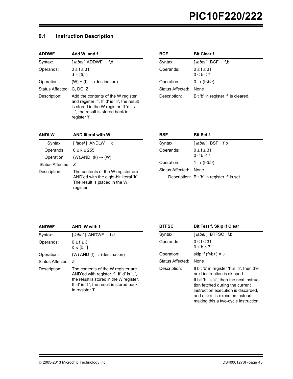# **9.1 Instruction Description**

| <b>ADDWF</b>              | Add W and f                                                                                                                                                                       |
|---------------------------|-----------------------------------------------------------------------------------------------------------------------------------------------------------------------------------|
| Syntax:                   | [ label ] ADDWF<br>f.d                                                                                                                                                            |
| Operands:                 | 0 < f < 31<br>$d \in [0,1]$                                                                                                                                                       |
| Operation:                | $(W) + (f) \rightarrow (destination)$                                                                                                                                             |
| Status Affected: C, DC, Z |                                                                                                                                                                                   |
| Description:              | Add the contents of the W register<br>and register 'f'. If 'd' is '0', the result<br>is stored in the W register. If 'd' is<br>'1', the result is stored back in<br>register 'f'. |

| BCF              | <b>Bit Clear f</b>                  |
|------------------|-------------------------------------|
| Syntax:          | [ label ] BCF<br>f.b                |
| Operands:        | 0 < f < 31<br>0 < b < 7             |
| Operation:       | $0 \rightarrow (f< b>$              |
| Status Affected: | None                                |
| Description:     | Bit 'b' in register 'f' is cleared. |

| <b>ANDLW</b>       | <b>AND literal with W</b>                                                                                                  |
|--------------------|----------------------------------------------------------------------------------------------------------------------------|
| Syntax:            | [ label ] ANDLW<br>k                                                                                                       |
| Operands:          | $0 \leq k \leq 255$                                                                                                        |
| Operation:         | $(W)$ .AND. $(k) \rightarrow (W)$                                                                                          |
| Status Affected: Z |                                                                                                                            |
| Description:       | The contents of the W register are<br>AND'ed with the eight-bit literal 'k'.<br>The result is placed in the W<br>register. |

| BSF                   | <b>Bit Set f</b>                             |
|-----------------------|----------------------------------------------|
| Syntax:               | $\lceil$ label $\rceil$ BSF f,b              |
| Operands:             | $0 \le f \le 31$<br>0 < b < 7                |
| Operation:            | $1 \rightarrow (f< b>$                       |
| Status Affected: None |                                              |
|                       | Description: Bit 'b' in register 'f' is set. |

| <b>ANDWF</b>       | AND W with f                                                                                                                                                                               |
|--------------------|--------------------------------------------------------------------------------------------------------------------------------------------------------------------------------------------|
| Syntax:            | [ <i>label</i> ] ANDWF<br>f.d                                                                                                                                                              |
| Operands:          | $0 \le f \le 31$<br>$d \in [0,1]$                                                                                                                                                          |
| Operation:         | (W) AND (f) $\rightarrow$ (destination)                                                                                                                                                    |
| Status Affected: Z |                                                                                                                                                                                            |
| Description:       | The contents of the W register are.<br>AND'ed with register 'f'. If 'd' is '0',<br>the result is stored in the W register.<br>If 'd' is '1', the result is stored back<br>in register 'f'. |

| <b>Bit Test f, Skip if Clear</b>                                                                                                                                                              |
|-----------------------------------------------------------------------------------------------------------------------------------------------------------------------------------------------|
| [ <i>label</i> ] BTFSC f.b                                                                                                                                                                    |
| $0 \le f \le 31$<br>$0 \le b \le 7$                                                                                                                                                           |
| skip if $(f < b >) = 0$                                                                                                                                                                       |
| None                                                                                                                                                                                          |
| If bit 'b' in register 'f' is '0', then the<br>next instruction is skipped.                                                                                                                   |
| If bit 'b' is '0', then the next instruc-<br>tion fetched during the current<br>instruction execution is discarded,<br>and a NOP is executed instead.<br>making this a two-cycle instruction. |
|                                                                                                                                                                                               |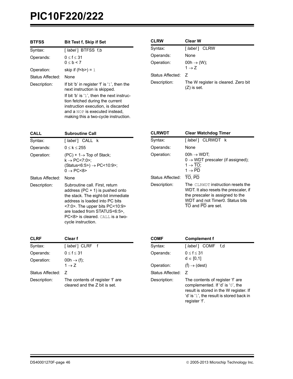| <b>BTFSS</b>     | <b>Bit Test f, Skip if Set</b>                                                                                                                                                                |
|------------------|-----------------------------------------------------------------------------------------------------------------------------------------------------------------------------------------------|
| Syntax:          | [label] BTFSS f,b                                                                                                                                                                             |
| Operands:        | $0 \le f \le 31$<br>0 < b < 7                                                                                                                                                                 |
| Operation:       | skip if $(f < b >) = 1$                                                                                                                                                                       |
| Status Affected: | None                                                                                                                                                                                          |
| Description:     | If bit 'b' in register 'f' is '1', then the<br>next instruction is skipped.                                                                                                                   |
|                  | If bit 'b' is '1', then the next instruc-<br>tion fetched during the current<br>instruction execution, is discarded<br>and a NOP is executed instead.<br>making this a two-cycle instruction. |

| <b>CLRW</b>      | <b>Clear W</b>                                       |
|------------------|------------------------------------------------------|
| Syntax:          | [ label ] CLRW                                       |
| Operands:        | None                                                 |
| Operation:       | $00h \rightarrow (W);$<br>$1 \rightarrow 7$          |
| Status Affected: | 7                                                    |
| Description:     | The W register is cleared. Zero bit<br>$(Z)$ is set. |

| CALL             | <b>Subroutine Call</b>                                                                                                                                                                                                                                                                        |
|------------------|-----------------------------------------------------------------------------------------------------------------------------------------------------------------------------------------------------------------------------------------------------------------------------------------------|
| Syntax:          | [ <i>label</i> ] CALL k                                                                                                                                                                                                                                                                       |
| Operands:        | $0 \leq k \leq 255$                                                                                                                                                                                                                                                                           |
| Operation:       | $(PC) + 1 \rightarrow Top$ of Stack;<br>$k \rightarrow PC < 7:0$ >:<br>$(Status < 6:5) \rightarrow PC < 10:9$<br>$0 \rightarrow PC < 8$                                                                                                                                                       |
| Status Affected: | None                                                                                                                                                                                                                                                                                          |
| Description:     | Subroutine call. First, return<br>address ( $PC + 1$ ) is pushed onto<br>the stack. The eight-bit immediate<br>address is loaded into PC bits<br>$<$ 7:0>. The upper bits PC $<$ 10:9><br>are loaded from STATUS<6:5>,<br><b>PC&lt;8&gt;</b> is cleared. CALL is a two-<br>cycle instruction. |

| <b>CLRWDT</b>                  | <b>Clear Watchdog Timer</b>                                                                                                                                             |
|--------------------------------|-------------------------------------------------------------------------------------------------------------------------------------------------------------------------|
| Syntax:                        | [ <i>label</i> ] CLRWDT k                                                                                                                                               |
| Operands:                      | None                                                                                                                                                                    |
| Operation:<br>Status Affected: | $00h \rightarrow WDT$ ;<br>$0 \rightarrow WDT$ prescaler (if assigned);<br>$1 \rightarrow \text{TO}$ :<br>$1 \rightarrow \text{PD}$<br>TO, PD                           |
| Description:                   | The CLRWDT instruction resets the<br>WDT. It also resets the prescaler, if<br>the prescaler is assigned to the<br>WDT and not Timer0. Status bits<br>TO and PD are set. |

| <b>CLRF</b>      | Clear f                                                           |
|------------------|-------------------------------------------------------------------|
| Syntax:          | [label] CLRF f                                                    |
| Operands:        | $0 \le f \le 31$                                                  |
| Operation:       | $00h \rightarrow (f);$<br>$1 \rightarrow 7$                       |
| Status Affected: | 7                                                                 |
| Description:     | The contents of register 'f' are<br>cleared and the 7 bit is set. |

| COMF             | <b>Complement f</b>                                                                                                                                                             |
|------------------|---------------------------------------------------------------------------------------------------------------------------------------------------------------------------------|
| Syntax:          | [ <i>label</i> ] COMF f,d                                                                                                                                                       |
| Operands:        | $0 \le f \le 31$<br>$d \in [0,1]$                                                                                                                                               |
| Operation:       | $(f) \rightarrow (dest)$                                                                                                                                                        |
| Status Affected: | 7                                                                                                                                                                               |
| Description:     | The contents of register 'f' are<br>complemented. If 'd' is ' $0'$ , the<br>result is stored in the W register. If<br>'d' is '1', the result is stored back in<br>register 'f'. |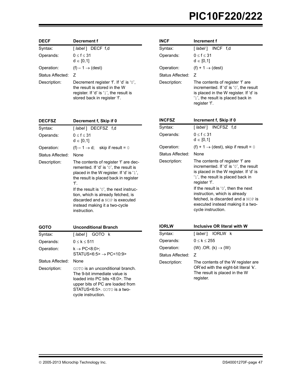| <b>DECF</b>      | Decrement f                                                                                                                                       |
|------------------|---------------------------------------------------------------------------------------------------------------------------------------------------|
| Syntax:          | [ <i>label</i> ] DECF f,d                                                                                                                         |
| Operands:        | $0 \le f \le 31$<br>$d \in [0,1]$                                                                                                                 |
| Operation:       | $(f) - 1 \rightarrow (dest)$                                                                                                                      |
| Status Affected: | 7                                                                                                                                                 |
| Description:     | Decrement register 'f'. If 'd' is '0',<br>the result is stored in the W<br>register. If 'd' is '1', the result is<br>stored back in register 'f'. |

**DECFSZ Decrement f, Skip if 0** Syntax: [ *label* ] DECFSZ f,d

 $d \in [0,1]$ Operation:  $(f) - 1 \rightarrow d$ ; skip if result = 0

'f'.

instruction.

Description: The contents of register 'f' are dec-

remented. If 'd' is '0', the result is placed in the W register. If 'd' is '1', the result is placed back in register

If the result is '0', the next instruction, which is already fetched, is discarded and a NOP is executed instead making it a two-cycle

Operands:  $0 \le f \le 31$ 

Status Affected: None

| INCF             | Increment f                                                                                                                                                                |  |  |  |
|------------------|----------------------------------------------------------------------------------------------------------------------------------------------------------------------------|--|--|--|
| Syntax:          | [label] INCF f,d                                                                                                                                                           |  |  |  |
| Operands:        | $0 \le f \le 31$<br>$d \in [0,1]$                                                                                                                                          |  |  |  |
| Operation:       | $(f) + 1 \rightarrow (dest)$                                                                                                                                               |  |  |  |
| Status Affected: | 7                                                                                                                                                                          |  |  |  |
| Description:     | The contents of register 'f' are<br>incremented. If 'd' is '0', the result<br>is placed in the W register. If 'd' is<br>'1', the result is placed back in<br>register 'f'. |  |  |  |
| <b>INCFSZ</b>    | Increment f, Skip if 0                                                                                                                                                     |  |  |  |
| Syntax:          | [label] INCFSZ f.d                                                                                                                                                         |  |  |  |
| Operands:        | $0 \le f \le 31$<br>$d \in [0,1]$                                                                                                                                          |  |  |  |
| Operation:       | (f) + 1 $\rightarrow$ (dest), skip if result = 0                                                                                                                           |  |  |  |
| Status Affected: | None                                                                                                                                                                       |  |  |  |
| Description:     | The contents of register 'f' are<br>the second to the following the second the second the second the second the second second the second second th                         |  |  |  |

|                | $(1)$ . $(0.0001)$ , $0.0001$ . $0.0001$                                                                                                                                   |
|----------------|----------------------------------------------------------------------------------------------------------------------------------------------------------------------------|
| atus Affected: | None                                                                                                                                                                       |
| escription:    | The contents of register 'f' are<br>incremented. If 'd' is '0', the result<br>is placed in the W register. If 'd' is<br>'1', the result is placed back in<br>register 'f'. |
|                | If the result is $'0'$ , then the next<br>instruction, which is already<br>fetched, is discarded and a NOP is<br>executed instead making it a two-<br>cycle instruction.   |

| <b>GOTO</b>      | <b>Unconditional Branch</b>                                                                                                                                                                         |  |  |
|------------------|-----------------------------------------------------------------------------------------------------------------------------------------------------------------------------------------------------|--|--|
| Syntax:          | [ <i>label</i> ] GOTO k                                                                                                                                                                             |  |  |
| Operands:        | $0 \leq k \leq 511$                                                                                                                                                                                 |  |  |
| Operation:       | $k \rightarrow PC < 8:0>$ :<br>$STATUS < 6:5$ > $\rightarrow$ PC $< 10:9$ >                                                                                                                         |  |  |
| Status Affected: | None                                                                                                                                                                                                |  |  |
| Description:     | GOTO <b>is an unconditional branch</b> .<br>The 9-bit immediate value is<br>loaded into PC bits <8:0>. The<br>upper bits of PC are loaded from<br>STATUS<6:5>. GOTO is a two-<br>cycle instruction. |  |  |

| <b>IORLW</b>     | Inclusive OR literal with W                                                                                               |  |  |
|------------------|---------------------------------------------------------------------------------------------------------------------------|--|--|
| Syntax:          | [ <i>label</i> ] IORLW k                                                                                                  |  |  |
| Operands:        | $0 \le k \le 255$                                                                                                         |  |  |
| Operation:       | $(W)$ .OR. $(k) \rightarrow (W)$                                                                                          |  |  |
| Status Affected: | 7                                                                                                                         |  |  |
| Description:     | The contents of the W register are<br>OR'ed with the eight-bit literal 'k'.<br>The result is placed in the W<br>register. |  |  |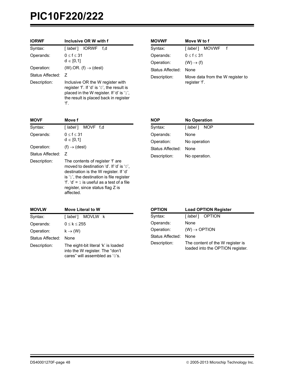| <b>IORWF</b>     | Inclusive OR W with f                                                                                                                                                                 |  |  |
|------------------|---------------------------------------------------------------------------------------------------------------------------------------------------------------------------------------|--|--|
| Syntax:          | [ <i>label</i> ] IORWF<br>f.d                                                                                                                                                         |  |  |
| Operands:        | $0 \le f \le 31$<br>$d \in [0,1]$                                                                                                                                                     |  |  |
| Operation:       | $(W)$ .OR. $(f) \rightarrow$ (dest)                                                                                                                                                   |  |  |
| Status Affected: | 7                                                                                                                                                                                     |  |  |
| Description:     | Inclusive OR the W register with<br>register 'f'. If 'd' is '0', the result is<br>placed in the W register. If 'd' is '1',<br>the result is placed back in register<br>$\mathbf{f}$ . |  |  |

| <b>MOVWF</b>     | Move W to f                                       |  |  |
|------------------|---------------------------------------------------|--|--|
| Syntax:          | [ <i>label</i> ] MOVWF f                          |  |  |
| Operands:        | $0 \le f \le 31$                                  |  |  |
| Operation:       | $(W) \rightarrow (f)$                             |  |  |
| Status Affected: | None                                              |  |  |
| Description:     | Move data from the W register to<br>register 'f'. |  |  |

| <b>MOVF</b>      | Move f                                                                                                                                                                                                                                                           |  |
|------------------|------------------------------------------------------------------------------------------------------------------------------------------------------------------------------------------------------------------------------------------------------------------|--|
| Syntax:          | [label] MOVF f,d                                                                                                                                                                                                                                                 |  |
| Operands:        | $0 \le f \le 31$<br>$d \in [0,1]$                                                                                                                                                                                                                                |  |
| Operation:       | $(f) \rightarrow (dest)$                                                                                                                                                                                                                                         |  |
| Status Affected: | 7                                                                                                                                                                                                                                                                |  |
| Description:     | The contents of register 'f' are<br>moved to destination 'd'. If 'd' is '0',<br>destination is the W register. If 'd'<br>is '1', the destination is file register<br>'f', 'd' = 1 is useful as a test of a file<br>register, since status flag Z is<br>affected. |  |

| <b>NOP</b>       | <b>No Operation</b> |
|------------------|---------------------|
| Syntax:          | [ label ]<br>NOP    |
| Operands:        | None                |
| Operation:       | No operation        |
| Status Affected: | None                |
| Description:     | No operation.       |

| <b>MOVLW</b>     | <b>Move Literal to W</b>                                                                                 |  |  |
|------------------|----------------------------------------------------------------------------------------------------------|--|--|
| Syntax:          | [ <i>label</i> ] MOVLW k                                                                                 |  |  |
| Operands:        | $0 \le k \le 255$                                                                                        |  |  |
| Operation:       | $k \rightarrow (W)$                                                                                      |  |  |
| Status Affected: | None                                                                                                     |  |  |
| Description:     | The eight-bit literal 'k' is loaded<br>into the W register. The "don't<br>cares" will assembled as '0's. |  |  |

| <b>OPTION</b>    | <b>Load OPTION Register</b>                                          |  |  |
|------------------|----------------------------------------------------------------------|--|--|
| Syntax:          | [ <i>label</i> ] OPTION                                              |  |  |
| Operands:        | None                                                                 |  |  |
| Operation:       | $(W) \rightarrow \text{OPTION}$                                      |  |  |
| Status Affected: | None                                                                 |  |  |
| Description:     | The content of the W register is<br>loaded into the OPTION register. |  |  |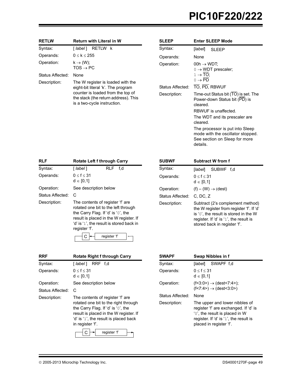| <b>RETLW</b>     | <b>Return with Literal in W</b>                                                                                                                | <b>SLEEP</b>     | <b>Enter SLEEP Mode</b>                                                           |
|------------------|------------------------------------------------------------------------------------------------------------------------------------------------|------------------|-----------------------------------------------------------------------------------|
| Syntax:          | RETLW k<br>[ label ]                                                                                                                           | Syntax:          | [label]<br><b>SLEEP</b>                                                           |
| Operands:        | $0 \leq k \leq 255$                                                                                                                            | Operands:        | None                                                                              |
| Operation:       | $k \rightarrow (W);$<br>$TOS \rightarrow PC$                                                                                                   | Operation:       | $00h \rightarrow WDT$ ;<br>$0 \rightarrow WDT$ prescaler;                         |
| Status Affected: | None                                                                                                                                           |                  | $1 \rightarrow \overline{TO}$ ;                                                   |
| Description:     | The W register is loaded with the                                                                                                              |                  | $0 \rightarrow \text{PD}$                                                         |
|                  | eight-bit literal 'k'. The program<br>counter is loaded from the top of<br>the stack (the return address). This<br>is a two-cycle instruction. | Status Affected: | TO, PD, RBWUF                                                                     |
|                  |                                                                                                                                                | Description:     | Time-out Status bit (TO) is set. The<br>Power-down Status bit (PD) is<br>cleared. |
|                  |                                                                                                                                                |                  | RBWUF is unaffected.                                                              |
|                  |                                                                                                                                                |                  | The WDT and its prescaler are<br>cleared.                                         |
|                  |                                                                                                                                                |                  | The processor is put into Sleep<br>mode with the oscillator stopped.              |

| <b>RLF</b>       | Rotate Left f through Carry                                                                                                                                                                                          |              |     |  |  |  |  |
|------------------|----------------------------------------------------------------------------------------------------------------------------------------------------------------------------------------------------------------------|--------------|-----|--|--|--|--|
| Syntax:          | [ label ]                                                                                                                                                                                                            | RLF          | f.d |  |  |  |  |
| Operands:        | $0 \le f \le 31$<br>$d \in [0,1]$                                                                                                                                                                                    |              |     |  |  |  |  |
| Operation:       | See description below                                                                                                                                                                                                |              |     |  |  |  |  |
| Status Affected: | C                                                                                                                                                                                                                    |              |     |  |  |  |  |
| Description:     | The contents of register 'f' are<br>rotated one bit to the left through<br>the Carry Flag. If 'd' is '0', the<br>result is placed in the W register. If<br>'d' is '1', the result is stored back in<br>register 'f'. |              |     |  |  |  |  |
|                  |                                                                                                                                                                                                                      | register 'f' |     |  |  |  |  |

| <b>SUBWF</b>     | <b>Subtract W from f</b>                                                                                                                                                                        |  |  |  |  |  |  |  |
|------------------|-------------------------------------------------------------------------------------------------------------------------------------------------------------------------------------------------|--|--|--|--|--|--|--|
| Syntax:          | [label] SUBWF f.d                                                                                                                                                                               |  |  |  |  |  |  |  |
| Operands:        | 0 < f < 31<br>$d \in [0,1]$                                                                                                                                                                     |  |  |  |  |  |  |  |
| Operation:       | $(f) - (W) \rightarrow (dest)$                                                                                                                                                                  |  |  |  |  |  |  |  |
| Status Affected: | $C.$ DC, $Z$                                                                                                                                                                                    |  |  |  |  |  |  |  |
| Description:     | Subtract (2's complement method)<br>the W register from register 'f'. If 'd'<br>is '0', the result is stored in the W<br>register. If 'd' is '1', the result is<br>stored back in register 'f'. |  |  |  |  |  |  |  |

details.

See section on Sleep for more

| <b>RRF</b>       | <b>Rotate Right f through Carry</b>                                                                                                                                                                                   |
|------------------|-----------------------------------------------------------------------------------------------------------------------------------------------------------------------------------------------------------------------|
| Syntax:          | [ <i>label</i> ] RRF f.d                                                                                                                                                                                              |
| Operands:        | 0 < f < 31<br>$d \in [0,1]$                                                                                                                                                                                           |
| Operation:       | See description below                                                                                                                                                                                                 |
| Status Affected: | C                                                                                                                                                                                                                     |
| Description:     | The contents of register 'f' are<br>rotated one bit to the right through<br>the Carry Flag. If 'd' is '0', the<br>result is placed in the W register. If<br>'d' is '1', the result is placed back<br>in register 'f'. |
|                  | register 'f'                                                                                                                                                                                                          |

| <b>SWAPF</b>     | Swap Nibbles in f                                                                                                                                                              |  |  |  |  |  |  |  |
|------------------|--------------------------------------------------------------------------------------------------------------------------------------------------------------------------------|--|--|--|--|--|--|--|
| Syntax:          | [label] SWAPF f.d                                                                                                                                                              |  |  |  |  |  |  |  |
| Operands:        | 0 < f < 31<br>$d \in [0,1]$                                                                                                                                                    |  |  |  |  |  |  |  |
| Operation:       | $(f<3:0>) \rightarrow (dest < 7:4>)$ ;<br>$(f<7:4>) \rightarrow (dest<3:0>)$                                                                                                   |  |  |  |  |  |  |  |
| Status Affected: | None                                                                                                                                                                           |  |  |  |  |  |  |  |
| Description:     | The upper and lower nibbles of<br>register 'f' are exchanged. If 'd' is<br>'0', the result is placed in W<br>register. If 'd' is '1', the result is<br>placed in register 'f'. |  |  |  |  |  |  |  |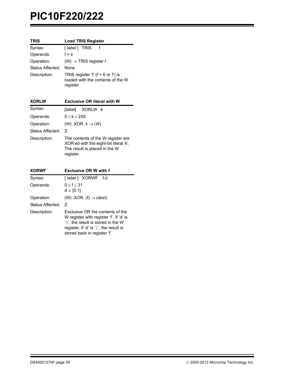| <b>TRIS</b>      | <b>Load TRIS Register</b>                                                                                                  |
|------------------|----------------------------------------------------------------------------------------------------------------------------|
| Syntax:          | [label] TRIS<br>f                                                                                                          |
| Operands:        | $f = 6$                                                                                                                    |
| Operation:       | $(W) \rightarrow TRIS$ register f                                                                                          |
| Status Affected: | None                                                                                                                       |
| Description:     | TRIS register 'f' ( $f = 6$ or 7) is<br>loaded with the contents of the W<br>register                                      |
| <b>XORLW</b>     | <b>Exclusive OR literal with W</b>                                                                                         |
| Syntax:          | [label]<br>XORLW k                                                                                                         |
| Operands:        | $0 \le k \le 255$                                                                                                          |
| Operation:       | $(W)$ .XOR. $k \rightarrow (W)$                                                                                            |
| Status Affected: | $\overline{z}$                                                                                                             |
| Description:     | The contents of the W register are<br>XOR'ed with the eight-bit literal 'k'.<br>The result is placed in the W<br>register. |
|                  |                                                                                                                            |
| <b>XORWF</b>     | <b>Exclusive OR W with f</b>                                                                                               |
| Syntax:          | [ <i>label</i> ] XORWF<br>f.d                                                                                              |
| Operands:        | $0 \le f \le 31$<br>$d \in [0,1]$                                                                                          |
| Operation:       | (W) .XOR. $(f) \rightarrow$ (dest)                                                                                         |

Description: Exclusive OR the contents of the

W register with register 'f'. If 'd' is '0', the result is stored in the W register. If 'd' is '1', the result is stored back in register 'f'.

Status Affected: Z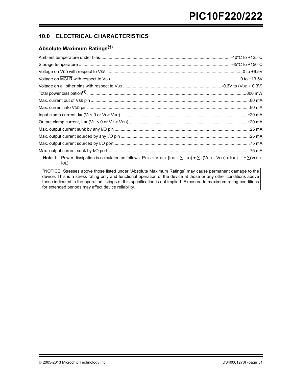# **10.0 ELECTRICAL CHARACTERISTICS**

# **Absolute Maximum Ratings(†)**

| <b>Note 1:</b> Power dissipation is calculated as follows: PDIS = VDD x {IDD $-\sum$ IOH} + $\sum$ {(VDD - VOH) x IOH}  + $\sum$ (VOL x<br>IOL) |  |
|-------------------------------------------------------------------------------------------------------------------------------------------------|--|
| $\vert$ TNOTICE: Stresses above those listed under "Absolute Maximum Ratings" mav cause permanent damage to the l                               |  |

†NOTICE: Stresses above those listed under "Absolute Maximum Ratings" may cause permanent damage to the device. This is a stress rating only and functional operation of the device at those or any other conditions above those indicated in the operation listings of this specification is not implied. Exposure to maximum rating conditions for extended periods may affect device reliability.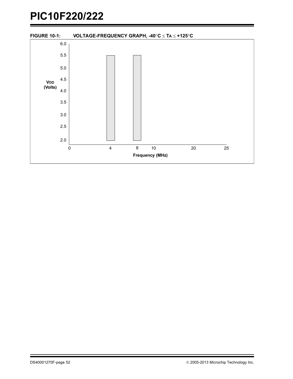<span id="page-53-0"></span>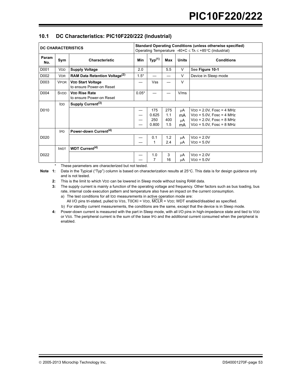| <b>DC CHARACTERISTICS</b> |             | <b>Standard Operating Conditions (unless otherwise specified)</b><br>Operating Temperature -40×C $\leq$ TA $\leq$ +85°C (industrial) |         |                              |                          |                      |                                                                                                                          |
|---------------------------|-------------|--------------------------------------------------------------------------------------------------------------------------------------|---------|------------------------------|--------------------------|----------------------|--------------------------------------------------------------------------------------------------------------------------|
| Param<br>No.              | Sym         | <b>Characteristic</b>                                                                                                                | Min     | Typ <sup>(1)</sup>           | Max                      | <b>Units</b>         | <b>Conditions</b>                                                                                                        |
| D001                      | <b>VDD</b>  | <b>Supply Voltage</b>                                                                                                                | 2.0     |                              | 5.5                      | V                    | See Figure 10-1                                                                                                          |
| D002                      | <b>VDR</b>  | RAM Data Retention Voltage <sup>(2)</sup>                                                                                            | $1.5*$  |                              |                          | V                    | Device in Sleep mode                                                                                                     |
| D003                      | <b>VPOR</b> | <b>VDD Start Voltage</b><br>to ensure Power-on Reset                                                                                 |         | <b>Vss</b>                   |                          | V                    |                                                                                                                          |
| D004                      | <b>SVDD</b> | <b>VDD Rise Rate</b><br>to ensure Power-on Reset                                                                                     | $0.05*$ |                              |                          | V/ms                 |                                                                                                                          |
|                           | IDD         | Supply Current <sup>(3)</sup>                                                                                                        |         |                              |                          |                      |                                                                                                                          |
| D010                      |             |                                                                                                                                      |         | 175<br>0.625<br>250<br>0.800 | 275<br>1.1<br>400<br>1.5 | μA<br>mA<br>μA<br>mA | $VDD = 2.0V$ , Fosc = 4 MHz<br>$VDD = 5.0V$ , Fosc = 4 MHz<br>$VDD = 2.0V$ , Fosc = 8 MHz<br>$VDD = 5.0V$ , Fosc = 8 MHz |
|                           | <b>IPD</b>  | Power-down Current <sup>(4)</sup>                                                                                                    |         |                              |                          |                      |                                                                                                                          |
| D <sub>0</sub> 20         |             |                                                                                                                                      |         | 0.1<br>1                     | 1.2<br>2.4               | μA<br>uΑ             | $VDD = 2.0V$<br>$VDD = 5.0V$                                                                                             |
|                           | <b>IWDT</b> | WDT Current <sup>(4)</sup>                                                                                                           |         |                              |                          |                      |                                                                                                                          |
| D022                      |             |                                                                                                                                      |         | 1.0<br>7                     | 3<br>16                  | μA<br>uА             | $VDD = 2.0V$<br>$VDD = 5.0V$                                                                                             |

## <span id="page-54-0"></span>**10.1 DC Characteristics: PIC10F220/222 (Industrial)**

These parameters are characterized but not tested.

Note 1: Data in the Typical ("Typ") column is based on characterization results at 25°C. This data is for design guidance only and is not tested.

**2:** This is the limit to which VDD can be lowered in Sleep mode without losing RAM data.

**3:** The supply current is mainly a function of the operating voltage and frequency. Other factors such as bus loading, bus rate, internal code execution pattern and temperature also have an impact on the current consumption. a) The test conditions for all IDD measurements in active operation mode are:

- All I/O pins tri-stated, pulled to Vss, T0CKI = VDD, MCLR = VDD; WDT enabled/disabled as specified. b) For standby current measurements, the conditions are the same, except that the device is in Sleep mode.
- **4:** Power-down current is measured with the part in Sleep mode, with all I/O pins in high-impedance state and tied to VDD or VSS. The peripheral current is the sum of the base IPD and the additional current consumed when the peripheral is enabled.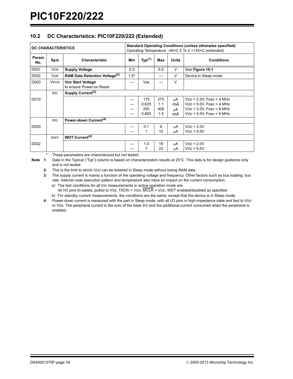## **10.2 DC Characteristics: PIC10F220/222 (Extended)**

| <b>DC CHARACTERISTICS</b> |                              | <b>Standard Operating Conditions (unless otherwise specified)</b><br>Operating Temperature -40×C £ TA £ +125×C (extended) |        |                              |                          |                      |                                                                                                                          |
|---------------------------|------------------------------|---------------------------------------------------------------------------------------------------------------------------|--------|------------------------------|--------------------------|----------------------|--------------------------------------------------------------------------------------------------------------------------|
| Param<br>No.              | Sym<br><b>Characteristic</b> |                                                                                                                           | Min    | Typ <sup>(1)</sup>           | Max                      | <b>Units</b>         | <b>Conditions</b>                                                                                                        |
| D001                      | <b>VDD</b>                   | <b>Supply Voltage</b>                                                                                                     | 2.0    |                              | 5.5                      | $\vee$               | See Figure 10-1                                                                                                          |
| D002                      | <b>VDR</b>                   | RAM Data Retention Voltage <sup>(2)</sup>                                                                                 | $1.5*$ |                              |                          | V                    | Device in Sleep mode                                                                                                     |
| D003                      | <b>VPOR</b>                  | <b>VDD Start Voltage</b><br>to ensure Power-on Reset                                                                      |        | <b>Vss</b>                   |                          | $\vee$               |                                                                                                                          |
|                           | IDD                          | Supply Current <sup>(3)</sup>                                                                                             |        |                              |                          |                      |                                                                                                                          |
| D010                      |                              |                                                                                                                           |        | 175<br>0.625<br>250<br>0.800 | 275<br>1.1<br>400<br>1.5 | μA<br>mA<br>μA<br>mA | $VDD = 2.0V$ , Fosc = 4 MHz<br>$VDD = 5.0V$ , Fosc = 4 MHz<br>$VDD = 2.0V$ , Fosc = 8 MHz<br>$VDD = 5.0V$ , Fosc = 8 MHz |
|                           | <b>IPD</b>                   | Power-down Current <sup>(4)</sup>                                                                                         |        |                              |                          |                      |                                                                                                                          |
| D <sub>0</sub> 20         |                              |                                                                                                                           |        | 0.1                          | 9<br>15                  | μA<br>μA             | $VDD = 2.0V$<br>$VDD = 5.0V$                                                                                             |
|                           | <b>IWDT</b>                  | WDT Current <sup>(4)</sup>                                                                                                |        |                              |                          |                      |                                                                                                                          |
| D022                      |                              |                                                                                                                           |        | 1.0                          | 18<br>22                 | μA<br>μA             | $VDD = 2.0V$<br>$VDD = 5.0V$                                                                                             |

These parameters are characterized but not tested.

Note 1: Data in the Typical ("Typ") column is based on characterization results at 25°C. This data is for design guidance only and is not tested.

**2:** This is the limit to which VDD can be lowered in Sleep mode without losing RAM data.

**3:** The supply current is mainly a function of the operating voltage and frequency. Other factors such as bus loading, bus rate, internal code execution pattern and temperature also have an impact on the current consumption.

a) The test conditions for all IDD measurements in active operation mode are:

All I/O pins tri-stated, pulled to Vss, T0CKI = VDD,  $\overline{MCLR}$  = VDD; WDT enabled/disabled as specified.

b) For standby current measurements, the conditions are the same, except that the device is in Sleep mode. **4:** Power-down current is measured with the part in Sleep mode, with all I/O pins in high-impedance state and tied to VDD or VSS. The peripheral current is the sum of the base IPD and the additional current consumed when the peripheral is

enabled.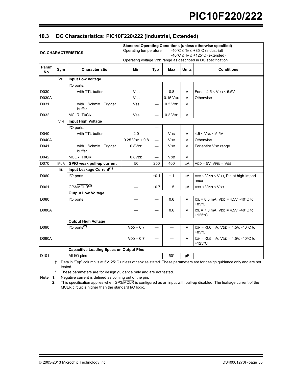## **10.3 DC Characteristics: PIC10F220/222 (Industrial, Extended)**

| <b>DC CHARACTERISTICS</b> |             | <b>Standard Operating Conditions (unless otherwise specified)</b><br>Operating temperature<br>-40°C $\leq$ TA $\leq$ +85°C (industrial)<br>-40°C $\leq$ TA $\leq$ +125°C (extended)<br>Operating voltage VDD range as described in DC specification |                              |      |                          |              |                                                                              |  |
|---------------------------|-------------|-----------------------------------------------------------------------------------------------------------------------------------------------------------------------------------------------------------------------------------------------------|------------------------------|------|--------------------------|--------------|------------------------------------------------------------------------------|--|
| Param<br>No.              | Sym         | <b>Characteristic</b>                                                                                                                                                                                                                               | <b>Min</b>                   | Typ† | Max                      | <b>Units</b> | <b>Conditions</b>                                                            |  |
|                           | VIL         | <b>Input Low Voltage</b>                                                                                                                                                                                                                            |                              |      |                          |              |                                                                              |  |
|                           |             | I/O ports:                                                                                                                                                                                                                                          |                              |      |                          |              |                                                                              |  |
| D030                      |             | with TTL buffer                                                                                                                                                                                                                                     | <b>Vss</b>                   |      | 0.8                      | V            | For all $4.5 \leq$ VDD $\leq$ 5.5V                                           |  |
| <b>D030A</b>              |             |                                                                                                                                                                                                                                                     | <b>Vss</b>                   |      | $0.15$ V <sub>DD</sub>   | V            | Otherwise                                                                    |  |
| D031                      |             | with Schmitt Trigger<br>buffer                                                                                                                                                                                                                      | <b>Vss</b>                   |      | $0.2$ VDD                | $\vee$       |                                                                              |  |
| D032                      |             | MCLR, TOCKI                                                                                                                                                                                                                                         | <b>Vss</b>                   |      | $0.2$ V <sub>D</sub> $D$ | V            |                                                                              |  |
|                           | <b>VIH</b>  | <b>Input High Voltage</b>                                                                                                                                                                                                                           |                              |      |                          |              |                                                                              |  |
|                           |             | I/O ports:                                                                                                                                                                                                                                          |                              |      |                          |              |                                                                              |  |
| D040                      |             | with TTL buffer                                                                                                                                                                                                                                     | 2.0                          |      | <b>V<sub>DD</sub></b>    | V            | $4.5 \leq$ VDD $\leq$ 5.5V                                                   |  |
| D040A                     |             |                                                                                                                                                                                                                                                     | $0.25$ V <sub>D</sub> $+0.8$ |      | V <sub>DD</sub>          | V            | Otherwise                                                                    |  |
| D041                      |             | with Schmitt Trigger<br>buffer                                                                                                                                                                                                                      | 0.8VDD                       |      | <b>VDD</b>               | V            | For entire VDD range                                                         |  |
| D042                      |             | MCLR, TOCKI                                                                                                                                                                                                                                         | 0.8V <sub>DD</sub>           |      | <b>V<sub>DD</sub></b>    | V            |                                                                              |  |
| D070                      | <b>IPUR</b> | GPIO weak pull-up current                                                                                                                                                                                                                           | 50                           | 250  | 400                      | uА           | $VDD = 5V$ , $VPIN = VSS$                                                    |  |
|                           | IIL         | Input Leakage Current <sup>(1)</sup>                                                                                                                                                                                                                |                              |      |                          |              |                                                                              |  |
| D060                      |             | I/O ports                                                                                                                                                                                                                                           |                              | ±0.1 | ±1                       | μA           | $Vss \leq VPN \leq VDD$ , Pin at high-imped-<br>ance                         |  |
| D061                      |             | $GP3/\overline{MCLR}^{(2)}$                                                                                                                                                                                                                         |                              | ±0.7 | ± 5                      | uА           | $Vss \leq VPIN \leq VDD$                                                     |  |
|                           |             | <b>Output Low Voltage</b>                                                                                                                                                                                                                           |                              |      |                          |              |                                                                              |  |
| D080                      |             | I/O ports                                                                                                                                                                                                                                           |                              |      | 0.6                      | V            | $IOL = 8.5 \text{ mA}$ , $VDD = 4.5V$ , $-40^{\circ}C$ to<br>$+85^{\circ}$ C |  |
| D080A                     |             |                                                                                                                                                                                                                                                     |                              |      | 0.6                      | V            | $IOL = 7.0$ mA, $VDD = 4.5V$ , -40 $^{\circ}C$ to<br>$+125^{\circ}$ C        |  |
|                           |             | <b>Output High Voltage</b>                                                                                                                                                                                                                          |                              |      |                          |              |                                                                              |  |
| D090                      |             | $I/O$ ports <sup>(2)</sup>                                                                                                                                                                                                                          | $VDD - 0.7$                  |      |                          | V            | IOH = $-3.0$ mA, VDD = $4.5V$ , $-40^{\circ}$ C to<br>$+85^{\circ}$ C        |  |
| <b>D090A</b>              |             |                                                                                                                                                                                                                                                     | $VDD - 0.7$                  |      |                          | V            | IOH = $-2.5$ mA, VDD = 4.5V, $-40^{\circ}$ C to<br>+125 $\degree$ C          |  |
|                           |             | <b>Capacitive Loading Specs on Output Pins</b>                                                                                                                                                                                                      |                              |      |                          |              |                                                                              |  |
| D <sub>101</sub>          |             | All I/O pins                                                                                                                                                                                                                                        |                              |      | $50*$                    | pF           |                                                                              |  |

† Data in "Typ" column is at 5V, 25C unless otherwise stated. These parameters are for design guidance only and are not tested.

\* These parameters are for design guidance only and are not tested.

**Note 1:** Negative current is defined as coming out of the pin.

**2:** This specification applies when GP3/MCLR is configured as an input with pull-up disabled. The leakage current of the MCLR circuit is higher than the standard I/O logic.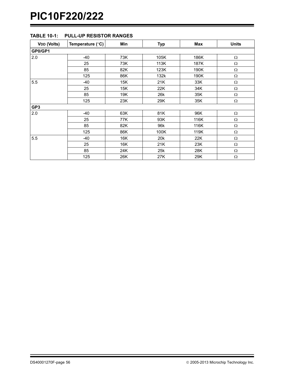| <b>VDD (Volts)</b> | Temperature (°C) | Min | <b>Typ</b> | Max  | <b>Units</b> |
|--------------------|------------------|-----|------------|------|--------------|
| GP0/GP1            |                  |     |            |      |              |
| 2.0                | $-40$            | 73K | 105K       | 186K | Ω            |
|                    | 25               | 73K | 113K       | 187K | $\Omega$     |
|                    | 85               | 82K | 123K       | 190K | Ω            |
|                    | 125              | 86K | 132k       | 190K | $\Omega$     |
| 5.5                | $-40$            | 15K | 21K        | 33K  | $\Omega$     |
|                    | 25               | 15K | 22K        | 34K  | Ω            |
|                    | 85               | 19K | 26k        | 35K  | Ω            |
|                    | 125              | 23K | 29K        | 35K  | $\Omega$     |
| GP3                |                  |     |            |      |              |
| 2.0                | $-40$            | 63K | 81K        | 96K  | Ω            |
|                    | 25               | 77K | 93K        | 116K | $\Omega$     |
|                    | 85               | 82K | 96k        | 116K | $\Omega$     |
|                    | 125              | 86K | 100K       | 119K | $\Omega$     |
| 5.5                | $-40$            | 16K | 20k        | 22K  | Ω            |
|                    | 25               | 16K | 21K        | 23K  | Ω            |
|                    | 85               | 24K | 25k        | 28K  | $\Omega$     |
|                    | 125              | 26K | 27K        | 29K  | Ω            |

## <span id="page-57-0"></span>**TABLE 10-1: PULL-UP RESISTOR RANGES**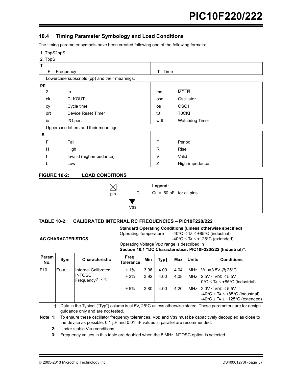## **10.4 Timing Parameter Symbology and Load Conditions**

The timing parameter symbols have been created following one of the following formats:

1. TppS2ppS

2. TppS

| $-$ . $\mu$ $\mu$ |                                               |      |                  |  |  |  |  |
|-------------------|-----------------------------------------------|------|------------------|--|--|--|--|
| T                 |                                               |      |                  |  |  |  |  |
| F                 | Frequency                                     | Time |                  |  |  |  |  |
|                   | Lowercase subscripts (pp) and their meanings: |      |                  |  |  |  |  |
| pp                |                                               |      |                  |  |  |  |  |
| 2                 | to                                            | mc   | <b>MCLR</b>      |  |  |  |  |
| ck                | <b>CLKOUT</b>                                 | osc  | Oscillator       |  |  |  |  |
| cy                | Cycle time                                    | os   | OSC <sub>1</sub> |  |  |  |  |
| drt               | Device Reset Timer                            | t0   | <b>TOCKI</b>     |  |  |  |  |
| io                | I/O port                                      | wdt  | Watchdog Timer   |  |  |  |  |
|                   | Uppercase letters and their meanings:         |      |                  |  |  |  |  |
| S                 |                                               |      |                  |  |  |  |  |
| F                 | Fall                                          | P    | Period           |  |  |  |  |
| н                 | High                                          | R    | Rise             |  |  |  |  |
|                   | Invalid (high-impedance)                      | V    | Valid            |  |  |  |  |
|                   | Low                                           | Z    | High-impedance   |  |  |  |  |

## **FIGURE 10-2: LOAD CONDITIONS**



#### **TABLE 10-2: CALIBRATED INTERNAL RC FREQUENCIES – PIC10F220/222**

| <b>AC CHARACTERISTICS</b> |                                                              |                       | <b>Standard Operating Conditions (unless otherwise specified)</b><br>-40°C $\leq$ TA $\leq$ +85°C (industrial),<br>Operating Temperature<br>$-40^{\circ}$ C $\leq$ TA $\leq$ +125°C (extended)<br>Operating Voltage VDD range is described in<br>Section 10.1 "DC Characteristics: PIC10F220/222 (Industrial)". |      |      |      |            |                                                                                                                              |
|---------------------------|--------------------------------------------------------------|-----------------------|-----------------------------------------------------------------------------------------------------------------------------------------------------------------------------------------------------------------------------------------------------------------------------------------------------------------|------|------|------|------------|------------------------------------------------------------------------------------------------------------------------------|
| Param<br>No.              | Sym                                                          | <b>Characteristic</b> | Freg.<br>Min<br><b>Units</b><br><b>Conditions</b><br>Max<br><b>Typt</b><br><b>Tolerance</b>                                                                                                                                                                                                                     |      |      |      |            |                                                                                                                              |
| F <sub>10</sub>           | Fosc                                                         | Internal Calibrated   | $± 1\%$                                                                                                                                                                                                                                                                                                         | 3.96 | 4.00 | 4.04 | <b>MHz</b> | VDD=3.5V @ 25°C                                                                                                              |
|                           | <b>INTOSC</b><br>Frequency <sup><math>(1, 2, 3)</math></sup> |                       | $+2%$                                                                                                                                                                                                                                                                                                           | 3.92 | 4.00 | 4.08 | MHz        | $2.5V \leq VDD \leq 5.5V$<br>$0^{\circ}C \leq TA \leq +85^{\circ}C$ (industrial)                                             |
|                           |                                                              |                       | $+5%$                                                                                                                                                                                                                                                                                                           | 3.80 | 4.00 | 4.20 | MHz        | $2.0V \leq VDD \leq 5.5V$<br>$-40^{\circ}$ C $\leq$ TA $\leq$ +85°C (industrial)<br>-40°C $\leq$ TA $\leq$ +125°C (extended) |

 $\dagger$  Data in the Typical ("Typ") column is at 5V, 25°C unless otherwise stated. These parameters are for design guidance only and are not tested.

**Note 1:** To ensure these oscillator frequency tolerances, VDD and Vss must be capacitively decoupled as close to the device as possible. 0.1  $\mu$ F and 0.01  $\mu$ F values in parallel are recommended.

**2:** Under stable VDD conditions.

**3:** Frequency values in this table are doubled when the 8 MHz INTOSC option is selected.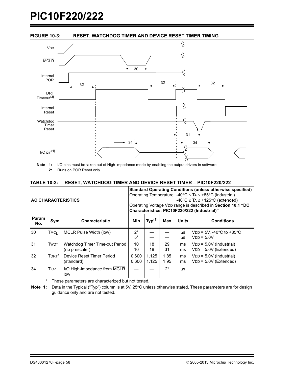

### **TABLE 10-3: RESET, WATCHDOG TIMER AND DEVICE RESET TIMER – PIC10F220/222**

| <b>AC CHARACTERISTICS</b> |                  |                                                  | <b>Standard Operating Conditions (unless otherwise specified)</b><br>Operating Temperature -40°C $\leq$ TA $\leq$ +85°C (industrial)<br>$-40^{\circ}$ C $\leq$ TA $\leq$ +125°C (extended)<br>Operating Voltage VDD range is described in Section 10.1 "DC<br>Characteristics: PIC10F220/222 (Industrial)" |                    |              |              |                                                                   |  |
|---------------------------|------------------|--------------------------------------------------|------------------------------------------------------------------------------------------------------------------------------------------------------------------------------------------------------------------------------------------------------------------------------------------------------------|--------------------|--------------|--------------|-------------------------------------------------------------------|--|
| Param<br>No.              | Sym              | <b>Characteristic</b>                            | <b>Min</b>                                                                                                                                                                                                                                                                                                 | Typ <sup>(1)</sup> | Max          | <b>Units</b> | <b>Conditions</b>                                                 |  |
| 30                        | TMC <sub>1</sub> | MCLR Pulse Width (low)                           | $2^*$<br>$5*$                                                                                                                                                                                                                                                                                              |                    |              | μS<br>μS     | $VDD = 5V$ , -40 $^{\circ}$ C to +85 $^{\circ}$ C<br>$VDD = 5.0V$ |  |
| 31                        | <b>TWDT</b>      | Watchdog Timer Time-out Period<br>(no prescaler) | 10<br>10                                                                                                                                                                                                                                                                                                   | 18<br>18           | 29<br>31     | ms<br>ms     | VDD = 5.0V (Industrial)<br>$VDD = 5.0V$ (Extended)                |  |
| 32                        | TDRT*            | Device Reset Timer Period<br>(standard)          | 0.600<br>0.600                                                                                                                                                                                                                                                                                             | 1.125<br>1.125     | 1.85<br>1.95 | ms<br>ms     | VDD = 5.0V (Industrial)<br>$VDD = 5.0V$ (Extended)                |  |
| 34                        | <b>Tioz</b>      | I/O High-impedance from MCLR<br>low              |                                                                                                                                                                                                                                                                                                            |                    | $2^*$        | μS           |                                                                   |  |

\* These parameters are characterized but not tested.

Note 1: Data in the Typical ("Typ") column is at 5V, 25°C unless otherwise stated. These parameters are for design guidance only and are not tested.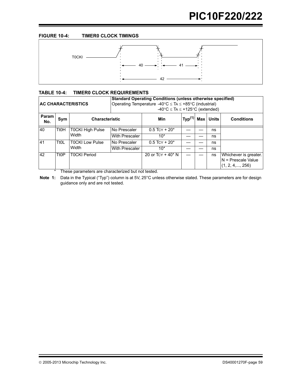### **FIGURE 10-4: TIMER0 CLOCK TIMINGS**



## **TABLE 10-4: TIMER0 CLOCK REQUIREMENTS**

| <b>AC CHARACTERISTICS</b> |                         |                          | <b>Standard Operating Conditions (unless otherwise specified)</b><br>Operating Temperature -40 $\degree$ C $\leq$ TA $\leq$ +85 $\degree$ C (industrial)<br>$-40^{\circ}$ C $\leq$ TA $\leq$ +125°C (extended) |                           |                    |     |              |                                                                         |  |  |
|---------------------------|-------------------------|--------------------------|----------------------------------------------------------------------------------------------------------------------------------------------------------------------------------------------------------------|---------------------------|--------------------|-----|--------------|-------------------------------------------------------------------------|--|--|
| Param<br>No.              | Sym                     | <b>Characteristic</b>    |                                                                                                                                                                                                                | Min                       | Typ <sup>(1)</sup> | Max | <b>Units</b> | <b>Conditions</b>                                                       |  |  |
| 40<br><b>TtOH</b>         |                         | <b>T0CKI High Pulse</b>  | No Prescaler                                                                                                                                                                                                   | $0.5$ TCY + 20*           |                    |     | ns           |                                                                         |  |  |
|                           |                         | Width                    | <b>With Prescaler</b>                                                                                                                                                                                          | $10*$                     |                    |     | ns           |                                                                         |  |  |
| 41                        | Tt0L                    | T0CKI Low Pulse<br>Width | No Prescaler                                                                                                                                                                                                   | $0.5$ TCY + 20*           |                    |     | ns           |                                                                         |  |  |
|                           |                         |                          | <b>With Prescaler</b>                                                                                                                                                                                          | $10*$                     |                    |     | ns           |                                                                         |  |  |
| 42                        | T <sub>t</sub> OP<br>÷. | <b>T0CKI Period</b>      | .                                                                                                                                                                                                              | 20 or $TCY + 40^* N$<br>. |                    |     | ns           | Whichever is greater.<br>N = Prescale Value<br>$(1, 2, 4, \ldots, 256)$ |  |  |

\* These parameters are characterized but not tested.

**Note 1:** Data in the Typical ("Typ") column is at 5V, 25°C unless otherwise stated. These parameters are for design guidance only and are not tested.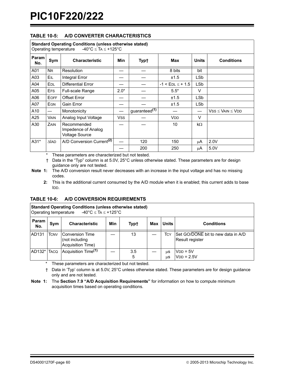## **TABLE 10-5: A/D CONVERTER CHARACTERISTICS**

| <b>Standard Operating Conditions (unless otherwise stated)</b><br>Operating temperature $-40^{\circ}$ C $\leq$ TA $\leq$ +125°C |                 |                                                             |            |                           |                        |              |                            |  |
|---------------------------------------------------------------------------------------------------------------------------------|-----------------|-------------------------------------------------------------|------------|---------------------------|------------------------|--------------|----------------------------|--|
| Param<br>No.                                                                                                                    | Sym             | <b>Characteristic</b>                                       | Min        | Typ†                      | Max                    | <b>Units</b> | <b>Conditions</b>          |  |
| A01                                                                                                                             | <b>NR</b>       | <b>Resolution</b>                                           |            |                           | 8 bits                 | bit          |                            |  |
| A03                                                                                                                             | EIL             | Integral Error                                              |            |                           | ±1.5                   | <b>LSb</b>   |                            |  |
| A04                                                                                                                             | EDL             | <b>Differential Error</b>                                   |            |                           | $-1 <$ EDL $\le$ + 1.5 | <b>LSb</b>   |                            |  |
| A05                                                                                                                             | <b>EFS</b>      | <b>Full-scale Range</b>                                     | $2.0*$     |                           | $5.5*$                 | $\vee$       |                            |  |
| A06                                                                                                                             | <b>EOFF</b>     | <b>Offset Error</b>                                         |            |                           | ±1.5                   | <b>LSb</b>   |                            |  |
| A07                                                                                                                             | <b>EGN</b>      | Gain Error                                                  |            |                           | ±1.5                   | LSb          |                            |  |
| A10                                                                                                                             |                 | Monotonicity                                                |            | guaranteed <sup>(1)</sup> |                        |              | $VSS \leq$ VAIN $\leq$ VDD |  |
| A25                                                                                                                             | <b>VAIN</b>     | Analog Input Voltage                                        | <b>VSS</b> |                           | VDD                    | V            |                            |  |
| A30                                                                                                                             | ZAIN            | Recommended<br>Impedence of Analog<br><b>Voltage Source</b> |            |                           | 10                     | $k\Omega$    |                            |  |
| $A31*$                                                                                                                          | $\triangle$ lad | A/D Conversion Current <sup>(2)</sup>                       |            | 120                       | 150                    | μA           | 2.0V                       |  |
|                                                                                                                                 |                 |                                                             |            | 200                       | 250                    | μA           | 5.0V                       |  |

\* These parameters are characterized but not tested.

† Data in the "Typ" column is at 5.0V, 25°C unless otherwise stated. These parameters are for design guidance only are not tested.

**Note 1:** The A/D conversion result never decreases with an increase in the input voltage and has no missing codes.

**2:** This is the additional current consumed by the A/D module when it is enabled; this current adds to base IDD.

#### **TABLE 10-6: A/D CONVERSION REQUIREMENTS**

| <b>Standard Operating Conditions (unless otherwise stated)</b><br>Operating temperature $-40^{\circ}$ C $\leq$ TA $\leq$ +125°C |             |                                                        |     |          |     |              |                                                              |  |  |
|---------------------------------------------------------------------------------------------------------------------------------|-------------|--------------------------------------------------------|-----|----------|-----|--------------|--------------------------------------------------------------|--|--|
| Param<br>No.                                                                                                                    | Sym         | <b>Characteristic</b>                                  | Min | Typ†     | Max | <b>Units</b> | <b>Conditions</b>                                            |  |  |
| AD131                                                                                                                           | <b>TCNV</b> | Conversion Time<br>(not including<br>Acquisition Time) |     | 13       |     | Тсү          | Set GO/DONE bit to new data in A/D<br><b>Result register</b> |  |  |
| AD132* TACQ                                                                                                                     |             | Acquisition Time <sup>(1)</sup>                        |     | 3.5<br>5 |     | μS<br>μS     | $VDD = 5V$<br>$VDD = 2.5V$                                   |  |  |

\* These parameters are characterized but not tested.

† Data in 'Typ' column is at 5.0V, 25°C unless otherwise stated. These parameters are for design guidance only and are not tested.

**Note 1:** The **[Section 7.9 "A/D Acquisition Requirements"](#page-33-0)** for information on how to compute minimum acquisition times based on operating conditions.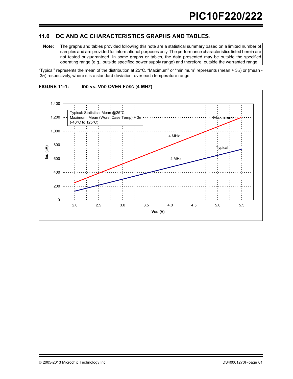## **11.0 DC AND AC CHARACTERISTICS GRAPHS AND TABLES.**

**Note:** The graphs and tables provided following this note are a statistical summary based on a limited number of samples and are provided for informational purposes only. The performance characteristics listed herein are not tested or guaranteed. In some graphs or tables, the data presented may be outside the specified operating range (e.g., outside specified power supply range) and therefore, outside the warranted range.

"Typical" represents the mean of the distribution at 25°C. "Maximum" or "minimum" represents (mean + 3 $\sigma$ ) or (mean - $3\sigma$ ) respectively, where s is a standard deviation, over each temperature range.



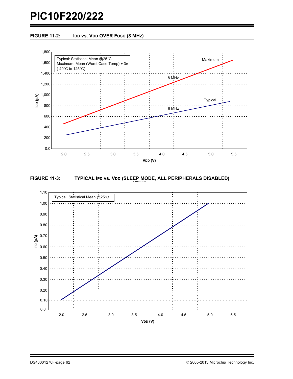





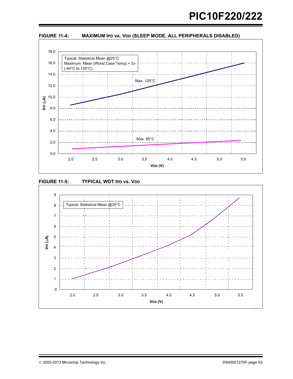

FIGURE 11-4: MAXIMUM IPD vs. VDD (SLEEP MODE, ALL PERIPHERALS DISABLED)



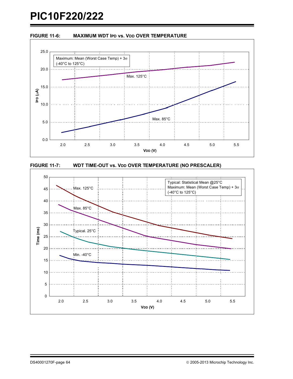





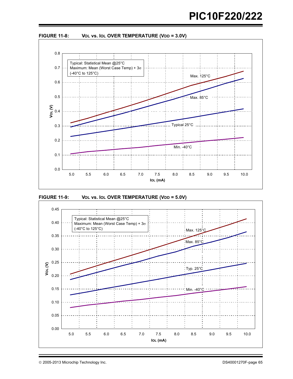

FIGURE 11-8: VOL vs. IOL OVER TEMPERATURE (VDD = 3.0V)





2005-2013 Microchip Technology Inc. DS40001270F-page 65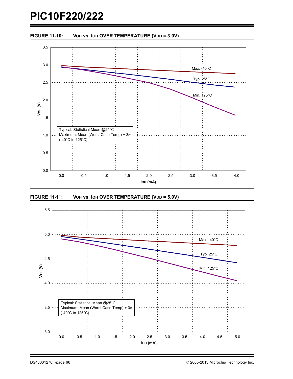

**FIGURE 11-11:** VOH vs. IOH OVER TEMPERATURE (VDD = 5.0V)

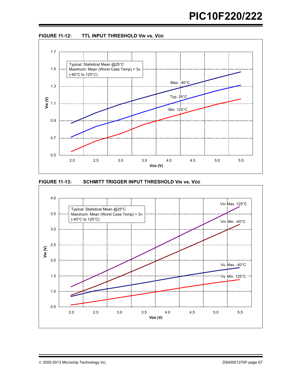





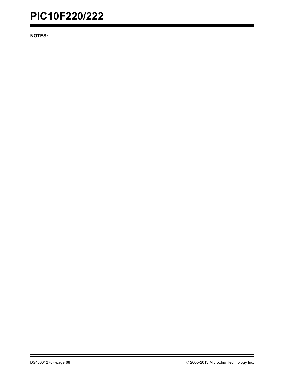**NOTES:**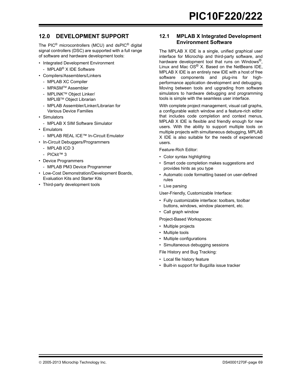# **12.0 DEVELOPMENT SUPPORT**

The PIC® microcontrollers (MCU) and dsPIC® digital signal controllers (DSC) are supported with a full range of software and hardware development tools:

- Integrated Development Environment
- MPLAB<sup>®</sup> X IDE Software
- Compilers/Assemblers/Linkers
	- MPLAB XC Compiler
	- MPASMTM Assembler
	- MPLINKTM Object Linker/ MPLIBTM Object Librarian
	- MPLAB Assembler/Linker/Librarian for Various Device Families
- Simulators
	- MPLAB X SIM Software Simulator
- Emulators
	- MPLAB REAL ICE™ In-Circuit Emulator
- In-Circuit Debuggers/Programmers
	- MPLAB ICD 3
	- PICkit™ 3
- Device Programmers
- MPLAB PM3 Device Programmer
- Low-Cost Demonstration/Development Boards, Evaluation Kits and Starter Kits
- Third-party development tools

## **12.1 MPLAB X Integrated Development Environment Software**

The MPLAB X IDE is a single, unified graphical user interface for Microchip and third-party software, and hardware development tool that runs on Windows®, Linux and Mac OS® X. Based on the NetBeans IDE, MPLAB X IDE is an entirely new IDE with a host of free software components and plug-ins for highperformance application development and debugging. Moving between tools and upgrading from software simulators to hardware debugging and programming tools is simple with the seamless user interface.

With complete project management, visual call graphs, a configurable watch window and a feature-rich editor that includes code completion and context menus, MPLAB X IDE is flexible and friendly enough for new users. With the ability to support multiple tools on multiple projects with simultaneous debugging, MPLAB X IDE is also suitable for the needs of experienced users.

Feature-Rich Editor:

- Color syntax highlighting
- Smart code completion makes suggestions and provides hints as you type
- Automatic code formatting based on user-defined rules
- Live parsing

User-Friendly, Customizable Interface:

- Fully customizable interface: toolbars, toolbar buttons, windows, window placement, etc.
- Call graph window
- Project-Based Workspaces:
- Multiple projects
- Multiple tools
- Multiple configurations
- Simultaneous debugging sessions

File History and Bug Tracking:

- Local file history feature
- Built-in support for Bugzilla issue tracker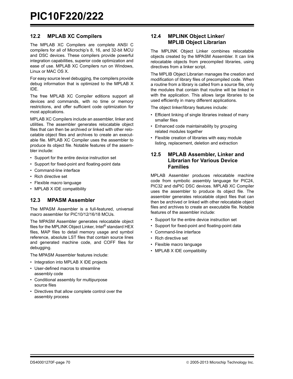## **12.2 MPLAB XC Compilers**

The MPLAB XC Compilers are complete ANSI C compilers for all of Microchip's 8, 16, and 32-bit MCU and DSC devices. These compilers provide powerful integration capabilities, superior code optimization and ease of use. MPLAB XC Compilers run on Windows, Linux or MAC OS X.

For easy source level debugging, the compilers provide debug information that is optimized to the MPLAB X IDE.

The free MPLAB XC Compiler editions support all devices and commands, with no time or memory restrictions, and offer sufficient code optimization for most applications.

MPLAB XC Compilers include an assembler, linker and utilities. The assembler generates relocatable object files that can then be archived or linked with other relocatable object files and archives to create an executable file. MPLAB XC Compiler uses the assembler to produce its object file. Notable features of the assembler include:

- Support for the entire device instruction set
- Support for fixed-point and floating-point data
- Command-line interface
- Rich directive set
- Flexible macro language
- MPLAB X IDE compatibility

## **12.3 MPASM Assembler**

The MPASM Assembler is a full-featured, universal macro assembler for PIC10/12/16/18 MCUs.

The MPASM Assembler generates relocatable object files for the MPLINK Object Linker, Intel® standard HEX files, MAP files to detail memory usage and symbol reference, absolute LST files that contain source lines and generated machine code, and COFF files for debugging.

The MPASM Assembler features include:

- Integration into MPLAB X IDE projects
- User-defined macros to streamline assembly code
- Conditional assembly for multipurpose source files
- Directives that allow complete control over the assembly process

## **12.4 MPLINK Object Linker/ MPLIB Object Librarian**

The MPLINK Object Linker combines relocatable objects created by the MPASM Assembler. It can link relocatable objects from precompiled libraries, using directives from a linker script.

The MPLIB Object Librarian manages the creation and modification of library files of precompiled code. When a routine from a library is called from a source file, only the modules that contain that routine will be linked in with the application. This allows large libraries to be used efficiently in many different applications.

The object linker/library features include:

- Efficient linking of single libraries instead of many smaller files
- Enhanced code maintainability by grouping related modules together
- Flexible creation of libraries with easy module listing, replacement, deletion and extraction

## **12.5 MPLAB Assembler, Linker and Librarian for Various Device Families**

MPLAB Assembler produces relocatable machine code from symbolic assembly language for PIC24, PIC32 and dsPIC DSC devices. MPLAB XC Compiler uses the assembler to produce its object file. The assembler generates relocatable object files that can then be archived or linked with other relocatable object files and archives to create an executable file. Notable features of the assembler include:

- Support for the entire device instruction set
- Support for fixed-point and floating-point data
- Command-line interface
- Rich directive set
- Flexible macro language
- MPLAB X IDE compatibility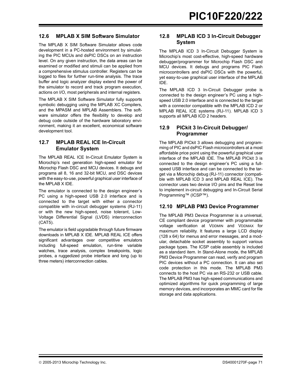## **12.6 MPLAB X SIM Software Simulator**

The MPLAB X SIM Software Simulator allows code development in a PC-hosted environment by simulating the PIC MCUs and dsPIC DSCs on an instruction level. On any given instruction, the data areas can be examined or modified and stimuli can be applied from a comprehensive stimulus controller. Registers can be logged to files for further run-time analysis. The trace buffer and logic analyzer display extend the power of the simulator to record and track program execution, actions on I/O, most peripherals and internal registers.

The MPLAB X SIM Software Simulator fully supports symbolic debugging using the MPLAB XC Compilers, and the MPASM and MPLAB Assemblers. The software simulator offers the flexibility to develop and debug code outside of the hardware laboratory environment, making it an excellent, economical software development tool.

## **12.7 MPLAB REAL ICE In-Circuit Emulator System**

The MPLAB REAL ICE In-Circuit Emulator System is Microchip's next generation high-speed emulator for Microchip Flash DSC and MCU devices. It debugs and programs all 8, 16 and 32-bit MCU, and DSC devices with the easy-to-use, powerful graphical user interface of the MPLAB X IDE.

The emulator is connected to the design engineer's PC using a high-speed USB 2.0 interface and is connected to the target with either a connector compatible with in-circuit debugger systems (RJ-11) or with the new high-speed, noise tolerant, Low-Voltage Differential Signal (LVDS) interconnection (CAT5).

The emulator is field upgradable through future firmware downloads in MPLAB X IDE. MPLAB REAL ICE offers significant advantages over competitive emulators including full-speed emulation, run-time variable watches, trace analysis, complex breakpoints, logic probes, a ruggedized probe interface and long (up to three meters) interconnection cables.

## **12.8 MPLAB ICD 3 In-Circuit Debugger System**

The MPLAB ICD 3 In-Circuit Debugger System is Microchip's most cost-effective, high-speed hardware debugger/programmer for Microchip Flash DSC and MCU devices. It debugs and programs PIC Flash microcontrollers and dsPIC DSCs with the powerful, yet easy-to-use graphical user interface of the MPLAB IDE.

The MPLAB ICD 3 In-Circuit Debugger probe is connected to the design engineer's PC using a highspeed USB 2.0 interface and is connected to the target with a connector compatible with the MPLAB ICD 2 or MPLAB REAL ICE systems (RJ-11). MPLAB ICD 3 supports all MPLAB ICD 2 headers.

## **12.9 PICkit 3 In-Circuit Debugger/ Programmer**

The MPLAB PICkit 3 allows debugging and programming of PIC and dsPIC Flash microcontrollers at a most affordable price point using the powerful graphical user interface of the MPLAB IDE. The MPLAB PICkit 3 is connected to the design engineer's PC using a fullspeed USB interface and can be connected to the target via a Microchip debug (RJ-11) connector (compatible with MPLAB ICD 3 and MPLAB REAL ICE). The connector uses two device I/O pins and the Reset line to implement in-circuit debugging and In-Circuit Serial Programming™ (ICSP™).

## **12.10 MPLAB PM3 Device Programmer**

The MPLAB PM3 Device Programmer is a universal, CE compliant device programmer with programmable voltage verification at VDDMIN and VDDMAX for maximum reliability. It features a large LCD display (128 x 64) for menus and error messages, and a modular, detachable socket assembly to support various package types. The ICSP cable assembly is included as a standard item. In Stand-Alone mode, the MPLAB PM3 Device Programmer can read, verify and program PIC devices without a PC connection. It can also set code protection in this mode. The MPLAB PM3 connects to the host PC via an RS-232 or USB cable. The MPLAB PM3 has high-speed communications and optimized algorithms for quick programming of large memory devices, and incorporates an MMC card for file storage and data applications.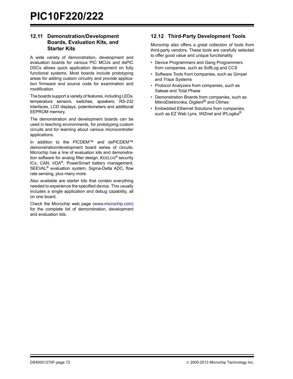## **12.11 Demonstration/Development Boards, Evaluation Kits, and Starter Kits**

A wide variety of demonstration, development and evaluation boards for various PIC MCUs and dsPIC DSCs allows quick application development on fully functional systems. Most boards include prototyping areas for adding custom circuitry and provide application firmware and source code for examination and modification.

The boards support a variety of features, including LEDs, temperature sensors, switches, speakers, RS-232 interfaces, LCD displays, potentiometers and additional EEPROM memory.

The demonstration and development boards can be used in teaching environments, for prototyping custom circuits and for learning about various microcontroller applications.

In addition to the PICDEM™ and dsPICDEM™ demonstration/development board series of circuits, Microchip has a line of evaluation kits and demonstration software for analog filter design, KEELOQ® security ICs, CAN, IrDA®, PowerSmart battery management, SEEVAL® evaluation system, Sigma-Delta ADC, flow rate sensing, plus many more.

Also available are starter kits that contain everything needed to experience the specified device. This usually includes a single application and debug capability, all on one board.

[Check the Microchip web page \(w](http://www.microchip.com)ww.microchip.com) for the complete list of demonstration, development and evaluation kits.

## **12.12 Third-Party Development Tools**

Microchip also offers a great collection of tools from third-party vendors. These tools are carefully selected to offer good value and unique functionality.

- Device Programmers and Gang Programmers from companies, such as SoftLog and CCS
- Software Tools from companies, such as Gimpel and Trace Systems
- Protocol Analyzers from companies, such as Saleae and Total Phase
- Demonstration Boards from companies, such as MikroElektronika, Digilent® and Olimex
- Embedded Ethernet Solutions from companies, such as EZ Web Lynx, WIZnet and IPLogika<sup>®</sup>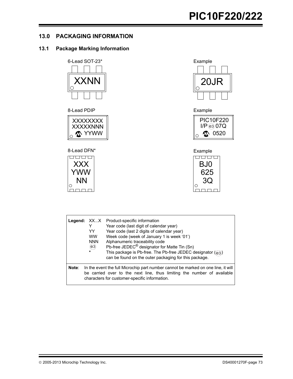## **13.0 PACKAGING INFORMATION**

## **13.1 Package Marking Information**



8-Lead PDIP



### 8-Lead DFN\*





Example





|       | YY<br><b>WW</b><br><b>NNN</b><br>(e3)<br>$\star$ | <b>Legend:</b> XXX Product-specific information<br>Year code (last digit of calendar year)<br>Year code (last 2 digits of calendar year)<br>Week code (week of January 1 is week '01')<br>Alphanumeric traceability code<br>Pb-free JEDEC <sup>®</sup> designator for Matte Tin (Sn)<br>This package is Pb-free. The Pb-free JEDEC designator (e3)<br>can be found on the outer packaging for this package. |
|-------|--------------------------------------------------|-------------------------------------------------------------------------------------------------------------------------------------------------------------------------------------------------------------------------------------------------------------------------------------------------------------------------------------------------------------------------------------------------------------|
| Note: |                                                  | In the event the full Microchip part number cannot be marked on one line, it will<br>be carried over to the next line, thus limiting the number of available<br>characters for customer-specific information.                                                                                                                                                                                               |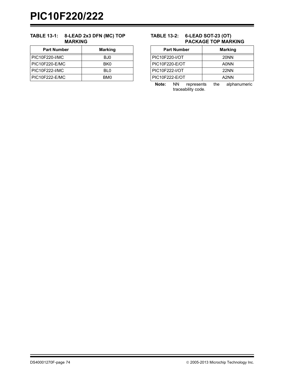## **TABLE 13-1: 8-LEAD 2x3 DFN (MC) TOP MARKING**

| <b>Part Number</b> | <b>Marking</b>  |
|--------------------|-----------------|
| PIC10F220-I/MC     | BJ0             |
| PIC10F220-E/MC     | BK <sub>0</sub> |
| PIC10F222-I/MC     | BI 0            |
| PIC10F222-E/MC     | BM0             |

## **TABLE 13-2: 6-LEAD SOT-23 (OT) PACKAGE TOP MARKING**

| <b>Part Number</b>    | <b>Marking</b> |
|-----------------------|----------------|
| <b>PIC10F220-I/OT</b> | <b>20NN</b>    |
| <b>PIC10F220-E/OT</b> | <b>A0NN</b>    |
| PIC10F222-I/OT        | <b>22NN</b>    |
| <b>PIC10F222-E/OT</b> | A2NN           |

**Note:** NN represents the alphanumeric traceability code.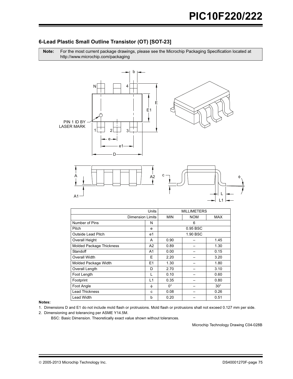## 6-Lead Plastic Small Outline Transistor (OT) [SOT-23]

Note: For the most current package drawings, please see the Microchip Packaging Specification located at http://www.microchip.com/packaging



| Units                           |                         | <b>MILLIMETERS</b> |            |              |
|---------------------------------|-------------------------|--------------------|------------|--------------|
|                                 | <b>Dimension Limits</b> | <b>MIN</b>         | <b>NOM</b> | <b>MAX</b>   |
| Number of Pins                  | N                       |                    | 6          |              |
| Pitch                           | e                       | 0.95 BSC           |            |              |
| <b>Outside Lead Pitch</b>       | e1                      |                    | 1.90 BSC   |              |
| Overall Height                  | A                       | 0.90               |            | 1.45         |
| <b>Molded Package Thickness</b> | A <sub>2</sub>          | 0.89               |            | 1.30         |
| Standoff                        | A <sub>1</sub>          | 0.00               |            | 0.15         |
| Overall Width                   | Е                       | 2.20               |            | 3.20         |
| Molded Package Width            | E1                      | 1.30               |            | 1.80         |
| Overall Length                  | D                       | 2.70               |            | 3.10         |
| Foot Length                     |                         | 0.10               |            | 0.60         |
| Footprint                       | L1                      | 0.35               |            | 0.80         |
| Foot Angle                      | φ                       | $0^{\circ}$        |            | $30^{\circ}$ |
| <b>Lead Thickness</b>           | c                       | 0.08               |            | 0.26         |
| <b>Lead Width</b>               | b                       | 0.20               |            | 0.51         |

#### Notes:

- 1. Dimensions D and E1 do not include mold flash or protrusions. Mold flash or protrusions shall not exceed 0.127 mm per side.
- 2. Dimensioning and tolerancing per ASME Y14.5M.

BSC: Basic Dimension. Theoretically exact value shown without tolerances.

Microchip Technology Drawing C04-028B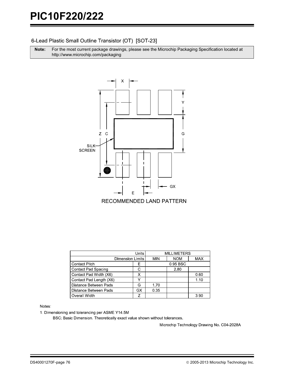## 6-Lead Plastic Small Outline Transistor (OT) [SOT-23]

**Note:** For the most current package drawings, please see the Microchip Packaging Specification located at http://www.microchip.com/packaging



|                         | <b>MILLIMETERS</b> |      |            |            |
|-------------------------|--------------------|------|------------|------------|
| Dimension Limits        |                    | MIN  | <b>NOM</b> | <b>MAX</b> |
| <b>Contact Pitch</b>    | Е                  |      | 0.95 BSC   |            |
| Contact Pad Spacing     | C                  |      | 2.80       |            |
| Contact Pad Width (X6)  |                    |      |            | 0.60       |
| Contact Pad Length (X6) |                    |      |            | 1.10       |
| Distance Between Pads   | G                  | 1.70 |            |            |
| Distance Between Pads   | GX                 | 0.35 |            |            |
| Overall Width           |                    |      |            | 3.90       |

#### Notes:

1. Dimensioning and tolerancing per ASME Y14.5M

BSC: Basic Dimension. Theoretically exact value shown without tolerances.

Microchip Technology Drawing No. C04-2028A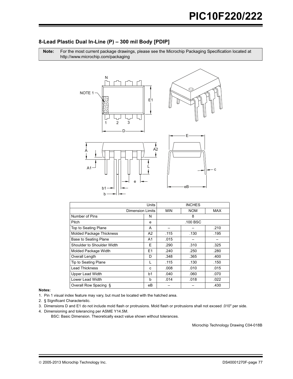## 8-Lead Plastic Dual In-Line (P) - 300 mil Body [PDIP]

Note: For the most current package drawings, please see the Microchip Packaging Specification located at http://www.microchip.com/packaging



|                                 | Units          |            | <b>INCHES</b> |            |  |
|---------------------------------|----------------|------------|---------------|------------|--|
| <b>Dimension Limits</b>         |                | <b>MIN</b> | <b>NOM</b>    | <b>MAX</b> |  |
| Number of Pins                  | N              |            | 8             |            |  |
| Pitch                           | e              |            | .100 BSC      |            |  |
| Top to Seating Plane            | A              |            |               | .210       |  |
| <b>Molded Package Thickness</b> | A2             | .115       | .130          | .195       |  |
| Base to Seating Plane           | A1             | .015       |               |            |  |
| Shoulder to Shoulder Width      | Ε              | .290       | .310          | .325       |  |
| Molded Package Width            | E <sub>1</sub> | .240       | .250          | .280       |  |
| Overall Length                  | D              | .348       | .365          | .400       |  |
| Tip to Seating Plane            |                | .115       | .130          | .150       |  |
| <b>Lead Thickness</b>           | C              | .008       | .010          | .015       |  |
| <b>Upper Lead Width</b>         | b1             | .040       | .060          | .070       |  |
| Lower Lead Width                | b              | .014       | .018          | .022       |  |
| Overall Row Spacing §           | eВ             |            |               | .430       |  |

#### Notes:

1. Pin 1 visual index feature may vary, but must be located with the hatched area.

- 2. § Significant Characteristic.
- 3. Dimensions D and E1 do not include mold flash or protrusions. Mold flash or protrusions shall not exceed .010" per side.
- 4. Dimensioning and tolerancing per ASME Y14.5M.

BSC: Basic Dimension. Theoretically exact value shown without tolerances.

Microchip Technology Drawing C04-018B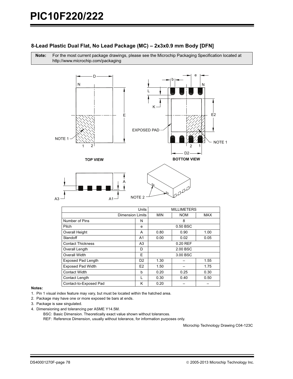## 8-Lead Plastic Dual Flat, No Lead Package (MC) - 2x3x0.9 mm Body [DFN]

Note: For the most current package drawings, please see the Microchip Packaging Specification located at http://www.microchip.com/packaging



| <b>Units</b>              |                  | <b>MILLIMETERS</b> |            |      |
|---------------------------|------------------|--------------------|------------|------|
|                           | Dimension Limits | <b>MIN</b>         | <b>NOM</b> | MAX  |
| Number of Pins            | N                |                    | 8          |      |
| Pitch                     | e                |                    | 0.50 BSC   |      |
| Overall Height            | A                | 0.80               | 0.90       | 1.00 |
| Standoff                  | A1               | 0.00               | 0.02       | 0.05 |
| <b>Contact Thickness</b>  | A <sub>3</sub>   | $0.20$ REF         |            |      |
| Overall Length            | D                | 2.00 BSC           |            |      |
| Overall Width             | E                | 3.00 BSC           |            |      |
| <b>Exposed Pad Length</b> | D <sub>2</sub>   | 1.30               |            | 1.55 |
| <b>Exposed Pad Width</b>  | E <sub>2</sub>   | 1.50               |            | 1.75 |
| Contact Width             | b                | 0.20               | 0.25       | 0.30 |
| Contact Length            | L                | 0.30               | 0.40       | 0.50 |
| Contact-to-Exposed Pad    | κ                | 0.20               |            |      |

NOTE<sub>2</sub>

 $A<sub>1</sub>$ 

#### Notes:

- 1. Pin 1 visual index feature may vary, but must be located within the hatched area.
- 2. Package may have one or more exposed tie bars at ends.
- 3. Package is saw singulated.

 $A<sub>3</sub>$ 

- 4. Dimensioning and tolerancing per ASME Y14.5M.
	- BSC: Basic Dimension. Theoretically exact value shown without tolerances.

REF: Reference Dimension, usually without tolerance, for information purposes only.

Microchip Technology Drawing C04-123C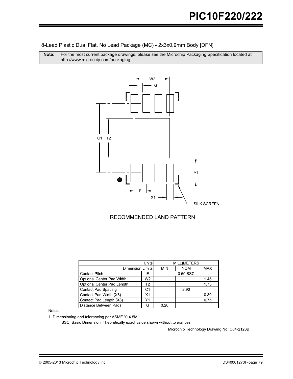8-Lead Plastic Dual Flat, No Lead Package (MC) - 2x3x0.9mm Body [DFN]

**Note:** For the most current package drawings, please see the Microchip Packaging Specification located at http://www.microchip.com/packaging



## RECOMMENDED LAND PATTERN

| Units                        |    | <b>MILLIMETERS</b> |            |            |  |
|------------------------------|----|--------------------|------------|------------|--|
| Dimension Limits             |    | <b>MIN</b>         | <b>NOM</b> | <b>MAX</b> |  |
| <b>Contact Pitch</b><br>Е    |    |                    | 0.50 BSC   |            |  |
| Optional Center Pad Width    | W2 |                    |            | 1.45       |  |
| Optional Center Pad Length   | Т2 |                    |            | 1.75       |  |
| <b>Contact Pad Spacing</b>   | С1 |                    | 2.90       |            |  |
| Contact Pad Width (X8)       | Χ1 |                    |            | 0.30       |  |
| Contact Pad Length (X8)      | Υ1 |                    |            | 0.75       |  |
| <b>Distance Between Pads</b> | G  | 0.20               |            |            |  |

**Notes** 

1. Dimensioning and tolerancing per ASME Y14.5M

BSC: Basic Dimension. Theoretically exact value shown without tolerances.

Microchip Technology Drawing No. C04-2123B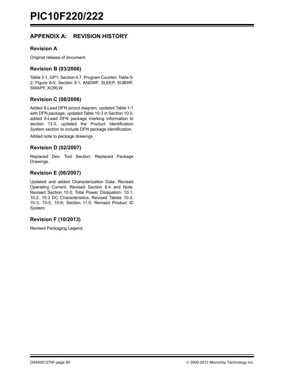## **APPENDIX A: REVISION HISTORY**

## **Revision A**

Original release of document.

## **Revision B (03/2006)**

Table 3-1, GP1; Section 4.7, Program Counter; Table 5- 2; Figure 8-5; Section 9.1, ANDWF, SLEEP, SUBWF, SWAPF, XORLW.

## **Revision C (08/2006)**

Added 8-Lead DFN pinout diagram, updated Table 1-1 with DFN package, updated Table 10-3 in Section 10.0, added 8-Lead DFN package marking information to section 13.0, updated the Product Identification System section to include DFN package identification.

Added note to package drawings.

## **Revision D (02/2007)**

Replaced Dev. Tool Section; Replaced Package Drawings.

## **Revision E (06/2007)**

Updated and added Characterization Data; Revised Operating Current; Revised Section 8.4 and Note; Revised Section 10.0, Total Power Dissipation, 10.1, 10.2, 10.3 DC Characteristics; Revised Tables 10-2, 10-3, 10-5, 10-6; Section 11.0; Revised Product ID System.

## **Revision F (10/2013)**

Revised Packaging Legend.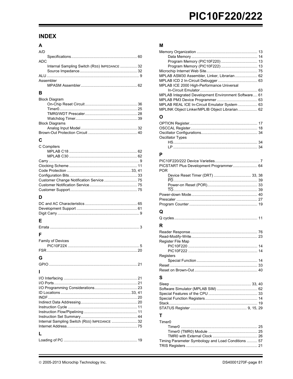## **INDEX**

| A/D                                          |  |
|----------------------------------------------|--|
|                                              |  |
| ADC.                                         |  |
| Internal Sampling Switch (Rss) IMPEDANCE  32 |  |
|                                              |  |
|                                              |  |
| Assembler                                    |  |
|                                              |  |

## $\, {\bf B} \,$

| <b>Block Diagram</b>  |  |
|-----------------------|--|
|                       |  |
|                       |  |
|                       |  |
|                       |  |
| <b>Block Diagrams</b> |  |
|                       |  |
|                       |  |

## $\mathbf c$

| C Compilers |  |
|-------------|--|
|             |  |
|             |  |
|             |  |
|             |  |
|             |  |
|             |  |
|             |  |
|             |  |
|             |  |
|             |  |

## D

#### $\mathsf E$ Er

## $\mathsf F$

| Family of Devices |  |
|-------------------|--|
|                   |  |
|                   |  |
|                   |  |

## ${\bf G}$

| Internal Sampling Switch (Rss) IMPEDANCE  32 |  |
|----------------------------------------------|--|
|                                              |  |
|                                              |  |
|                                              |  |

## $\boldsymbol{\mathsf{M}}$

| MPLAB ASM30 Assembler, Linker, Librarian 62           |
|-------------------------------------------------------|
|                                                       |
| MPLAB ICE 2000 High-Performance Universal             |
|                                                       |
| MPLAB Integrated Development Environment Software 61  |
|                                                       |
| MPLAB REAL ICE In-Circuit Emulator System  63         |
| MPLINK Object Linker/MPLIB Object Librarian 62        |
|                                                       |
|                                                       |
| Ω                                                     |
|                                                       |
|                                                       |
|                                                       |
| Oscillator Types                                      |
|                                                       |
|                                                       |
|                                                       |
| P                                                     |
|                                                       |
| PICSTART Plus Development Programmer 64<br><b>POR</b> |

| <b>POR</b> |  |
|------------|--|
|            |  |
|            |  |
|            |  |
|            |  |
|            |  |
|            |  |
|            |  |
| Q          |  |
|            |  |

## ${\sf R}$

| <b>Register File Map</b> |    |
|--------------------------|----|
|                          |    |
|                          |    |
| Registers                |    |
|                          |    |
|                          |    |
| Reset on Brown-Out       | 40 |

## $\mathbf{s}$

| т. |  |
|----|--|

## $\mathbf{I}$

| Timer0                                             |  |
|----------------------------------------------------|--|
|                                                    |  |
|                                                    |  |
|                                                    |  |
| Timing Parameter Symbology and Load Conditions  57 |  |
|                                                    |  |
|                                                    |  |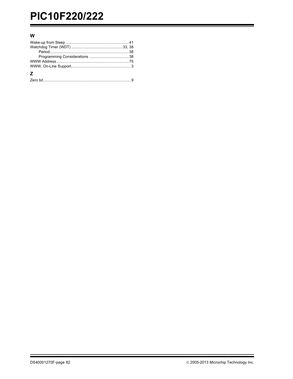# PIC10F220/222

## $\boldsymbol{\mathsf{W}}$

| 7 |  |
|---|--|
|   |  |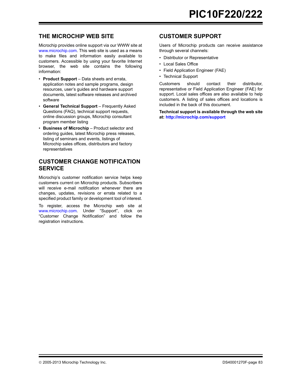## **THE MICROCHIP WEB SITE**

[Microchip provides online support via our WWW site at](http://www.microchip.com) www.microchip.com. This web site is used as a means to make files and information easily available to customers. Accessible by using your favorite Internet browser, the web site contains the following information:

- **Product Support** Data sheets and errata, application notes and sample programs, design resources, user's guides and hardware support documents, latest software releases and archived software
- **General Technical Support** Frequently Asked Questions (FAQ), technical support requests, online discussion groups, Microchip consultant program member listing
- **Business of Microchip** Product selector and ordering guides, latest Microchip press releases, listing of seminars and events, listings of Microchip sales offices, distributors and factory representatives

## **CUSTOMER CHANGE NOTIFICATION SERVICE**

Microchip's customer notification service helps keep customers current on Microchip products. Subscribers will receive e-mail notification whenever there are changes, updates, revisions or errata related to a specified product family or development tool of interest.

[To register, access the Microchip web site at](http://www.microchip.com) www.microchip.com. Under "Support", click on "Customer Change Notification" and follow the registration instructions.

## **CUSTOMER SUPPORT**

Users of Microchip products can receive assistance through several channels:

- Distributor or Representative
- Local Sales Office
- Field Application Engineer (FAE)
- Technical Support

Customers should contact their distributor, representative or Field Application Engineer (FAE) for support. Local sales offices are also available to help customers. A listing of sales offices and locations is included in the back of this document.

**[Technical support is available through the web site](http://www.microchip.com) [at:](http://www.microchip.com) http://microchip.com/support**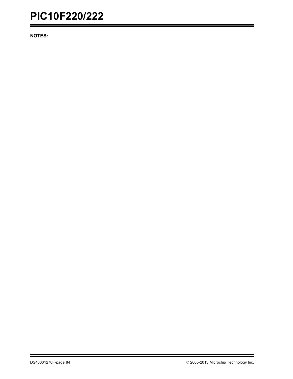## **PIC10F220/222**

**NOTES:**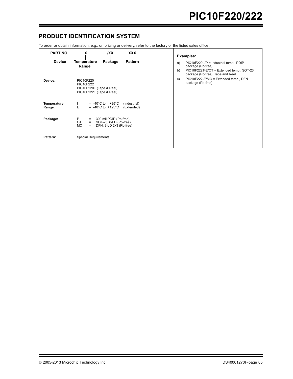## **PRODUCT IDENTIFICATION SYSTEM**

To order or obtain information, e.g., on pricing or delivery, refer to the factory or the listed sales office.

| <b>PART NO.</b><br><b>Device</b> | X<br><u>XXX</u><br>IXX<br>Temperature<br>Package<br><b>Pattern</b>                                                       | Examples:<br>$PIC10F220-I/P =$ Industrial temp., $PDIP$<br>a)                                                                                                              |
|----------------------------------|--------------------------------------------------------------------------------------------------------------------------|----------------------------------------------------------------------------------------------------------------------------------------------------------------------------|
| Device:                          | Range<br>PIC10F220<br>PIC10F222<br>PIC10F220T (Tape & Reel)<br>PIC10F222T (Tape & Reel)                                  | package (Pb-free)<br>b)<br>PIC10F222T-E/OT = Extended temp., SOT-23<br>package (Pb-free), Tape and Reel<br>PIC10F222-E/MC = Extended temp., DFN<br>C)<br>package (Pb-free) |
| <b>Temperature</b><br>Range:     | $= -40^{\circ}$ C to $+85^{\circ}$ C<br>(Industrial)<br>E<br>$= -40^{\circ}$ C to $+125^{\circ}$ C<br>(Extended)         |                                                                                                                                                                            |
| Package:                         | P.<br>300 mil PDIP (Pb-free)<br>$\equiv$<br>OT<br>SOT-23, 6-LD (Pb-free)<br>$=$<br>DFN, 8-LD 2x3 (Pb-free)<br>MC.<br>$=$ |                                                                                                                                                                            |
| Pattern:                         | Special Requirements                                                                                                     |                                                                                                                                                                            |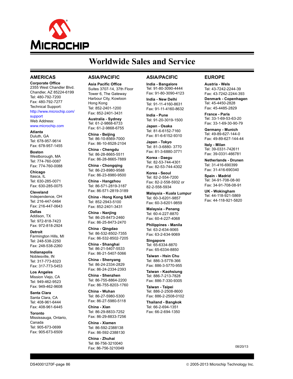

## **Worldwide Sales and Service**

#### **AMERICAS**

**Corporate Office** 2355 West Chandler Blvd. Chandler, AZ 85224-6199 Tel: 480-792-7200 Fax: 480-792-7277 Technical Support: [http://www.microchip.com/](http://support.microchip.com) support

Web Address: www.microchip.com

**Atlanta** Duluth, GA Tel: 678-957-9614 Fax: 678-957-1455

**Boston** Westborough, MA Tel: 774-760-0087 Fax: 774-760-0088

**Chicago** Itasca, IL Tel: 630-285-0071 Fax: 630-285-0075

**Cleveland** Independence, OH Tel: 216-447-0464 Fax: 216-447-0643

**Dallas** Addison, TX Tel: 972-818-7423 Fax: 972-818-2924

**Detroit** Farmington Hills, MI Tel: 248-538-2250 Fax: 248-538-2260

**Indianapolis** Noblesville, IN Tel: 317-773-8323 Fax: 317-773-5453

**Los Angeles** Mission Viejo, CA Tel: 949-462-9523 Fax: 949-462-9608

**Santa Clara** Santa Clara, CA Tel: 408-961-6444 Fax: 408-961-6445

**Toronto** Mississauga, Ontario, Canada Tel: 905-673-0699 Fax: 905-673-6509

#### **ASIA/PACIFIC**

**Asia Pacific Office** Suites 3707-14, 37th Floor Tower 6, The Gateway Harbour City, Kowloon Hong Kong Tel: 852-2401-1200 Fax: 852-2401-3431

**Australia - Sydney** Tel: 61-2-9868-6733 Fax: 61-2-9868-6755

**China - Beijing** Tel: 86-10-8569-7000 Fax: 86-10-8528-2104

**China - Chengdu** Tel: 86-28-8665-5511 Fax: 86-28-8665-7889

**China - Chongqing** Tel: 86-23-8980-9588 Fax: 86-23-8980-9500

**China - Hangzhou** Tel: 86-571-2819-3187 Fax: 86-571-2819-3189

**China - Hong Kong SAR**

Tel: 852-2943-5100 Fax: 852-2401-3431

**China - Nanjing** Tel: 86-25-8473-2460 Fax: 86-25-8473-2470 **China - Qingdao**

Tel: 86-532-8502-7355 Fax: 86-532-8502-7205 **China - Shanghai**

Tel: 86-21-5407-5533 Fax: 86-21-5407-5066

**China - Shenyang** Tel: 86-24-2334-2829 Fax: 86-24-2334-2393

**China - Shenzhen** Tel: 86-755-8864-2200 Fax: 86-755-8203-1760

**China - Wuhan** Tel: 86-27-5980-5300 Fax: 86-27-5980-5118

**China - Xian** Tel: 86-29-8833-7252 Fax: 86-29-8833-7256

**China - Xiamen** Tel: 86-592-2388138 Fax: 86-592-2388130

**China - Zhuhai** Tel: 86-756-3210040 Fax: 86-756-3210049

### **ASIA/PACIFIC**

**India - Bangalore** Tel: 91-80-3090-4444 Fax: 91-80-3090-4123

**India - New Delhi** Tel: 91-11-4160-8631 Fax: 91-11-4160-8632

**India - Pune** Tel: 91-20-3019-1500

**Japan - Osaka** Tel: 81-6-6152-7160 Fax: 81-6-6152-9310

**Japan - Tokyo** Tel: 81-3-6880- 3770 Fax: 81-3-6880-3771

**Korea - Daegu** Tel: 82-53-744-4301 Fax: 82-53-744-4302

**Korea - Seoul** Tel: 82-2-554-7200 Fax: 82-2-558-5932 or 82-2-558-5934

**Malaysia - Kuala Lumpur** Tel: 60-3-6201-9857 Fax: 60-3-6201-9859

**Malaysia - Penang** Tel: 60-4-227-8870 Fax: 60-4-227-4068

**Philippines - Manila** Tel: 63-2-634-9065 Fax: 63-2-634-9069

**Singapore** Tel: 65-6334-8870 Fax: 65-6334-8850

**Taiwan - Hsin Chu** Tel: 886-3-5778-366 Fax: 886-3-5770-955

**Taiwan - Kaohsiung** Tel: 886-7-213-7828 Fax: 886-7-330-9305

**Taiwan - Taipei** Tel: 886-2-2508-8600 Fax: 886-2-2508-0102

**Thailand - Bangkok** Tel: 66-2-694-1351 Fax: 66-2-694-1350

#### **EUROPE**

**Austria - Wels** Tel: 43-7242-2244-39 Fax: 43-7242-2244-393 **Denmark - Copenhagen** Tel: 45-4450-2828 Fax: 45-4485-2829

**France - Paris** Tel: 33-1-69-53-63-20 Fax: 33-1-69-30-90-79

**Germany - Munich** Tel: 49-89-627-144-0 Fax: 49-89-627-144-44

**Italy - Milan**  Tel: 39-0331-742611 Fax: 39-0331-466781

**Netherlands - Drunen** Tel: 31-416-690399 Fax: 31-416-690340

**Spain - Madrid** Tel: 34-91-708-08-90 Fax: 34-91-708-08-91

**UK - Wokingham** Tel: 44-118-921-5869 Fax: 44-118-921-5820